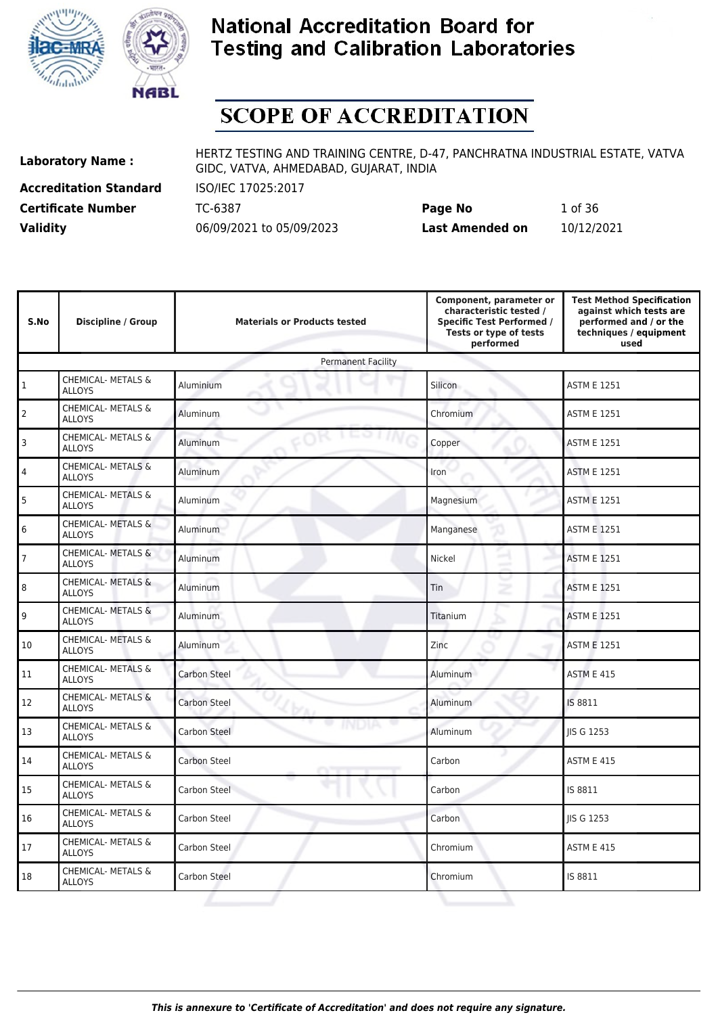



# **SCOPE OF ACCREDITATION**

**Accreditation Standard** ISO/IEC 17025:2017

**Laboratory Name :** HERTZ TESTING AND TRAINING CENTRE, D-47, PANCHRATNA INDUSTRIAL ESTATE, VATVA GIDC, VATVA, AHMEDABAD, GUJARAT, INDIA

**Certificate Number** TC-6387 **Page No** 1 of 36 **Validity** 06/09/2021 to 05/09/2023 **Last Amended on** 10/12/2021

| S.No           | <b>Discipline / Group</b>                      | <b>Materials or Products tested</b> | Component, parameter or<br>characteristic tested /<br><b>Specific Test Performed /</b><br>Tests or type of tests<br>performed | <b>Test Method Specification</b><br>against which tests are<br>performed and / or the<br>techniques / equipment<br>used |
|----------------|------------------------------------------------|-------------------------------------|-------------------------------------------------------------------------------------------------------------------------------|-------------------------------------------------------------------------------------------------------------------------|
|                |                                                | <b>Permanent Facility</b>           |                                                                                                                               |                                                                                                                         |
| $\mathbf{1}$   | <b>CHEMICAL- METALS &amp;</b><br><b>ALLOYS</b> | Aluminium                           | Silicon                                                                                                                       | <b>ASTM E 1251</b>                                                                                                      |
| $\overline{2}$ | CHEMICAL- METALS &<br><b>ALLOYS</b>            | Aluminum                            | Chromium                                                                                                                      | <b>ASTM E 1251</b>                                                                                                      |
| 3              | CHEMICAL- METALS &<br><b>ALLOYS</b>            | Aluminum                            | Copper                                                                                                                        | <b>ASTM E 1251</b>                                                                                                      |
| 4              | <b>CHEMICAL- METALS &amp;</b><br><b>ALLOYS</b> | Aluminum                            | Iron                                                                                                                          | <b>ASTM E 1251</b>                                                                                                      |
| 5              | CHEMICAL- METALS &<br><b>ALLOYS</b>            | <b>Aluminum</b>                     | Magnesium                                                                                                                     | <b>ASTM E 1251</b>                                                                                                      |
| 6              | <b>CHEMICAL- METALS &amp;</b><br><b>ALLOYS</b> | Aluminum                            | Manganese                                                                                                                     | <b>ASTM E 1251</b>                                                                                                      |
| $\overline{7}$ | CHEMICAL- METALS &<br><b>ALLOYS</b>            | Aluminum                            | Nickel                                                                                                                        | <b>ASTM E 1251</b>                                                                                                      |
| 8              | <b>CHEMICAL- METALS &amp;</b><br><b>ALLOYS</b> | Aluminum                            | <b>Tin</b><br>z                                                                                                               | <b>ASTM E 1251</b>                                                                                                      |
| 9              | CHEMICAL- METALS &<br><b>ALLOYS</b>            | Aluminum                            | Titanium                                                                                                                      | <b>ASTM E 1251</b>                                                                                                      |
| 10             | CHEMICAL- METALS &<br><b>ALLOYS</b>            | Aluminum                            | Zinc                                                                                                                          | <b>ASTM E 1251</b>                                                                                                      |
| 11             | CHEMICAL- METALS &<br><b>ALLOYS</b>            | <b>Carbon Steel</b>                 | Aluminum                                                                                                                      | <b>ASTM E 415</b>                                                                                                       |
| 12             | <b>CHEMICAL- METALS &amp;</b><br><b>ALLOYS</b> | <b>Carbon Steel</b>                 | Aluminum                                                                                                                      | IS 8811                                                                                                                 |
| 13             | CHEMICAL- METALS &<br><b>ALLOYS</b>            | ÷<br><b>Carbon Steel</b>            | Aluminum                                                                                                                      | <b>IIS G 1253</b>                                                                                                       |
| 14             | CHEMICAL- METALS &<br><b>ALLOYS</b>            | <b>Carbon Steel</b>                 | Carbon                                                                                                                        | <b>ASTM E 415</b>                                                                                                       |
| 15             | CHEMICAL- METALS &<br><b>ALLOYS</b>            | <b>Carbon Steel</b>                 | Carbon                                                                                                                        | IS 8811                                                                                                                 |
| 16             | CHEMICAL- METALS &<br><b>ALLOYS</b>            | Carbon Steel                        | Carbon                                                                                                                        | <b>IIS G 1253</b>                                                                                                       |
| 17             | CHEMICAL- METALS &<br><b>ALLOYS</b>            | Carbon Steel                        | Chromium                                                                                                                      | <b>ASTM E 415</b>                                                                                                       |
| 18             | CHEMICAL- METALS &<br><b>ALLOYS</b>            | <b>Carbon Steel</b>                 | Chromium                                                                                                                      | IS 8811                                                                                                                 |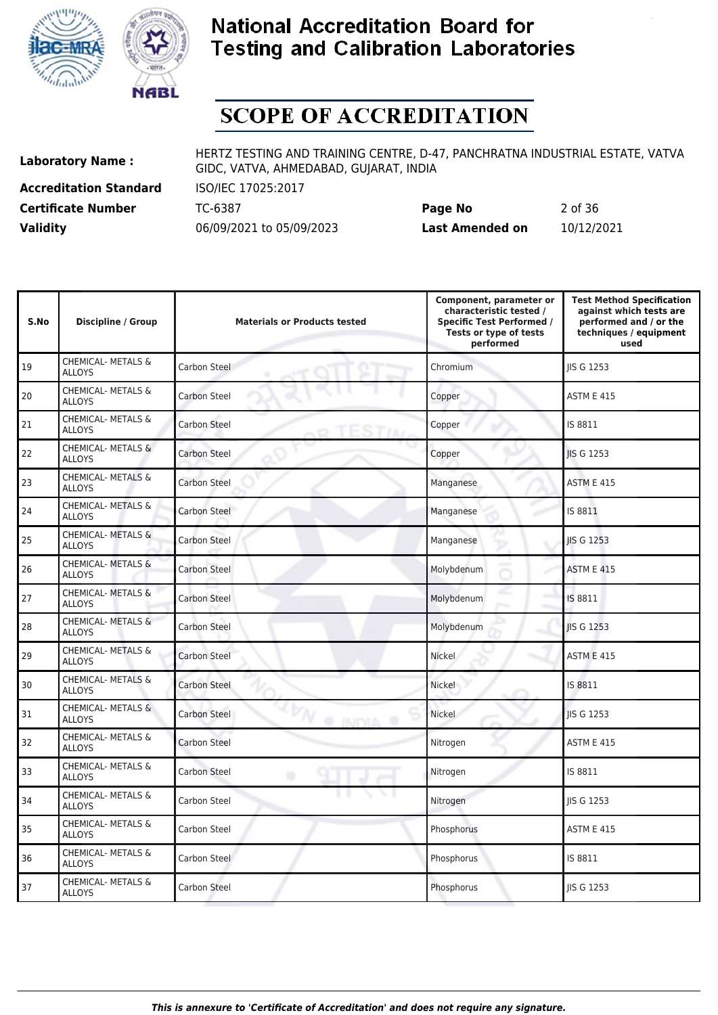



# **SCOPE OF ACCREDITATION**

**Accreditation Standard** ISO/IEC 17025:2017

**Laboratory Name :** HERTZ TESTING AND TRAINING CENTRE, D-47, PANCHRATNA INDUSTRIAL ESTATE, VATVA GIDC, VATVA, AHMEDABAD, GUJARAT, INDIA

**Certificate Number** TC-6387 **Page No** 2 of 36 **Validity** 06/09/2021 to 05/09/2023 **Last Amended on** 10/12/2021

| S.No | <b>Discipline / Group</b>                      | <b>Materials or Products tested</b>     | Component, parameter or<br>characteristic tested /<br><b>Specific Test Performed /</b><br>Tests or type of tests<br>performed | <b>Test Method Specification</b><br>against which tests are<br>performed and / or the<br>techniques / equipment<br>used |
|------|------------------------------------------------|-----------------------------------------|-------------------------------------------------------------------------------------------------------------------------------|-------------------------------------------------------------------------------------------------------------------------|
| 19   | CHEMICAL- METALS &<br><b>ALLOYS</b>            | Carbon Steel                            | Chromium                                                                                                                      | <b>IIS G 1253</b>                                                                                                       |
| 20   | CHEMICAL- METALS &<br><b>ALLOYS</b>            | <b>Carbon Steel</b>                     | Copper                                                                                                                        | <b>ASTM E 415</b>                                                                                                       |
| 21   | CHEMICAL- METALS &<br><b>ALLOYS</b>            | Carbon Steel                            | Copper                                                                                                                        | IS 8811                                                                                                                 |
| 22   | <b>CHEMICAL- METALS &amp;</b><br><b>ALLOYS</b> | <b>Carbon Steel</b>                     | Copper                                                                                                                        | <b>IIS G 1253</b>                                                                                                       |
| 23   | CHEMICAL- METALS &<br><b>ALLOYS</b>            | <b>Carbon Steel</b>                     | Manganese                                                                                                                     | <b>ASTM E 415</b>                                                                                                       |
| 24   | <b>CHEMICAL- METALS &amp;</b><br><b>ALLOYS</b> | Carbon Steel                            | Manganese                                                                                                                     | IS 8811                                                                                                                 |
| 25   | CHEMICAL- METALS &<br><b>ALLOYS</b>            | <b>Carbon Steel</b>                     | Manganese                                                                                                                     | <b>IIS G 1253</b>                                                                                                       |
| 26   | CHEMICAL- METALS &<br><b>ALLOYS</b>            | Carbon Steel                            | Molybdenum                                                                                                                    | <b>ASTM E 415</b>                                                                                                       |
| 27   | CHEMICAL- METALS &<br><b>ALLOYS</b>            | Carbon Steel                            | Molybdenum                                                                                                                    | IS 8811                                                                                                                 |
| 28   | CHEMICAL- METALS &<br><b>ALLOYS</b>            | <b>Carbon Steel</b>                     | Molybdenum                                                                                                                    | <b>IIS G 1253</b>                                                                                                       |
| 29   | CHEMICAL- METALS &<br><b>ALLOYS</b>            | <b>Carbon Steel</b>                     | Nickel                                                                                                                        | <b>ASTM E 415</b>                                                                                                       |
| 30   | CHEMICAL- METALS &<br><b>ALLOYS</b>            | <b>Carbon Steel</b>                     | Nickel                                                                                                                        | IS 8811                                                                                                                 |
| 31   | <b>CHEMICAL- METALS &amp;</b><br><b>ALLOYS</b> | <b>Carbon Steel</b><br><b>O INDIA O</b> | Nickel                                                                                                                        | JIS G 1253                                                                                                              |
| 32   | CHEMICAL- METALS &<br><b>ALLOYS</b>            | <b>Carbon Steel</b>                     | Nitrogen                                                                                                                      | <b>ASTM E 415</b>                                                                                                       |
| 33   | CHEMICAL- METALS &<br><b>ALLOYS</b>            | Carbon Steel<br>۰                       | Nitrogen                                                                                                                      | IS 8811                                                                                                                 |
| 34   | <b>CHEMICAL- METALS &amp;</b><br><b>ALLOYS</b> | Carbon Steel                            | Nitrogen                                                                                                                      | JIS G 1253                                                                                                              |
| 35   | CHEMICAL- METALS &<br><b>ALLOYS</b>            | Carbon Steel                            | Phosphorus                                                                                                                    | <b>ASTM E 415</b>                                                                                                       |
| 36   | CHEMICAL- METALS &<br><b>ALLOYS</b>            | Carbon Steel                            | Phosphorus                                                                                                                    | IS 8811                                                                                                                 |
| 37   | CHEMICAL- METALS &<br><b>ALLOYS</b>            | <b>Carbon Steel</b>                     | Phosphorus                                                                                                                    | <b>IIS G 1253</b>                                                                                                       |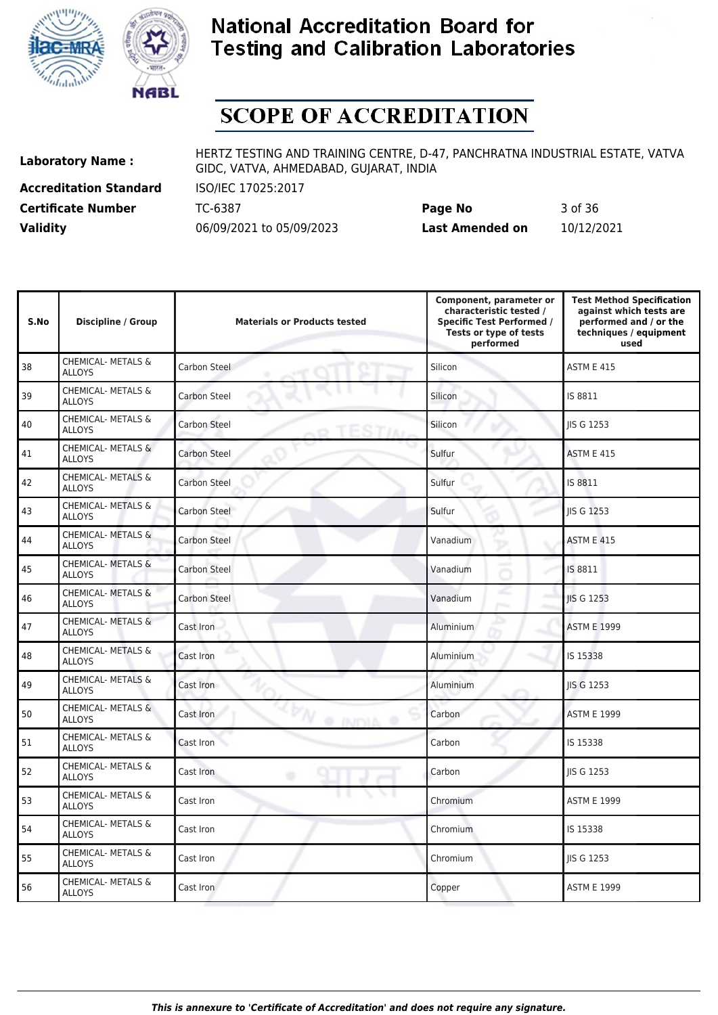



# **SCOPE OF ACCREDITATION**

**Accreditation Standard** ISO/IEC 17025:2017

**Laboratory Name :** HERTZ TESTING AND TRAINING CENTRE, D-47, PANCHRATNA INDUSTRIAL ESTATE, VATVA GIDC, VATVA, AHMEDABAD, GUJARAT, INDIA

**Certificate Number** TC-6387 **Page No** 3 of 36 **Validity** 06/09/2021 to 05/09/2023 **Last Amended on** 10/12/2021

| S.No | <b>Discipline / Group</b>                      | <b>Materials or Products tested</b> | Component, parameter or<br>characteristic tested /<br><b>Specific Test Performed /</b><br>Tests or type of tests<br>performed | <b>Test Method Specification</b><br>against which tests are<br>performed and / or the<br>techniques / equipment<br>used |
|------|------------------------------------------------|-------------------------------------|-------------------------------------------------------------------------------------------------------------------------------|-------------------------------------------------------------------------------------------------------------------------|
| 38   | <b>CHEMICAL- METALS &amp;</b><br><b>ALLOYS</b> | Carbon Steel                        | Silicon                                                                                                                       | <b>ASTM E 415</b>                                                                                                       |
| 39   | <b>CHEMICAL- METALS &amp;</b><br><b>ALLOYS</b> | <b>Carbon Steel</b>                 | Silicon                                                                                                                       | IS 8811                                                                                                                 |
| 40   | CHEMICAL- METALS &<br><b>ALLOYS</b>            | <b>Carbon Steel</b>                 | Silicon                                                                                                                       | JIS G 1253                                                                                                              |
| 41   | CHEMICAL- METALS &<br><b>ALLOYS</b>            | <b>Carbon Steel</b>                 | Sulfur                                                                                                                        | <b>ASTM E 415</b>                                                                                                       |
| 42   | CHEMICAL- METALS &<br><b>ALLOYS</b>            | <b>Carbon Steel</b>                 | Sulfur                                                                                                                        | IS 8811                                                                                                                 |
| 43   | CHEMICAL- METALS &<br><b>ALLOYS</b>            | Carbon Steel                        | Sulfur                                                                                                                        | JIS G 1253                                                                                                              |
| 44   | <b>CHEMICAL- METALS &amp;</b><br><b>ALLOYS</b> | <b>Carbon Steel</b>                 | Vanadium                                                                                                                      | <b>ASTM E 415</b>                                                                                                       |
| 45   | CHEMICAL- METALS &<br><b>ALLOYS</b>            | <b>Carbon Steel</b>                 | Vanadium                                                                                                                      | IS 8811                                                                                                                 |
| 46   | CHEMICAL- METALS &<br><b>ALLOYS</b>            | <b>Carbon Steel</b>                 | Vanadium                                                                                                                      | <b>IIS G 1253</b>                                                                                                       |
| 47   | <b>CHEMICAL- METALS &amp;</b><br><b>ALLOYS</b> | Cast Iron                           | Aluminium                                                                                                                     | <b>ASTM E 1999</b>                                                                                                      |
| 48   | CHEMICAL- METALS &<br><b>ALLOYS</b>            | Cast Iron                           | Aluminium                                                                                                                     | IS 15338                                                                                                                |
| 49   | <b>CHEMICAL- METALS &amp;</b><br><b>ALLOYS</b> | Cast Iron                           | Aluminium                                                                                                                     | <b>IIS G 1253</b>                                                                                                       |
| 50   | <b>CHEMICAL- METALS &amp;</b><br><b>ALLOYS</b> | Cast Iron<br><b>O INDIA O</b>       | Carbon                                                                                                                        | <b>ASTM E 1999</b>                                                                                                      |
| 51   | <b>CHEMICAL- METALS &amp;</b><br><b>ALLOYS</b> | Cast Iron                           | Carbon                                                                                                                        | IS 15338                                                                                                                |
| 52   | <b>CHEMICAL- METALS &amp;</b><br><b>ALLOYS</b> | Cast Iron<br>۰                      | Carbon                                                                                                                        | JIS G 1253                                                                                                              |
| 53   | CHEMICAL- METALS &<br>ALLOYS                   | <b>SALE</b><br>Cast Iron            | Chromium                                                                                                                      | <b>ASTM E 1999</b>                                                                                                      |
| 54   | CHEMICAL- METALS &<br><b>ALLOYS</b>            | Cast Iron                           | Chromium                                                                                                                      | IS 15338                                                                                                                |
| 55   | CHEMICAL- METALS &<br><b>ALLOYS</b>            | Cast Iron                           | Chromium                                                                                                                      | <b>IIS G 1253</b>                                                                                                       |
| 56   | CHEMICAL- METALS &<br><b>ALLOYS</b>            | Cast Iron                           | Copper                                                                                                                        | <b>ASTM E 1999</b>                                                                                                      |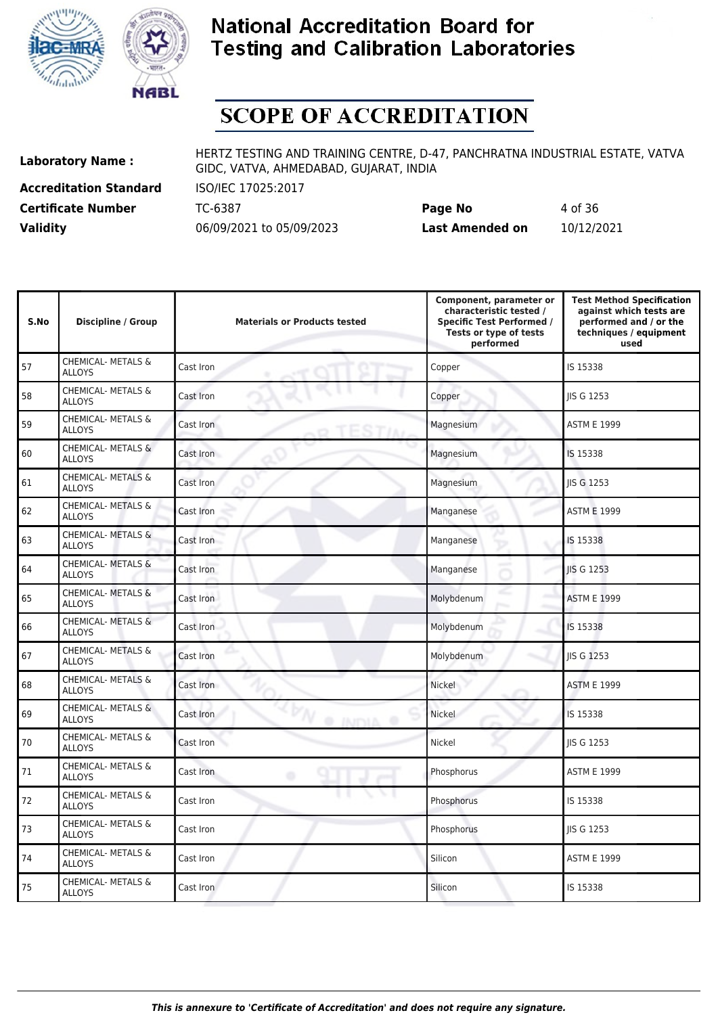



# **SCOPE OF ACCREDITATION**

**Accreditation Standard** ISO/IEC 17025:2017

**Laboratory Name :** HERTZ TESTING AND TRAINING CENTRE, D-47, PANCHRATNA INDUSTRIAL ESTATE, VATVA GIDC, VATVA, AHMEDABAD, GUJARAT, INDIA

**Certificate Number** TC-6387 **Page No** 4 of 36 **Validity** 06/09/2021 to 05/09/2023 **Last Amended on** 10/12/2021

| S.No | <b>Discipline / Group</b>                      | <b>Materials or Products tested</b> | Component, parameter or<br>characteristic tested /<br><b>Specific Test Performed /</b><br>Tests or type of tests<br>performed | <b>Test Method Specification</b><br>against which tests are<br>performed and / or the<br>techniques / equipment<br>used |
|------|------------------------------------------------|-------------------------------------|-------------------------------------------------------------------------------------------------------------------------------|-------------------------------------------------------------------------------------------------------------------------|
| 57   | <b>CHEMICAL- METALS &amp;</b><br><b>ALLOYS</b> | Cast Iron                           | Copper                                                                                                                        | IS 15338                                                                                                                |
| 58   | CHEMICAL- METALS &<br><b>ALLOYS</b>            | Cast Iron                           | Copper                                                                                                                        | <b>IIS G 1253</b>                                                                                                       |
| 59   | CHEMICAL- METALS &<br><b>ALLOYS</b>            | Cast Iron                           | Magnesium                                                                                                                     | <b>ASTM E 1999</b>                                                                                                      |
| 60   | CHEMICAL- METALS &<br><b>ALLOYS</b>            | Cast Iron                           | Magnesium                                                                                                                     | IS 15338                                                                                                                |
| 61   | <b>CHEMICAL- METALS &amp;</b><br><b>ALLOYS</b> | Cast Iron                           | Magnesium                                                                                                                     | <b>IIS G 1253</b>                                                                                                       |
| 62   | <b>CHEMICAL- METALS &amp;</b><br><b>ALLOYS</b> | Cast Iron                           | Manganese                                                                                                                     | <b>ASTM E 1999</b>                                                                                                      |
| 63   | CHEMICAL- METALS &<br><b>ALLOYS</b>            | Cast Iron                           | Manganese                                                                                                                     | IS 15338                                                                                                                |
| 64   | CHEMICAL- METALS &<br><b>ALLOYS</b>            | Cast Iron                           | Manganese                                                                                                                     | <b>IIS G 1253</b>                                                                                                       |
| 65   | CHEMICAL- METALS &<br><b>ALLOYS</b>            | Cast Iron                           | Molybdenum                                                                                                                    | <b>ASTM E 1999</b>                                                                                                      |
| 66   | <b>CHEMICAL- METALS &amp;</b><br><b>ALLOYS</b> | Cast Iron                           | Molybdenum                                                                                                                    | IS 15338                                                                                                                |
| 67   | CHEMICAL- METALS &<br><b>ALLOYS</b>            | Cast Iron                           | Molybdenum                                                                                                                    | <b>IIS G 1253</b>                                                                                                       |
| 68   | CHEMICAL- METALS &<br><b>ALLOYS</b>            | Cast Iron                           | Nickel                                                                                                                        | <b>ASTM E 1999</b>                                                                                                      |
| 69   | CHEMICAL- METALS &<br><b>ALLOYS</b>            | Cast Iron<br><b>O INDIA O</b>       | Nickel                                                                                                                        | IS 15338                                                                                                                |
| 70   | CHEMICAL- METALS &<br><b>ALLOYS</b>            | Cast Iron                           | Nickel                                                                                                                        | JIS G 1253                                                                                                              |
| 71   | CHEMICAL- METALS &<br><b>ALLOYS</b>            | Cast Iron<br>۰                      | Phosphorus                                                                                                                    | <b>ASTM E 1999</b>                                                                                                      |
| 72   | CHEMICAL- METALS &<br><b>ALLOYS</b>            | Cast Iron                           | Phosphorus                                                                                                                    | IS 15338                                                                                                                |
| 73   | CHEMICAL- METALS &<br><b>ALLOYS</b>            | Cast Iron                           | Phosphorus                                                                                                                    | <b>IIS G 1253</b>                                                                                                       |
| 74   | CHEMICAL- METALS &<br><b>ALLOYS</b>            | Cast Iron                           | Silicon                                                                                                                       | <b>ASTM E 1999</b>                                                                                                      |
| 75   | <b>CHEMICAL- METALS &amp;</b><br><b>ALLOYS</b> | Cast Iron                           | Silicon                                                                                                                       | IS 15338                                                                                                                |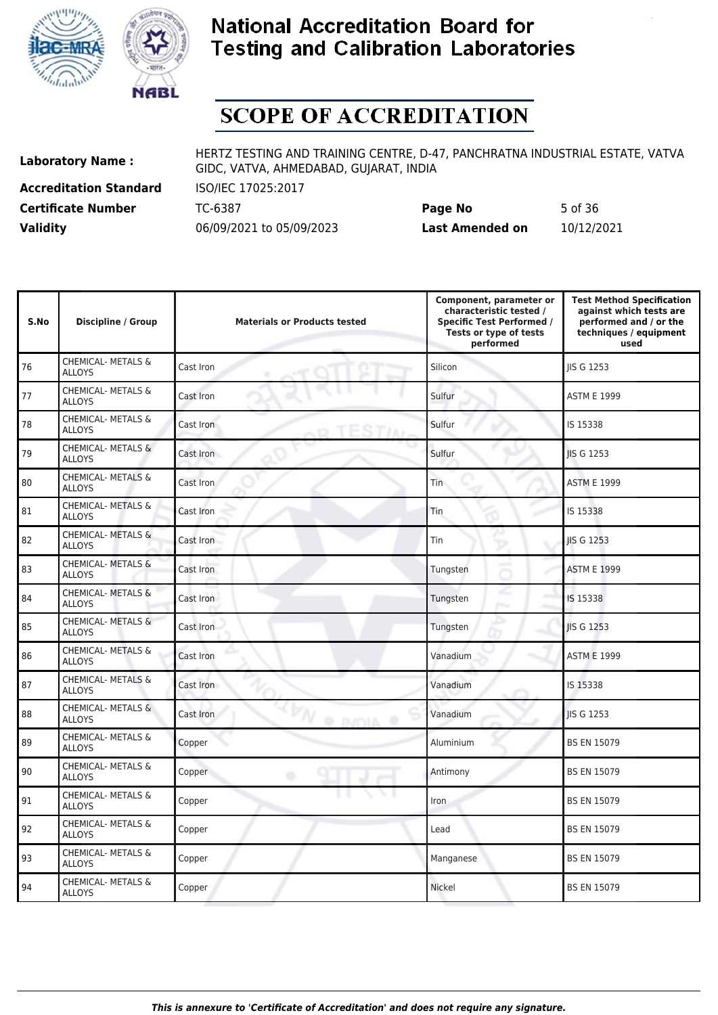



# **SCOPE OF ACCREDITATION**

**Accreditation Standard** ISO/IEC 17025:2017

**Laboratory Name :** HERTZ TESTING AND TRAINING CENTRE, D-47, PANCHRATNA INDUSTRIAL ESTATE, VATVA GIDC, VATVA, AHMEDABAD, GUJARAT, INDIA

**Certificate Number** TC-6387 **Page No** 5 of 36 **Validity** 06/09/2021 to 05/09/2023 **Last Amended on** 10/12/2021

| S.No | <b>Discipline / Group</b>                      | <b>Materials or Products tested</b> | Component, parameter or<br>characteristic tested /<br><b>Specific Test Performed /</b><br>Tests or type of tests<br>performed | <b>Test Method Specification</b><br>against which tests are<br>performed and / or the<br>techniques / equipment<br>used |
|------|------------------------------------------------|-------------------------------------|-------------------------------------------------------------------------------------------------------------------------------|-------------------------------------------------------------------------------------------------------------------------|
| 76   | CHEMICAL- METALS &<br><b>ALLOYS</b>            | Cast Iron                           | Silicon                                                                                                                       | <b>IIS G 1253</b>                                                                                                       |
| 77   | CHEMICAL- METALS &<br><b>ALLOYS</b>            | Cast Iron                           | Sulfur                                                                                                                        | <b>ASTM E 1999</b>                                                                                                      |
| 78   | CHEMICAL- METALS &<br><b>ALLOYS</b>            | Cast Iron                           | Sulfur                                                                                                                        | IS 15338                                                                                                                |
| 79   | <b>CHEMICAL- METALS &amp;</b><br><b>ALLOYS</b> | Cast Iron                           | Sulfur                                                                                                                        | <b>IIS G 1253</b>                                                                                                       |
| 80   | CHEMICAL- METALS &<br><b>ALLOYS</b>            | Cast Iron                           | Tin                                                                                                                           | <b>ASTM E 1999</b>                                                                                                      |
| 81   | CHEMICAL- METALS &<br><b>ALLOYS</b>            | Cast Iron                           | Tin                                                                                                                           | IS 15338                                                                                                                |
| 82   | CHEMICAL- METALS &<br>ALLOYS                   | Cast Iron                           | Tin                                                                                                                           | <b>IIS G 1253</b>                                                                                                       |
| 83   | CHEMICAL- METALS &<br><b>ALLOYS</b>            | Cast Iron                           | Tungsten                                                                                                                      | <b>ASTM E 1999</b>                                                                                                      |
| 84   | CHEMICAL- METALS &<br><b>ALLOYS</b>            | Cast Iron                           | Tungsten                                                                                                                      | IS 15338                                                                                                                |
| 85   | CHEMICAL- METALS &<br><b>ALLOYS</b>            | Cast Iron                           | Tungsten                                                                                                                      | JIS G 1253                                                                                                              |
| 86   | CHEMICAL- METALS &<br><b>ALLOYS</b>            | Cast Iron                           | Vanadium                                                                                                                      | <b>ASTM E 1999</b>                                                                                                      |
| 87   | <b>CHEMICAL- METALS &amp;</b><br><b>ALLOYS</b> | Cast Iron                           | Vanadium                                                                                                                      | IS 15338                                                                                                                |
| 88   | <b>CHEMICAL- METALS &amp;</b><br><b>ALLOYS</b> | Cast Iron<br><b>O INDIA O</b>       | Vanadium                                                                                                                      | <b>IIS G 1253</b>                                                                                                       |
| 89   | CHEMICAL- METALS &<br><b>ALLOYS</b>            | Copper                              | Aluminium                                                                                                                     | <b>BS EN 15079</b>                                                                                                      |
| 90   | CHEMICAL- METALS &<br><b>ALLOYS</b>            | Copper<br>۰                         | Antimony                                                                                                                      | <b>BS EN 15079</b>                                                                                                      |
| 91   | <b>CHEMICAL- METALS &amp;</b><br><b>ALLOYS</b> | Copper                              | Iron                                                                                                                          | <b>BS EN 15079</b>                                                                                                      |
| 92   | CHEMICAL- METALS &<br><b>ALLOYS</b>            | Copper                              | Lead                                                                                                                          | <b>BS EN 15079</b>                                                                                                      |
| 93   | <b>CHEMICAL- METALS &amp;</b><br><b>ALLOYS</b> | Copper                              | Manganese                                                                                                                     | <b>BS EN 15079</b>                                                                                                      |
| 94   | CHEMICAL- METALS &<br><b>ALLOYS</b>            | Copper                              | Nickel                                                                                                                        | <b>BS EN 15079</b>                                                                                                      |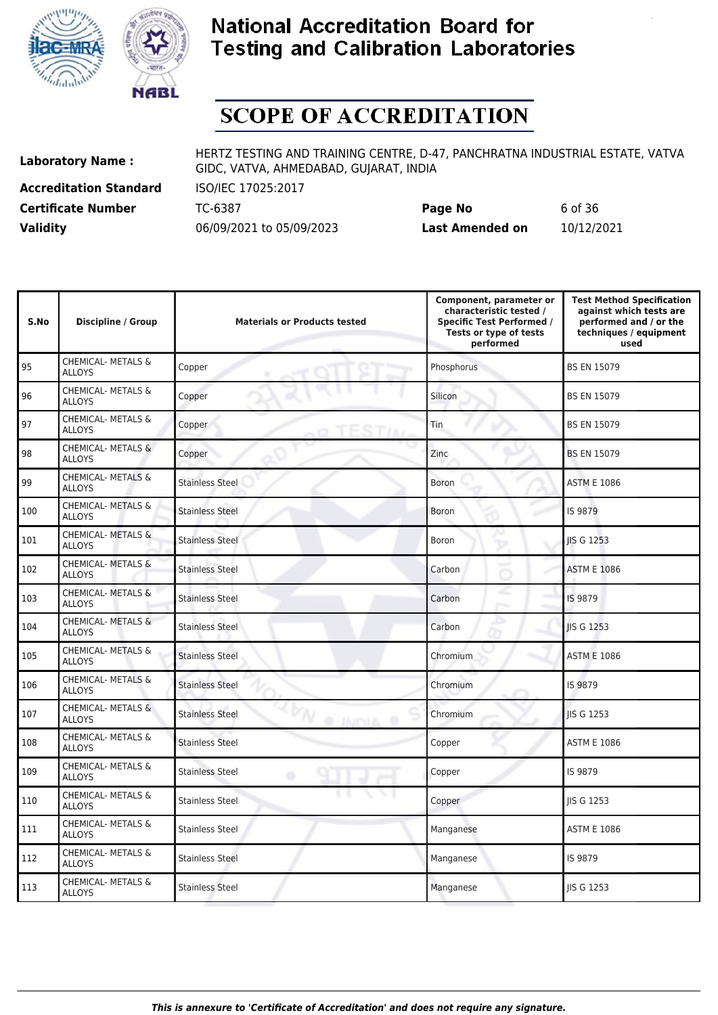



# **SCOPE OF ACCREDITATION**

**Accreditation Standard** ISO/IEC 17025:2017

**Laboratory Name :** HERTZ TESTING AND TRAINING CENTRE, D-47, PANCHRATNA INDUSTRIAL ESTATE, VATVA GIDC, VATVA, AHMEDABAD, GUJARAT, INDIA

**Certificate Number** TC-6387 **Page No** 6 of 36 **Validity** 06/09/2021 to 05/09/2023 **Last Amended on** 10/12/2021

| S.No | <b>Discipline / Group</b>                      | <b>Materials or Products tested</b>        | Component, parameter or<br>characteristic tested /<br><b>Specific Test Performed /</b><br>Tests or type of tests<br>performed | <b>Test Method Specification</b><br>against which tests are<br>performed and / or the<br>techniques / equipment<br>used |
|------|------------------------------------------------|--------------------------------------------|-------------------------------------------------------------------------------------------------------------------------------|-------------------------------------------------------------------------------------------------------------------------|
| 95   | <b>CHEMICAL- METALS &amp;</b><br><b>ALLOYS</b> | Copper                                     | Phosphorus                                                                                                                    | <b>BS EN 15079</b>                                                                                                      |
| 96   | CHEMICAL- METALS &<br><b>ALLOYS</b>            | Copper                                     | Silicon                                                                                                                       | <b>BS EN 15079</b>                                                                                                      |
| 97   | CHEMICAL- METALS &<br><b>ALLOYS</b>            | Copper                                     | Tin                                                                                                                           | <b>BS EN 15079</b>                                                                                                      |
| 98   | <b>CHEMICAL- METALS &amp;</b><br><b>ALLOYS</b> | Copper                                     | Zinc                                                                                                                          | <b>BS EN 15079</b>                                                                                                      |
| 99   | CHEMICAL- METALS &<br><b>ALLOYS</b>            | <b>Stainless Steel</b>                     | <b>Boron</b>                                                                                                                  | <b>ASTM E 1086</b>                                                                                                      |
| 100  | CHEMICAL- METALS &<br><b>ALLOYS</b>            | <b>Stainless Steel</b>                     | Boron                                                                                                                         | IS 9879                                                                                                                 |
| 101  | CHEMICAL- METALS &<br><b>ALLOYS</b>            | <b>Stainless Steel</b>                     | Boron                                                                                                                         | <b>IIS G 1253</b>                                                                                                       |
| 102  | <b>CHEMICAL- METALS &amp;</b><br><b>ALLOYS</b> | <b>Stainless Steel</b>                     | Carbon                                                                                                                        | <b>ASTM E 1086</b>                                                                                                      |
| 103  | CHEMICAL- METALS &<br><b>ALLOYS</b>            | <b>Stainless Steel</b>                     | Carbon                                                                                                                        | IS 9879                                                                                                                 |
| 104  | CHEMICAL- METALS &<br><b>ALLOYS</b>            | <b>Stainless Steel</b>                     | Carbon                                                                                                                        | <b>IIS G 1253</b>                                                                                                       |
| 105  | CHEMICAL- METALS &<br><b>ALLOYS</b>            | <b>Stainless Steel</b>                     | Chromium                                                                                                                      | <b>ASTM E 1086</b>                                                                                                      |
| 106  | <b>CHEMICAL- METALS &amp;</b><br><b>ALLOYS</b> | <b>Stainless Steel</b>                     | Chromium                                                                                                                      | IS 9879                                                                                                                 |
| 107  | CHEMICAL- METALS &<br><b>ALLOYS</b>            | <b>Stainless Steel</b><br><b>O INDIA O</b> | Chromium                                                                                                                      | <b>IIS G 1253</b>                                                                                                       |
| 108  | <b>CHEMICAL- METALS &amp;</b><br><b>ALLOYS</b> | <b>Stainless Steel</b>                     | Copper                                                                                                                        | <b>ASTM E 1086</b>                                                                                                      |
| 109  | CHEMICAL- METALS &<br><b>ALLOYS</b>            | <b>Stainless Steel</b><br>۰                | Copper                                                                                                                        | IS 9879                                                                                                                 |
| 110  | CHEMICAL- METALS &<br><b>ALLOYS</b>            | Stainless Steel                            | Copper                                                                                                                        | <b>IIS G 1253</b>                                                                                                       |
| 111  | CHEMICAL- METALS &<br><b>ALLOYS</b>            | <b>Stainless Steel</b>                     | Manganese                                                                                                                     | <b>ASTM E 1086</b>                                                                                                      |
| 112  | CHEMICAL- METALS &<br><b>ALLOYS</b>            | <b>Stainless Steel</b>                     | Manganese                                                                                                                     | IS 9879                                                                                                                 |
| 113  | CHEMICAL- METALS &<br><b>ALLOYS</b>            | <b>Stainless Steel</b>                     | Manganese                                                                                                                     | JIS G 1253                                                                                                              |
|      |                                                |                                            |                                                                                                                               |                                                                                                                         |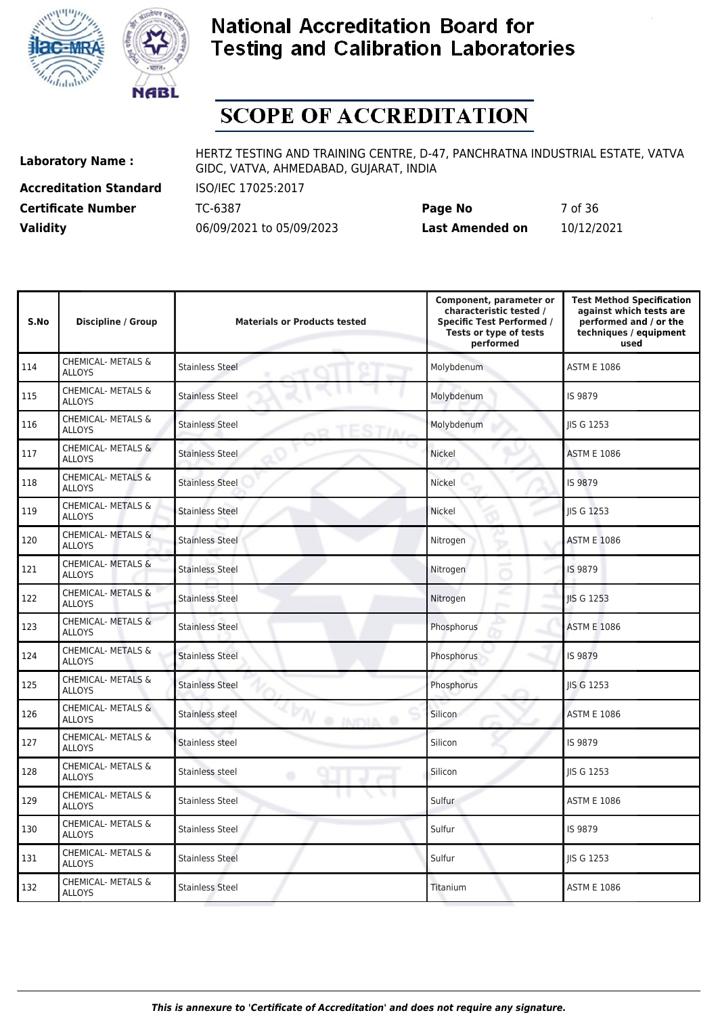



# **SCOPE OF ACCREDITATION**

**Accreditation Standard** ISO/IEC 17025:2017

**Laboratory Name :** HERTZ TESTING AND TRAINING CENTRE, D-47, PANCHRATNA INDUSTRIAL ESTATE, VATVA GIDC, VATVA, AHMEDABAD, GUJARAT, INDIA

**Certificate Number** TC-6387 **Page No** 7 of 36 **Validity** 06/09/2021 to 05/09/2023 **Last Amended on** 10/12/2021

| S.No | <b>Discipline / Group</b>                      | <b>Materials or Products tested</b>        | Component, parameter or<br>characteristic tested /<br><b>Specific Test Performed /</b><br>Tests or type of tests<br>performed | <b>Test Method Specification</b><br>against which tests are<br>performed and / or the<br>techniques / equipment<br>used |
|------|------------------------------------------------|--------------------------------------------|-------------------------------------------------------------------------------------------------------------------------------|-------------------------------------------------------------------------------------------------------------------------|
| 114  | <b>CHEMICAL- METALS &amp;</b><br><b>ALLOYS</b> | <b>Stainless Steel</b>                     | Molybdenum                                                                                                                    | <b>ASTM E 1086</b>                                                                                                      |
| 115  | CHEMICAL- METALS &<br><b>ALLOYS</b>            | <b>Stainless Steel</b>                     | Molybdenum                                                                                                                    | IS 9879                                                                                                                 |
| 116  | CHEMICAL- METALS &<br><b>ALLOYS</b>            | <b>Stainless Steel</b>                     | Molybdenum                                                                                                                    | <b>IIS G 1253</b>                                                                                                       |
| 117  | <b>CHEMICAL- METALS &amp;</b><br><b>ALLOYS</b> | <b>Stainless Steel</b>                     | Nickel                                                                                                                        | <b>ASTM E 1086</b>                                                                                                      |
| 118  | CHEMICAL- METALS &<br><b>ALLOYS</b>            | <b>Stainless Steel</b>                     | Nickel                                                                                                                        | IS 9879                                                                                                                 |
| 119  | <b>CHEMICAL- METALS &amp;</b><br><b>ALLOYS</b> | <b>Stainless Steel</b>                     | <b>Nickel</b>                                                                                                                 | <b>IIS G 1253</b>                                                                                                       |
| 120  | CHEMICAL- METALS &<br><b>ALLOYS</b>            | <b>Stainless Steel</b>                     | Nitrogen                                                                                                                      | <b>ASTM E 1086</b>                                                                                                      |
| 121  | <b>CHEMICAL- METALS &amp;</b><br><b>ALLOYS</b> | <b>Stainless Steel</b>                     | Nitrogen                                                                                                                      | IS 9879                                                                                                                 |
| 122  | CHEMICAL- METALS &<br><b>ALLOYS</b>            | <b>Stainless Steel</b>                     | Nitrogen                                                                                                                      | <b>IIS G 1253</b>                                                                                                       |
| 123  | CHEMICAL- METALS &<br><b>ALLOYS</b>            | <b>Stainless Steel</b>                     | Phosphorus                                                                                                                    | <b>ASTM E 1086</b>                                                                                                      |
| 124  | CHEMICAL- METALS &<br><b>ALLOYS</b>            | <b>Stainless Steel</b>                     | Phosphorus                                                                                                                    | IS 9879                                                                                                                 |
| 125  | <b>CHEMICAL- METALS &amp;</b><br><b>ALLOYS</b> | <b>Stainless Steel</b>                     | Phosphorus                                                                                                                    | <b>IIS G 1253</b>                                                                                                       |
| 126  | CHEMICAL- METALS &<br><b>ALLOYS</b>            | <b>Stainless steel</b><br><b>O INDIA O</b> | Silicon                                                                                                                       | <b>ASTM E 1086</b>                                                                                                      |
| 127  | <b>CHEMICAL- METALS &amp;</b><br><b>ALLOYS</b> | Stainless steel                            | Silicon                                                                                                                       | IS 9879                                                                                                                 |
| 128  | CHEMICAL- METALS &<br><b>ALLOYS</b>            | Stainless steel<br>۰                       | Silicon                                                                                                                       | <b>IIS G 1253</b>                                                                                                       |
| 129  | CHEMICAL- METALS &<br><b>ALLOYS</b>            | Stainless Steel                            | Sulfur                                                                                                                        | <b>ASTM E 1086</b>                                                                                                      |
| 130  | CHEMICAL- METALS &<br><b>ALLOYS</b>            | <b>Stainless Steel</b>                     | Sulfur                                                                                                                        | IS 9879                                                                                                                 |
| 131  | CHEMICAL- METALS &<br><b>ALLOYS</b>            | <b>Stainless Steel</b>                     | Sulfur                                                                                                                        | <b>IIS G 1253</b>                                                                                                       |
| 132  | CHEMICAL- METALS &<br><b>ALLOYS</b>            | <b>Stainless Steel</b>                     | Titanium                                                                                                                      | <b>ASTM E 1086</b>                                                                                                      |
|      |                                                |                                            |                                                                                                                               |                                                                                                                         |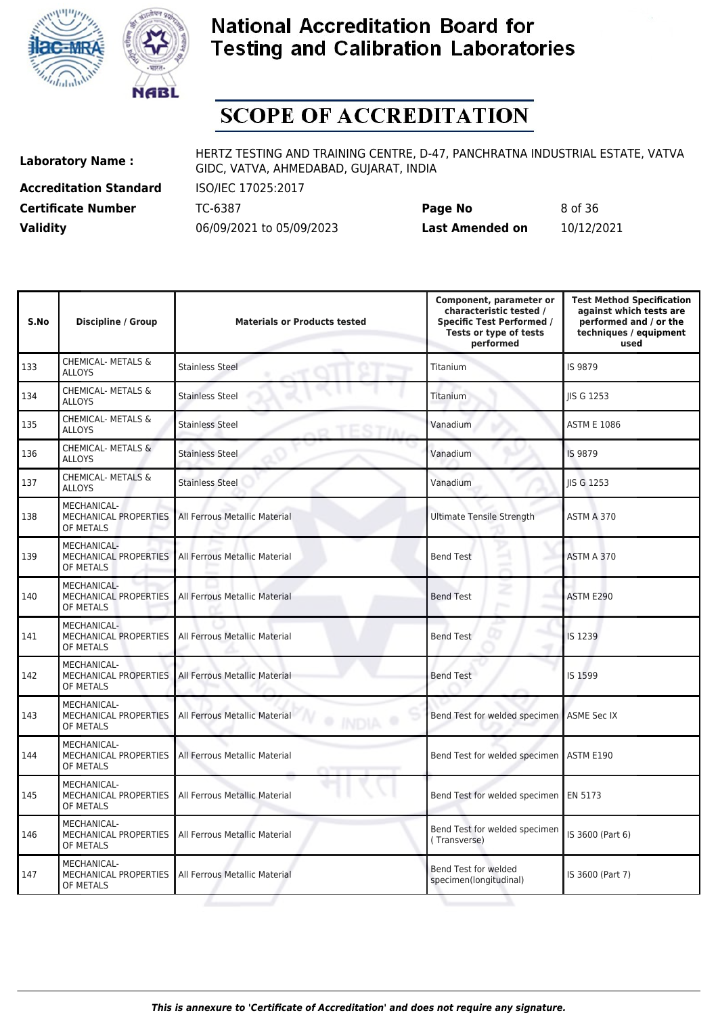



# **SCOPE OF ACCREDITATION**

**Accreditation Standard** ISO/IEC 17025:2017

**Laboratory Name :** HERTZ TESTING AND TRAINING CENTRE, D-47, PANCHRATNA INDUSTRIAL ESTATE, VATVA GIDC, VATVA, AHMEDABAD, GUJARAT, INDIA

**Certificate Number** TC-6387 **Page No** 8 of 36 **Validity** 06/09/2021 to 05/09/2023 **Last Amended on** 10/12/2021

| S.No | <b>Discipline / Group</b>                                       | <b>Materials or Products tested</b>           | Component, parameter or<br>characteristic tested /<br><b>Specific Test Performed /</b><br>Tests or type of tests<br>performed | <b>Test Method Specification</b><br>against which tests are<br>performed and / or the<br>techniques / equipment<br>used |
|------|-----------------------------------------------------------------|-----------------------------------------------|-------------------------------------------------------------------------------------------------------------------------------|-------------------------------------------------------------------------------------------------------------------------|
| 133  | <b>CHEMICAL- METALS &amp;</b><br><b>ALLOYS</b>                  | <b>Stainless Steel</b>                        | Titanium                                                                                                                      | IS 9879                                                                                                                 |
| 134  | <b>CHEMICAL- METALS &amp;</b><br><b>ALLOYS</b>                  | <b>Stainless Steel</b>                        | Titanium                                                                                                                      | <b>IIS G 1253</b>                                                                                                       |
| 135  | CHEMICAL- METALS &<br><b>ALLOYS</b>                             | <b>Stainless Steel</b>                        | Vanadium                                                                                                                      | <b>ASTM E 1086</b>                                                                                                      |
| 136  | CHEMICAL- METALS &<br><b>ALLOYS</b>                             | <b>Stainless Steel</b>                        | Vanadium                                                                                                                      | IS 9879                                                                                                                 |
| 137  | CHEMICAL- METALS &<br><b>ALLOYS</b>                             | <b>Stainless Steel</b>                        | Vanadium                                                                                                                      | JIS G 1253                                                                                                              |
| 138  | MECHANICAL-<br><b>MECHANICAL PROPERTIES</b><br>OF METALS        | All Ferrous Metallic Material                 | <b>Ultimate Tensile Strength</b>                                                                                              | ASTM A 370                                                                                                              |
| 139  | MECHANICAL-<br><b>MECHANICAL PROPERTIES</b><br>OF METALS        | All Ferrous Metallic Material                 | <b>Bend Test</b>                                                                                                              | ASTM A 370                                                                                                              |
| 140  | <b>MECHANICAL-</b><br><b>MECHANICAL PROPERTIES</b><br>OF METALS | All Ferrous Metallic Material                 | c<br><b>Bend Test</b>                                                                                                         | ASTM E290                                                                                                               |
| 141  | MECHANICAL-<br>MECHANICAL PROPERTIES<br>OF METALS               | All Ferrous Metallic Material                 | <b>Bend Test</b>                                                                                                              | IS 1239                                                                                                                 |
| 142  | MECHANICAL-<br>MECHANICAL PROPERTIES<br>OF METALS               | All Ferrous Metallic Material                 | <b>Bend Test</b>                                                                                                              | IS 1599                                                                                                                 |
| 143  | <b>MECHANICAL-</b><br><b>MECHANICAL PROPERTIES</b><br>OF METALS | All Ferrous Metallic Material<br><b>INDIA</b> | Bend Test for welded specimen                                                                                                 | <b>ASME Sec IX</b>                                                                                                      |
| 144  | MECHANICAL-<br>MECHANICAL PROPERTIES<br>OF METALS               | All Ferrous Metallic Material                 | Bend Test for welded specimen   ASTM E190                                                                                     |                                                                                                                         |
| 145  | MECHANICAL-<br>MECHANICAL PROPERTIES<br>OF METALS               | All Ferrous Metallic Material                 | Bend Test for welded specimen   EN 5173                                                                                       |                                                                                                                         |
| 146  | MECHANICAL-<br>MECHANICAL PROPERTIES<br>OF METALS               | All Ferrous Metallic Material                 | Bend Test for welded specimen<br>(Transverse)                                                                                 | IS 3600 (Part 6)                                                                                                        |
| 147  | MECHANICAL-<br>MECHANICAL PROPERTIES<br>OF METALS               | All Ferrous Metallic Material                 | Bend Test for welded<br>specimen(longitudinal)                                                                                | IS 3600 (Part 7)                                                                                                        |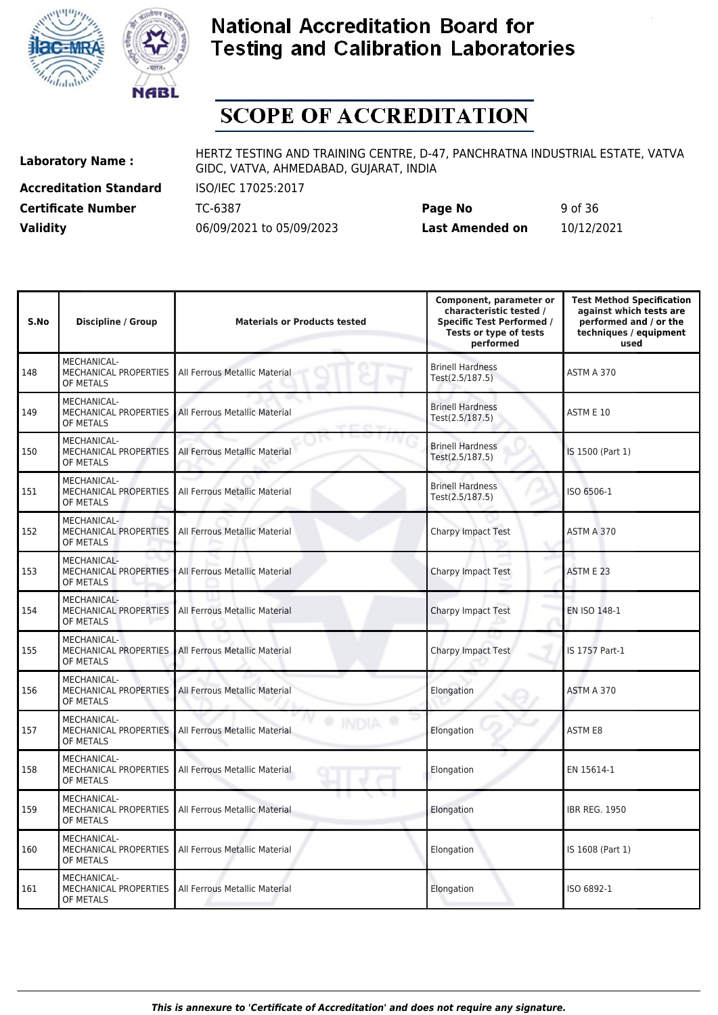



# **SCOPE OF ACCREDITATION**

**Accreditation Standard** ISO/IEC 17025:2017

**Laboratory Name :** HERTZ TESTING AND TRAINING CENTRE, D-47, PANCHRATNA INDUSTRIAL ESTATE, VATVA GIDC, VATVA, AHMEDABAD, GUJARAT, INDIA

**Certificate Number** TC-6387 **Page No** 9 of 36 **Validity** 06/09/2021 to 05/09/2023 **Last Amended on** 10/12/2021

| S.No | <b>Discipline / Group</b>                                       | <b>Materials or Products tested</b> | Component, parameter or<br>characteristic tested /<br><b>Specific Test Performed /</b><br>Tests or type of tests<br>performed | <b>Test Method Specification</b><br>against which tests are<br>performed and / or the<br>techniques / equipment<br>used |
|------|-----------------------------------------------------------------|-------------------------------------|-------------------------------------------------------------------------------------------------------------------------------|-------------------------------------------------------------------------------------------------------------------------|
| 148  | MECHANICAL-<br>MECHANICAL PROPERTIES<br>OF METALS               | All Ferrous Metallic Material       | <b>Brinell Hardness</b><br>Test(2.5/187.5)                                                                                    | ASTM A 370                                                                                                              |
| 149  | MECHANICAL-<br>MECHANICAL PROPERTIES<br>OF METALS               | All Ferrous Metallic Material       | <b>Brinell Hardness</b><br>Test(2.5/187.5)                                                                                    | ASTM E 10                                                                                                               |
| 150  | MECHANICAL-<br><b>MECHANICAL PROPERTIES</b><br>OF METALS        | All Ferrous Metallic Material       | <b>Brinell Hardness</b><br>Test(2.5/187.5)                                                                                    | IS 1500 (Part 1)                                                                                                        |
| 151  | MECHANICAL-<br><b>MECHANICAL PROPERTIES</b><br>OF METALS        | All Ferrous Metallic Material       | <b>Brinell Hardness</b><br>Test(2.5/187.5)                                                                                    | ISO 6506-1                                                                                                              |
| 152  | MECHANICAL-<br>MECHANICAL PROPERTIES<br>OF METALS               | All Ferrous Metallic Material       | <b>Charpy Impact Test</b>                                                                                                     | ASTM A 370                                                                                                              |
| 153  | MECHANICAL-<br>MECHANICAL PROPERTIES<br>OF METALS               | All Ferrous Metallic Material       | Charpy Impact Test                                                                                                            | ASTM E 23                                                                                                               |
| 154  | <b>MECHANICAL-</b><br><b>MECHANICAL PROPERTIES</b><br>OF METALS | All Ferrous Metallic Material       | Charpy Impact Test                                                                                                            | EN ISO 148-1                                                                                                            |
| 155  | MECHANICAL-<br>MECHANICAL PROPERTIES<br>OF METALS               | All Ferrous Metallic Material       | <b>Charpy Impact Test</b>                                                                                                     | IS 1757 Part-1                                                                                                          |
| 156  | MECHANICAL-<br>MECHANICAL PROPERTIES<br>OF METALS               | All Ferrous Metallic Material       | Elongation                                                                                                                    | ASTM A 370                                                                                                              |
| 157  | MECHANICAL-<br>MECHANICAL PROPERTIES<br>OF METALS               | All Ferrous Metallic Material       | Elongation                                                                                                                    | <b>ASTM E8</b>                                                                                                          |
| 158  | MECHANICAL-<br><b>MECHANICAL PROPERTIES</b><br>OF METALS        | All Ferrous Metallic Material       | Elongation                                                                                                                    | EN 15614-1                                                                                                              |
| 159  | <b>MECHANICAL-</b><br>MECHANICAL PROPERTIES<br>OF METALS        | All Ferrous Metallic Material       | Elongation                                                                                                                    | <b>IBR REG. 1950</b>                                                                                                    |
| 160  | MECHANICAL-<br><b>MECHANICAL PROPERTIES</b><br>OF METALS        | All Ferrous Metallic Material       | Elongation                                                                                                                    | IS 1608 (Part 1)                                                                                                        |
| 161  | <b>MECHANICAL-</b><br><b>MECHANICAL PROPERTIES</b><br>OF METALS | All Ferrous Metallic Material       | Elongation                                                                                                                    | ISO 6892-1                                                                                                              |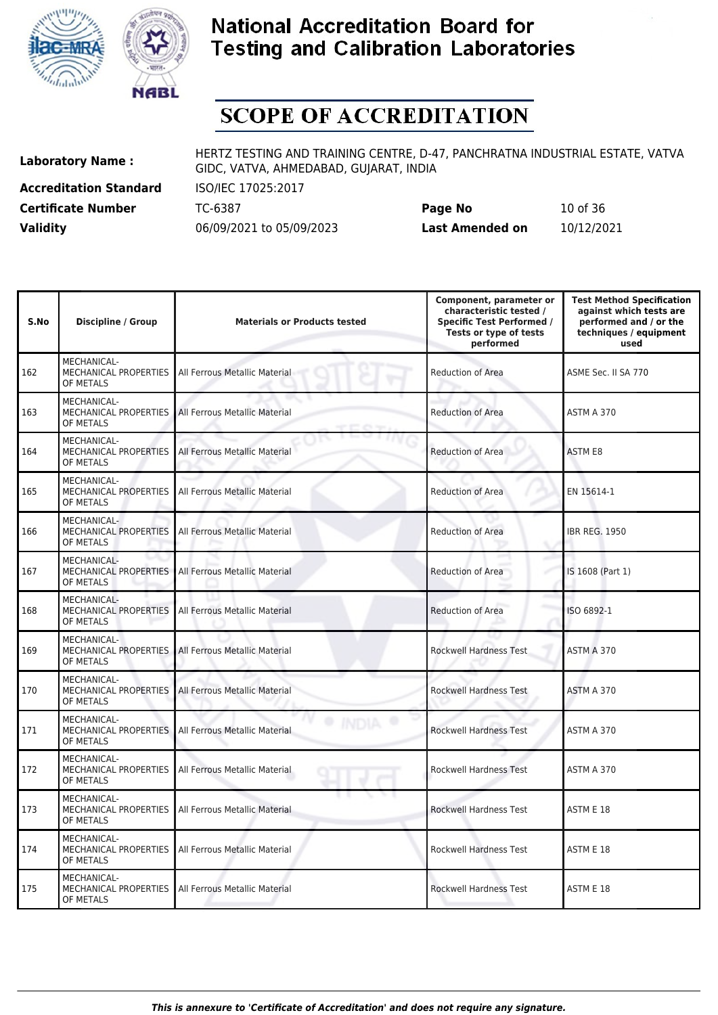



# **SCOPE OF ACCREDITATION**

**Accreditation Standard** ISO/IEC 17025:2017

**Laboratory Name :** HERTZ TESTING AND TRAINING CENTRE, D-47, PANCHRATNA INDUSTRIAL ESTATE, VATVA GIDC, VATVA, AHMEDABAD, GUJARAT, INDIA

**Certificate Number** TC-6387 **Page No** 10 of 36 **Validity** 06/09/2021 to 05/09/2023 **Last Amended on** 10/12/2021

| S.No | <b>Discipline / Group</b>                                | <b>Materials or Products tested</b> | Component, parameter or<br>characteristic tested /<br><b>Specific Test Performed /</b><br>Tests or type of tests<br>performed | <b>Test Method Specification</b><br>against which tests are<br>performed and / or the<br>techniques / equipment<br>used |
|------|----------------------------------------------------------|-------------------------------------|-------------------------------------------------------------------------------------------------------------------------------|-------------------------------------------------------------------------------------------------------------------------|
| 162  | <b>MECHANICAL-</b><br>MECHANICAL PROPERTIES<br>OF METALS | All Ferrous Metallic Material       | <b>Reduction of Area</b>                                                                                                      | ASME Sec. II SA 770                                                                                                     |
| 163  | <b>MECHANICAL-</b><br>MECHANICAL PROPERTIES<br>OF METALS | All Ferrous Metallic Material       | <b>Reduction of Area</b>                                                                                                      | ASTM A 370                                                                                                              |
| 164  | MECHANICAL-<br><b>MECHANICAL PROPERTIES</b><br>OF METALS | All Ferrous Metallic Material       | <b>Reduction of Area</b>                                                                                                      | <b>ASTM E8</b>                                                                                                          |
| 165  | <b>MECHANICAL-</b><br>MECHANICAL PROPERTIES<br>OF METALS | All Ferrous Metallic Material       | Reduction of Area                                                                                                             | EN 15614-1                                                                                                              |
| 166  | MECHANICAL-<br>MECHANICAL PROPERTIES<br>OF METALS        | All Ferrous Metallic Material       | <b>Reduction of Area</b>                                                                                                      | <b>IBR REG. 1950</b>                                                                                                    |
| 167  | MECHANICAL-<br>MECHANICAL PROPERTIES<br>OF METALS        | All Ferrous Metallic Material       | Reduction of Area                                                                                                             | IS 1608 (Part 1)                                                                                                        |
| 168  | MECHANICAL-<br>MECHANICAL PROPERTIES<br>OF METALS        | All Ferrous Metallic Material       | <b>Reduction of Area</b>                                                                                                      | ISO 6892-1                                                                                                              |
| 169  | MECHANICAL-<br>MECHANICAL PROPERTIES<br>OF METALS        | All Ferrous Metallic Material       | <b>Rockwell Hardness Test</b>                                                                                                 | ASTM A 370                                                                                                              |
| 170  | MECHANICAL-<br>MECHANICAL PROPERTIES<br>OF METALS        | All Ferrous Metallic Material       | Rockwell Hardness Test                                                                                                        | ASTM A 370                                                                                                              |
| 171  | MECHANICAL-<br>MECHANICAL PROPERTIES<br>OF METALS        | All Ferrous Metallic Material       | <b>Rockwell Hardness Test</b>                                                                                                 | ASTM A 370                                                                                                              |
| 172  | MECHANICAL-<br><b>MECHANICAL PROPERTIES</b><br>OF METALS | All Ferrous Metallic Material       | <b>Rockwell Hardness Test</b>                                                                                                 | ASTM A 370                                                                                                              |
| 173  | <b>MECHANICAL-</b><br>MECHANICAL PROPERTIES<br>OF METALS | All Ferrous Metallic Material       | <b>Rockwell Hardness Test</b>                                                                                                 | ASTM E 18                                                                                                               |
| 174  | <b>MECHANICAL-</b><br>MECHANICAL PROPERTIES<br>OF METALS | All Ferrous Metallic Material       | Rockwell Hardness Test                                                                                                        | ASTM E 18                                                                                                               |
| 175  | MECHANICAL-<br>MECHANICAL PROPERTIES<br>OF METALS        | All Ferrous Metallic Material       | <b>Rockwell Hardness Test</b>                                                                                                 | ASTM E 18                                                                                                               |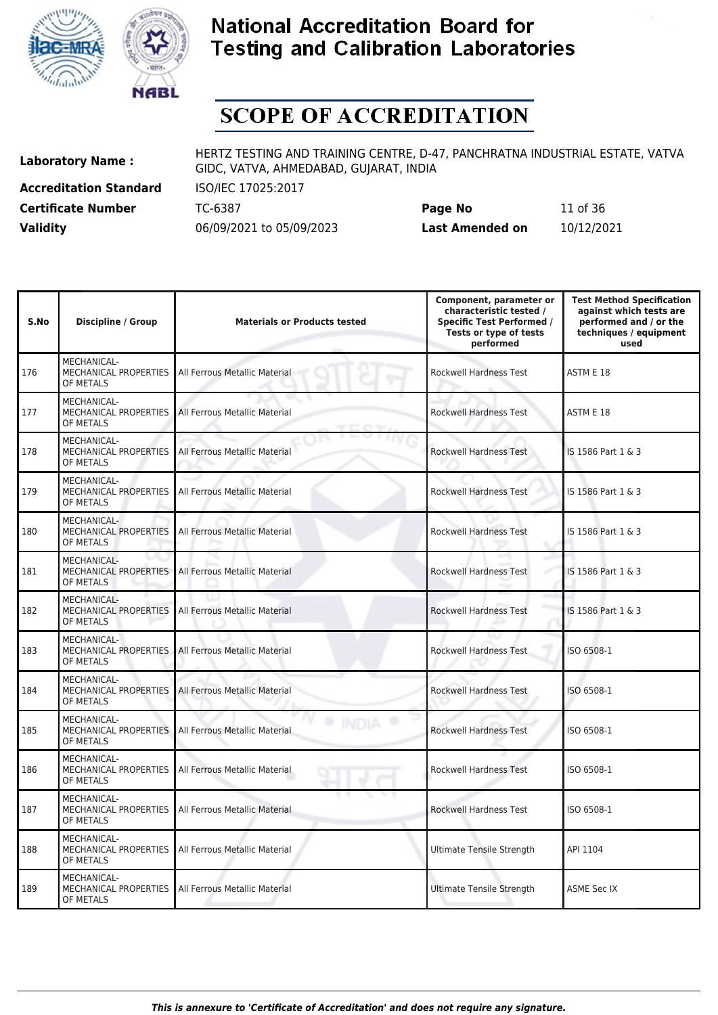



# **SCOPE OF ACCREDITATION**

**Accreditation Standard** ISO/IEC 17025:2017

**Laboratory Name :** HERTZ TESTING AND TRAINING CENTRE, D-47, PANCHRATNA INDUSTRIAL ESTATE, VATVA GIDC, VATVA, AHMEDABAD, GUJARAT, INDIA

**Certificate Number** TC-6387 **Page No** 11 of 36 **Validity** 06/09/2021 to 05/09/2023 **Last Amended on** 10/12/2021

| S.No | <b>Discipline / Group</b>                                       | <b>Materials or Products tested</b> | Component, parameter or<br>characteristic tested /<br><b>Specific Test Performed /</b><br>Tests or type of tests<br>performed | <b>Test Method Specification</b><br>against which tests are<br>performed and / or the<br>techniques / equipment<br>used |
|------|-----------------------------------------------------------------|-------------------------------------|-------------------------------------------------------------------------------------------------------------------------------|-------------------------------------------------------------------------------------------------------------------------|
| 176  | MECHANICAL-<br>MECHANICAL PROPERTIES<br>OF METALS               | All Ferrous Metallic Material       | <b>Rockwell Hardness Test</b>                                                                                                 | ASTM E 18                                                                                                               |
| 177  | <b>MECHANICAL-</b><br><b>MECHANICAL PROPERTIES</b><br>OF METALS | All Ferrous Metallic Material       | <b>Rockwell Hardness Test</b>                                                                                                 | ASTM E 18                                                                                                               |
| 178  | <b>MECHANICAL-</b><br>MECHANICAL PROPERTIES<br>OF METALS        | All Ferrous Metallic Material       | <b>Rockwell Hardness Test</b>                                                                                                 | IS 1586 Part 1 & 3                                                                                                      |
| 179  | <b>MECHANICAL-</b><br><b>MECHANICAL PROPERTIES</b><br>OF METALS | All Ferrous Metallic Material       | <b>Rockwell Hardness Test</b>                                                                                                 | IS 1586 Part 1 & 3                                                                                                      |
| 180  | MECHANICAL-<br>MECHANICAL PROPERTIES<br>OF METALS               | All Ferrous Metallic Material       | <b>Rockwell Hardness Test</b>                                                                                                 | IS 1586 Part 1 & 3                                                                                                      |
| 181  | MECHANICAL-<br>MECHANICAL PROPERTIES<br>OF METALS               | All Ferrous Metallic Material       | <b>Rockwell Hardness Test</b>                                                                                                 | IS 1586 Part 1 & 3                                                                                                      |
| 182  | MECHANICAL-<br><b>MECHANICAL PROPERTIES</b><br>OF METALS        | All Ferrous Metallic Material       | <b>Rockwell Hardness Test</b>                                                                                                 | IS 1586 Part 1 & 3                                                                                                      |
| 183  | MECHANICAL-<br>MECHANICAL PROPERTIES<br>OF METALS               | All Ferrous Metallic Material       | <b>Rockwell Hardness Test</b>                                                                                                 | ISO 6508-1                                                                                                              |
| 184  | MECHANICAL-<br>MECHANICAL PROPERTIES<br>OF METALS               | All Ferrous Metallic Material       | <b>Rockwell Hardness Test</b>                                                                                                 | ISO 6508-1                                                                                                              |
| 185  | MECHANICAL-<br>MECHANICAL PROPERTIES<br>OF METALS               | All Ferrous Metallic Material       | <b>Rockwell Hardness Test</b>                                                                                                 | ISO 6508-1                                                                                                              |
| 186  | <b>MECHANICAL-</b><br>MECHANICAL PROPERTIES<br>OF METALS        | All Ferrous Metallic Material       | <b>Rockwell Hardness Test</b>                                                                                                 | ISO 6508-1                                                                                                              |
| 187  | MECHANICAL-<br>MECHANICAL PROPERTIES<br>OF METALS               | All Ferrous Metallic Material       | Rockwell Hardness Test                                                                                                        | ISO 6508-1                                                                                                              |
| 188  | MECHANICAL-<br>MECHANICAL PROPERTIES<br>OF METALS               | All Ferrous Metallic Material       | <b>Ultimate Tensile Strength</b>                                                                                              | API 1104                                                                                                                |
| 189  | <b>MECHANICAL-</b><br>MECHANICAL PROPERTIES<br>OF METALS        | All Ferrous Metallic Material       | <b>Ultimate Tensile Strength</b>                                                                                              | <b>ASME Sec IX</b>                                                                                                      |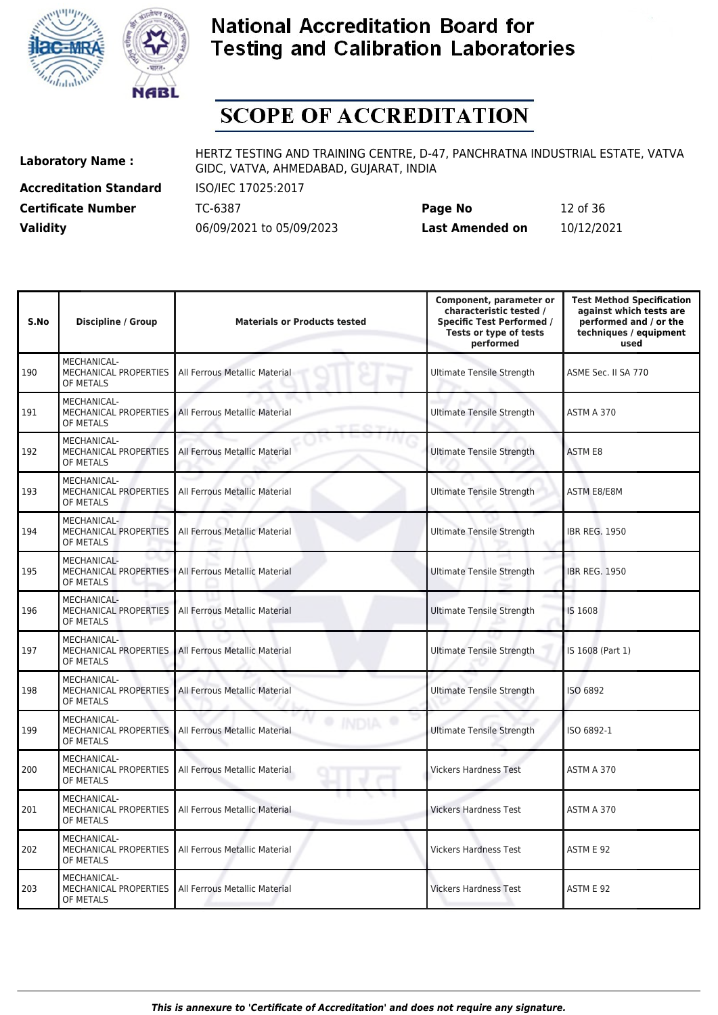



# **SCOPE OF ACCREDITATION**

**Accreditation Standard** ISO/IEC 17025:2017

**Laboratory Name :** HERTZ TESTING AND TRAINING CENTRE, D-47, PANCHRATNA INDUSTRIAL ESTATE, VATVA GIDC, VATVA, AHMEDABAD, GUJARAT, INDIA

**Certificate Number** TC-6387 **Page No** 12 of 36 **Validity** 06/09/2021 to 05/09/2023 **Last Amended on** 10/12/2021

| S.No | <b>Discipline / Group</b>                                       | <b>Materials or Products tested</b> | Component, parameter or<br>characteristic tested /<br><b>Specific Test Performed /</b><br>Tests or type of tests<br>performed | <b>Test Method Specification</b><br>against which tests are<br>performed and / or the<br>techniques / equipment<br>used |
|------|-----------------------------------------------------------------|-------------------------------------|-------------------------------------------------------------------------------------------------------------------------------|-------------------------------------------------------------------------------------------------------------------------|
| 190  | MECHANICAL-<br>MECHANICAL PROPERTIES<br>OF METALS               | All Ferrous Metallic Material       | <b>Ultimate Tensile Strength</b>                                                                                              | ASME Sec. II SA 770                                                                                                     |
| 191  | <b>MECHANICAL-</b><br><b>MECHANICAL PROPERTIES</b><br>OF METALS | All Ferrous Metallic Material       | <b>Ultimate Tensile Strength</b>                                                                                              | ASTM A 370                                                                                                              |
| 192  | <b>MECHANICAL-</b><br>MECHANICAL PROPERTIES<br>OF METALS        | All Ferrous Metallic Material       | <b>Ultimate Tensile Strength</b>                                                                                              | <b>ASTM E8</b>                                                                                                          |
| 193  | <b>MECHANICAL-</b><br><b>MECHANICAL PROPERTIES</b><br>OF METALS | All Ferrous Metallic Material       | <b>Ultimate Tensile Strength</b>                                                                                              | <b>ASTM E8/E8M</b>                                                                                                      |
| 194  | MECHANICAL-<br>MECHANICAL PROPERTIES<br>OF METALS               | All Ferrous Metallic Material       | <b>Ultimate Tensile Strength</b>                                                                                              | <b>IBR REG. 1950</b>                                                                                                    |
| 195  | MECHANICAL-<br>MECHANICAL PROPERTIES<br>OF METALS               | All Ferrous Metallic Material       | <b>Ultimate Tensile Strength</b>                                                                                              | <b>IBR REG. 1950</b>                                                                                                    |
| 196  | MECHANICAL-<br><b>MECHANICAL PROPERTIES</b><br>OF METALS        | All Ferrous Metallic Material       | <b>Ultimate Tensile Strength</b>                                                                                              | IS 1608                                                                                                                 |
| 197  | MECHANICAL-<br>MECHANICAL PROPERTIES<br>OF METALS               | All Ferrous Metallic Material       | <b>Ultimate Tensile Strength</b>                                                                                              | IS 1608 (Part 1)                                                                                                        |
| 198  | MECHANICAL-<br><b>MECHANICAL PROPERTIES</b><br>OF METALS        | All Ferrous Metallic Material       | <b>Ultimate Tensile Strength</b>                                                                                              | ISO 6892                                                                                                                |
| 199  | MECHANICAL-<br>MECHANICAL PROPERTIES<br>OF METALS               | All Ferrous Metallic Material       | <b>Ultimate Tensile Strength</b>                                                                                              | ISO 6892-1                                                                                                              |
| 200  | MECHANICAL-<br>MECHANICAL PROPERTIES<br>OF METALS               | All Ferrous Metallic Material       | <b>Vickers Hardness Test</b>                                                                                                  | ASTM A 370                                                                                                              |
| 201  | MECHANICAL-<br>MECHANICAL PROPERTIES<br>OF METALS               | All Ferrous Metallic Material       | <b>Vickers Hardness Test</b>                                                                                                  | ASTM A 370                                                                                                              |
| 202  | MECHANICAL-<br>MECHANICAL PROPERTIES<br>OF METALS               | All Ferrous Metallic Material       | <b>Vickers Hardness Test</b>                                                                                                  | ASTM E 92                                                                                                               |
| 203  | <b>MECHANICAL-</b><br>MECHANICAL PROPERTIES<br>OF METALS        | All Ferrous Metallic Material       | <b>Vickers Hardness Test</b>                                                                                                  | ASTM E 92                                                                                                               |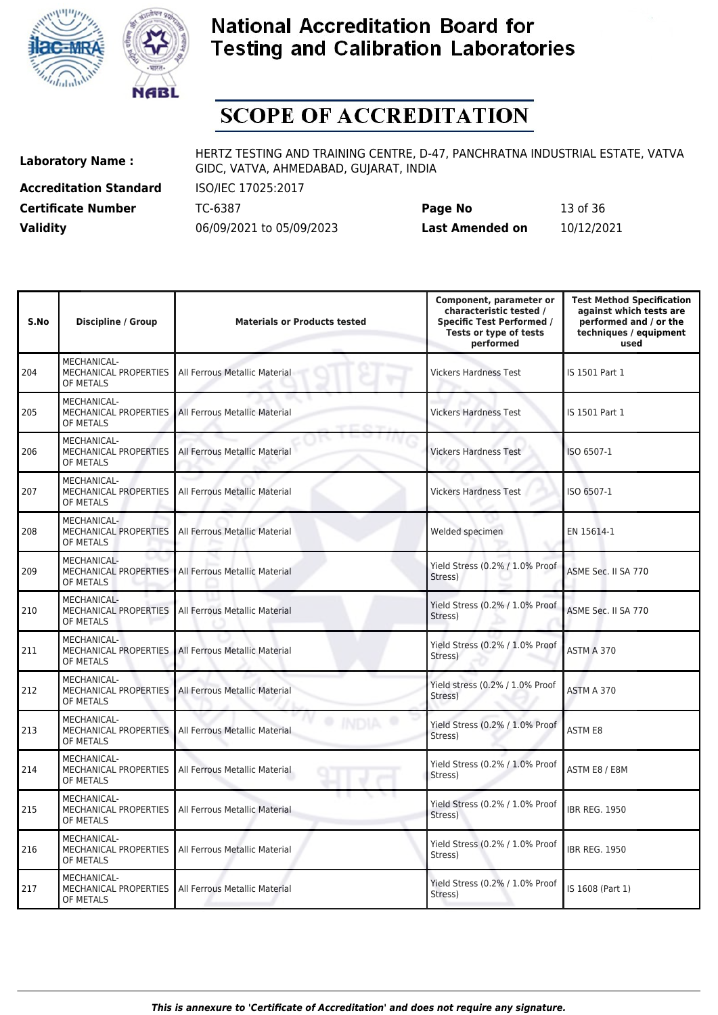



# **SCOPE OF ACCREDITATION**

**Accreditation Standard** ISO/IEC 17025:2017

**Laboratory Name :** HERTZ TESTING AND TRAINING CENTRE, D-47, PANCHRATNA INDUSTRIAL ESTATE, VATVA GIDC, VATVA, AHMEDABAD, GUJARAT, INDIA

**Certificate Number** TC-6387 **Page No** 13 of 36 **Validity** 06/09/2021 to 05/09/2023 **Last Amended on** 10/12/2021

| S.No | <b>Discipline / Group</b>                                       | <b>Materials or Products tested</b> | Component, parameter or<br>characteristic tested /<br><b>Specific Test Performed /</b><br>Tests or type of tests<br>performed | <b>Test Method Specification</b><br>against which tests are<br>performed and / or the<br>techniques / equipment<br>used |
|------|-----------------------------------------------------------------|-------------------------------------|-------------------------------------------------------------------------------------------------------------------------------|-------------------------------------------------------------------------------------------------------------------------|
| 204  | MECHANICAL-<br>MECHANICAL PROPERTIES<br>OF METALS               | All Ferrous Metallic Material       | <b>Vickers Hardness Test</b>                                                                                                  | IS 1501 Part 1                                                                                                          |
| 205  | MECHANICAL-<br>MECHANICAL PROPERTIES<br>OF METALS               | All Ferrous Metallic Material       | <b>Vickers Hardness Test</b>                                                                                                  | IS 1501 Part 1                                                                                                          |
| 206  | MECHANICAL-<br>MECHANICAL PROPERTIES<br>OF METALS               | All Ferrous Metallic Material       | <b>Vickers Hardness Test</b>                                                                                                  | ISO 6507-1                                                                                                              |
| 207  | MECHANICAL-<br><b>MECHANICAL PROPERTIES</b><br>OF METALS        | All Ferrous Metallic Material       | <b>Vickers Hardness Test</b>                                                                                                  | ISO 6507-1                                                                                                              |
| 208  | MECHANICAL-<br>MECHANICAL PROPERTIES<br>OF METALS               | All Ferrous Metallic Material       | Welded specimen                                                                                                               | EN 15614-1                                                                                                              |
| 209  | MECHANICAL-<br>MECHANICAL PROPERTIES<br>OF METALS               | All Ferrous Metallic Material       | Yield Stress (0.2% / 1.0% Proof<br>Stress)                                                                                    | ASME Sec. II SA 770                                                                                                     |
| 210  | <b>MECHANICAL-</b><br><b>MECHANICAL PROPERTIES</b><br>OF METALS | All Ferrous Metallic Material       | Yield Stress (0.2% / 1.0% Proof<br>Stress)                                                                                    | ASME Sec. II SA 770                                                                                                     |
| 211  | MECHANICAL-<br>MECHANICAL PROPERTIES<br>OF METALS               | All Ferrous Metallic Material       | Yield Stress (0.2% / 1.0% Proof<br>Stress)                                                                                    | ASTM A 370                                                                                                              |
| 212  | MECHANICAL-<br>MECHANICAL PROPERTIES<br>OF METALS               | All Ferrous Metallic Material       | Yield stress (0.2% / 1.0% Proof<br>Stress)                                                                                    | ASTM A 370                                                                                                              |
| 213  | MECHANICAL-<br>MECHANICAL PROPERTIES<br>OF METALS               | All Ferrous Metallic Material       | Yield Stress (0.2% / 1.0% Proof<br>Stress)                                                                                    | <b>ASTM E8</b>                                                                                                          |
| 214  | MECHANICAL-<br>MECHANICAL PROPERTIES<br>OF METALS               | All Ferrous Metallic Material       | Yield Stress (0.2% / 1.0% Proof<br>Stress)                                                                                    | ASTM E8 / E8M                                                                                                           |
| 215  | MECHANICAL-<br>MECHANICAL PROPERTIES<br>OF METALS               | All Ferrous Metallic Material       | Yield Stress (0.2% / 1.0% Proof<br>Stress)                                                                                    | <b>IBR REG. 1950</b>                                                                                                    |
| 216  | MECHANICAL-<br>MECHANICAL PROPERTIES<br>OF METALS               | All Ferrous Metallic Material       | Yield Stress (0.2% / 1.0% Proof<br>Stress)                                                                                    | <b>IBR REG. 1950</b>                                                                                                    |
| 217  | <b>MECHANICAL-</b><br>MECHANICAL PROPERTIES<br>OF METALS        | All Ferrous Metallic Material       | Yield Stress (0.2% / 1.0% Proof<br>Stress)                                                                                    | IS 1608 (Part 1)                                                                                                        |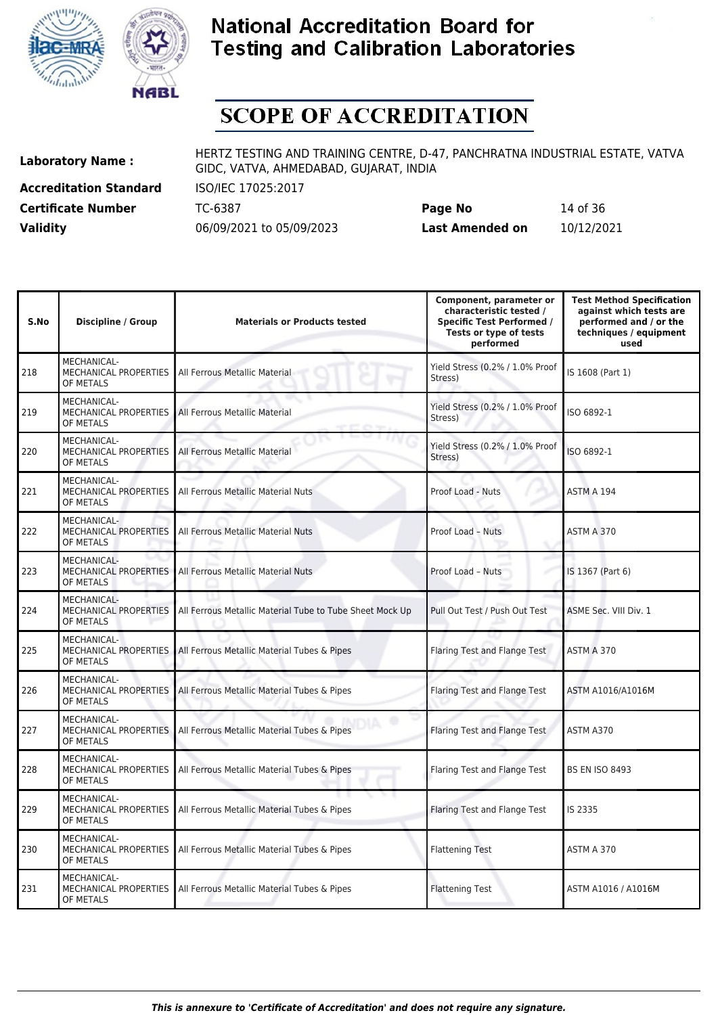



# **SCOPE OF ACCREDITATION**

**Accreditation Standard** ISO/IEC 17025:2017

**Laboratory Name :** HERTZ TESTING AND TRAINING CENTRE, D-47, PANCHRATNA INDUSTRIAL ESTATE, VATVA GIDC, VATVA, AHMEDABAD, GUJARAT, INDIA

**Certificate Number** TC-6387 **Page No** 14 of 36 **Validity** 06/09/2021 to 05/09/2023 **Last Amended on** 10/12/2021

| S.No | <b>Discipline / Group</b>                                | <b>Materials or Products tested</b>                      | Component, parameter or<br>characteristic tested /<br><b>Specific Test Performed /</b><br>Tests or type of tests<br>performed | <b>Test Method Specification</b><br>against which tests are<br>performed and / or the<br>techniques / equipment<br>used |
|------|----------------------------------------------------------|----------------------------------------------------------|-------------------------------------------------------------------------------------------------------------------------------|-------------------------------------------------------------------------------------------------------------------------|
| 218  | MECHANICAL-<br>MECHANICAL PROPERTIES<br>OF METALS        | All Ferrous Metallic Material                            | Yield Stress (0.2% / 1.0% Proof<br>Stress)                                                                                    | IS 1608 (Part 1)                                                                                                        |
| 219  | MECHANICAL-<br>MECHANICAL PROPERTIES<br>OF METALS        | All Ferrous Metallic Material                            | Yield Stress (0.2% / 1.0% Proof<br>Stress)                                                                                    | ISO 6892-1                                                                                                              |
| 220  | MECHANICAL-<br>MECHANICAL PROPERTIES<br>OF METALS        | All Ferrous Metallic Material                            | Yield Stress (0.2% / 1.0% Proof<br>Stress)                                                                                    | ISO 6892-1                                                                                                              |
| 221  | MECHANICAL-<br>MECHANICAL PROPERTIES<br>OF METALS        | All Ferrous Metallic Material Nuts                       | Proof Load - Nuts                                                                                                             | ASTM A 194                                                                                                              |
| 222  | MECHANICAL-<br>MECHANICAL PROPERTIES<br>OF METALS        | All Ferrous Metallic Material Nuts                       | Proof Load - Nuts                                                                                                             | ASTM A 370                                                                                                              |
| 223  | MECHANICAL-<br>MECHANICAL PROPERTIES<br>OF METALS        | All Ferrous Metallic Material Nuts                       | Proof Load - Nuts                                                                                                             | IS 1367 (Part 6)                                                                                                        |
| 224  | MECHANICAL-<br>MECHANICAL PROPERTIES<br>OF METALS        | All Ferrous Metallic Material Tube to Tube Sheet Mock Up | Pull Out Test / Push Out Test                                                                                                 | ASME Sec. VIII Div. 1                                                                                                   |
| 225  | MECHANICAL-<br>MECHANICAL PROPERTIES<br>OF METALS        | All Ferrous Metallic Material Tubes & Pipes              | Flaring Test and Flange Test                                                                                                  | ASTM A 370                                                                                                              |
| 226  | MECHANICAL-<br><b>MECHANICAL PROPERTIES</b><br>OF METALS | All Ferrous Metallic Material Tubes & Pipes              | Flaring Test and Flange Test                                                                                                  | ASTM A1016/A1016M                                                                                                       |
| 227  | MECHANICAL-<br>MECHANICAL PROPERTIES<br>OF METALS        | All Ferrous Metallic Material Tubes & Pipes              | Flaring Test and Flange Test                                                                                                  | ASTM A370                                                                                                               |
| 228  | MECHANICAL-<br>MECHANICAL PROPERTIES<br>OF METALS        | All Ferrous Metallic Material Tubes & Pipes              | Flaring Test and Flange Test                                                                                                  | <b>BS EN ISO 8493</b>                                                                                                   |
| 229  | MECHANICAL-<br>MECHANICAL PROPERTIES<br>OF METALS        | All Ferrous Metallic Material Tubes & Pipes              | Flaring Test and Flange Test                                                                                                  | IS 2335                                                                                                                 |
| 230  | MECHANICAL-<br>MECHANICAL PROPERTIES<br>OF METALS        | All Ferrous Metallic Material Tubes & Pipes              | <b>Flattening Test</b>                                                                                                        | ASTM A 370                                                                                                              |
| 231  | MECHANICAL-<br>MECHANICAL PROPERTIES<br>OF METALS        | All Ferrous Metallic Material Tubes & Pipes              | <b>Flattening Test</b>                                                                                                        | ASTM A1016 / A1016M                                                                                                     |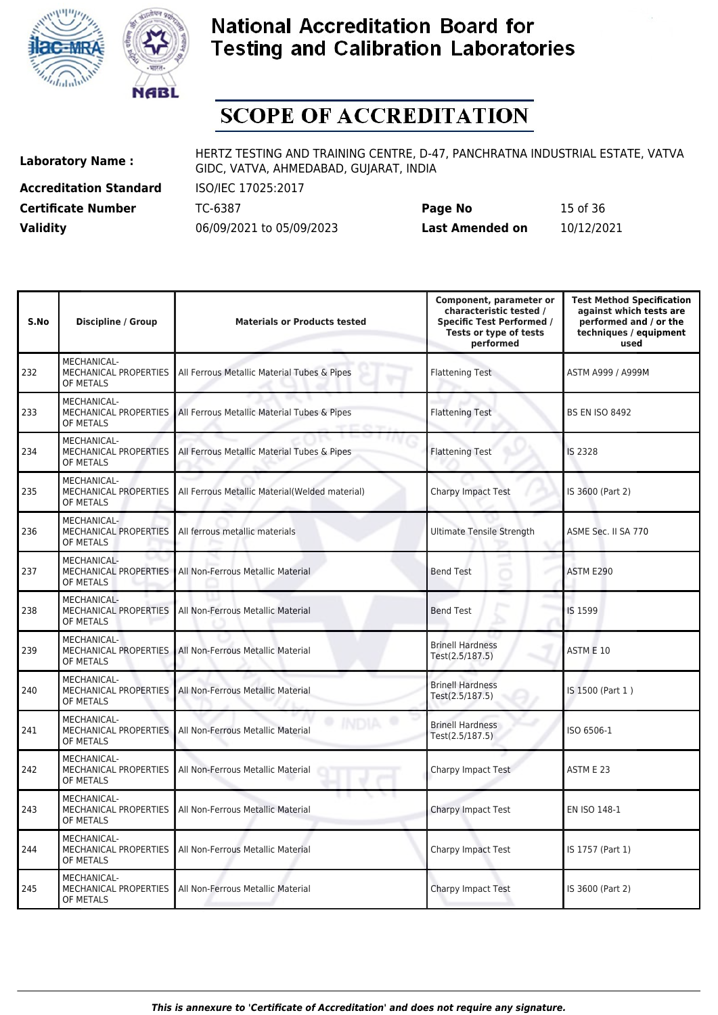



# **SCOPE OF ACCREDITATION**

**Accreditation Standard** ISO/IEC 17025:2017

**Laboratory Name :** HERTZ TESTING AND TRAINING CENTRE, D-47, PANCHRATNA INDUSTRIAL ESTATE, VATVA GIDC, VATVA, AHMEDABAD, GUJARAT, INDIA

**Certificate Number** TC-6387 **Page No** 15 of 36 **Validity** 06/09/2021 to 05/09/2023 **Last Amended on** 10/12/2021

| S.No | <b>Discipline / Group</b>                                | <b>Materials or Products tested</b>            | Component, parameter or<br>characteristic tested /<br><b>Specific Test Performed /</b><br>Tests or type of tests<br>performed | <b>Test Method Specification</b><br>against which tests are<br>performed and / or the<br>techniques / equipment<br>used |
|------|----------------------------------------------------------|------------------------------------------------|-------------------------------------------------------------------------------------------------------------------------------|-------------------------------------------------------------------------------------------------------------------------|
| 232  | MECHANICAL-<br>MECHANICAL PROPERTIES<br>OF METALS        | All Ferrous Metallic Material Tubes & Pipes    | <b>Flattening Test</b>                                                                                                        | ASTM A999 / A999M                                                                                                       |
| 233  | MECHANICAL-<br>MECHANICAL PROPERTIES<br>OF METALS        | All Ferrous Metallic Material Tubes & Pipes    | <b>Flattening Test</b>                                                                                                        | <b>BS EN ISO 8492</b>                                                                                                   |
| 234  | MECHANICAL-<br>MECHANICAL PROPERTIES<br>OF METALS        | All Ferrous Metallic Material Tubes & Pipes    | <b>Flattening Test</b>                                                                                                        | <b>IS 2328</b>                                                                                                          |
| 235  | MECHANICAL-<br>MECHANICAL PROPERTIES<br>OF METALS        | All Ferrous Metallic Material(Welded material) | <b>Charpy Impact Test</b>                                                                                                     | IS 3600 (Part 2)                                                                                                        |
| 236  | MECHANICAL-<br><b>MECHANICAL PROPERTIES</b><br>OF METALS | All ferrous metallic materials                 | <b>Ultimate Tensile Strength</b>                                                                                              | ASME Sec. II SA 770                                                                                                     |
| 237  | MECHANICAL-<br>MECHANICAL PROPERTIES<br>OF METALS        | All Non-Ferrous Metallic Material              | <b>Bend Test</b>                                                                                                              | ASTM E290                                                                                                               |
| 238  | MECHANICAL-<br>MECHANICAL PROPERTIES<br>OF METALS        | All Non-Ferrous Metallic Material              | <b>Bend Test</b>                                                                                                              | IS 1599                                                                                                                 |
| 239  | MECHANICAL-<br>MECHANICAL PROPERTIES<br>OF METALS        | All Non-Ferrous Metallic Material              | <b>Brinell Hardness</b><br>Test(2.5/187.5)                                                                                    | ASTM E 10                                                                                                               |
| 240  | MECHANICAL-<br>MECHANICAL PROPERTIES<br>OF METALS        | All Non-Ferrous Metallic Material              | <b>Brinell Hardness</b><br>Test(2.5/187.5)                                                                                    | IS 1500 (Part 1)                                                                                                        |
| 241  | MECHANICAL-<br>MECHANICAL PROPERTIES<br>OF METALS        | All Non-Ferrous Metallic Material              | <b>Brinell Hardness</b><br>Test(2.5/187.5)                                                                                    | ISO 6506-1                                                                                                              |
| 242  | MECHANICAL-<br>MECHANICAL PROPERTIES<br>OF METALS        | All Non-Ferrous Metallic Material              | Charpy Impact Test                                                                                                            | ASTM E 23                                                                                                               |
| 243  | <b>MECHANICAL-</b><br>MECHANICAL PROPERTIES<br>OF METALS | All Non-Ferrous Metallic Material              | <b>Charpy Impact Test</b>                                                                                                     | EN ISO 148-1                                                                                                            |
| 244  | MECHANICAL-<br>MECHANICAL PROPERTIES<br>OF METALS        | All Non-Ferrous Metallic Material              | Charpy Impact Test                                                                                                            | IS 1757 (Part 1)                                                                                                        |
| 245  | MECHANICAL-<br><b>MECHANICAL PROPERTIES</b><br>OF METALS | All Non-Ferrous Metallic Material              | Charpy Impact Test                                                                                                            | IS 3600 (Part 2)                                                                                                        |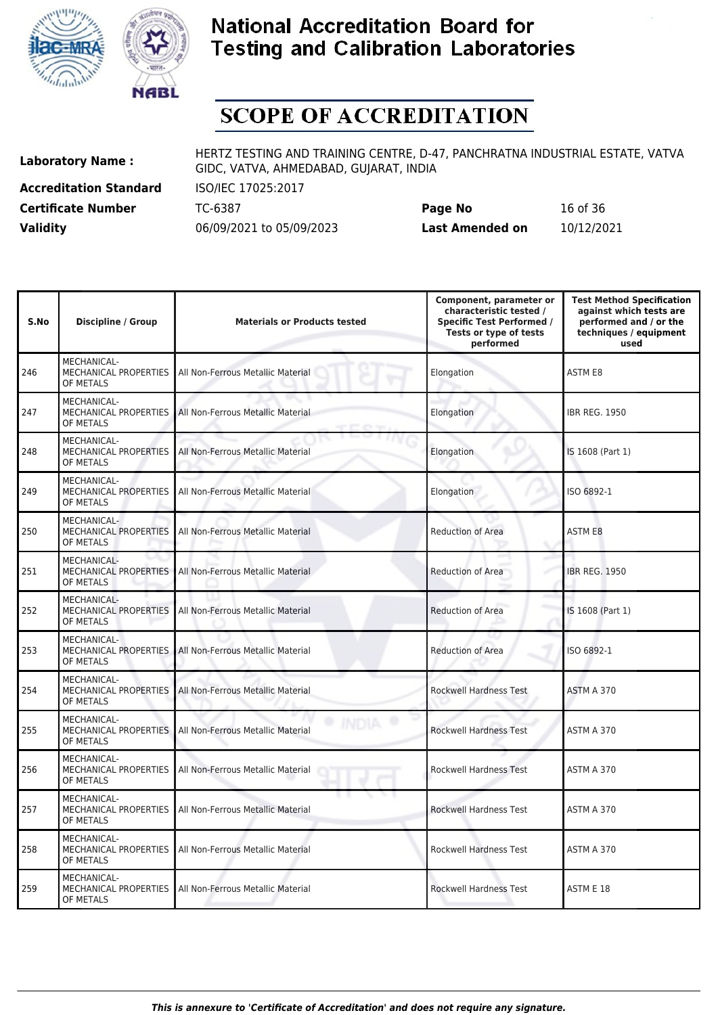



# **SCOPE OF ACCREDITATION**

**Accreditation Standard** ISO/IEC 17025:2017

**Laboratory Name :** HERTZ TESTING AND TRAINING CENTRE, D-47, PANCHRATNA INDUSTRIAL ESTATE, VATVA GIDC, VATVA, AHMEDABAD, GUJARAT, INDIA

**Certificate Number** TC-6387 **Page No** 16 of 36 **Validity** 06/09/2021 to 05/09/2023 **Last Amended on** 10/12/2021

| S.No | <b>Discipline / Group</b>                                       | <b>Materials or Products tested</b> | Component, parameter or<br>characteristic tested /<br><b>Specific Test Performed /</b><br>Tests or type of tests<br>performed | <b>Test Method Specification</b><br>against which tests are<br>performed and / or the<br>techniques / equipment<br>used |
|------|-----------------------------------------------------------------|-------------------------------------|-------------------------------------------------------------------------------------------------------------------------------|-------------------------------------------------------------------------------------------------------------------------|
| 246  | <b>MECHANICAL-</b><br>MECHANICAL PROPERTIES<br>OF METALS        | All Non-Ferrous Metallic Material   | Elongation                                                                                                                    | <b>ASTM E8</b>                                                                                                          |
| 247  | <b>MECHANICAL-</b><br>MECHANICAL PROPERTIES<br>OF METALS        | All Non-Ferrous Metallic Material   | Elongation                                                                                                                    | <b>IBR REG. 1950</b>                                                                                                    |
| 248  | MECHANICAL-<br><b>MECHANICAL PROPERTIES</b><br>OF METALS        | All Non-Ferrous Metallic Material   | Elongation                                                                                                                    | IS 1608 (Part 1)                                                                                                        |
| 249  | MECHANICAL-<br>MECHANICAL PROPERTIES<br>OF METALS               | All Non-Ferrous Metallic Material   | Elongation                                                                                                                    | ISO 6892-1                                                                                                              |
| 250  | MECHANICAL-<br>MECHANICAL PROPERTIES<br>OF METALS               | All Non-Ferrous Metallic Material   | <b>Reduction of Area</b>                                                                                                      | ASTM E8                                                                                                                 |
| 251  | <b>MECHANICAL-</b><br>MECHANICAL PROPERTIES<br>OF METALS        | All Non-Ferrous Metallic Material   | Reduction of Area                                                                                                             | <b>IBR REG. 1950</b>                                                                                                    |
| 252  | MECHANICAL-<br>MECHANICAL PROPERTIES<br>OF METALS               | All Non-Ferrous Metallic Material   | <b>Reduction of Area</b>                                                                                                      | IS 1608 (Part 1)                                                                                                        |
| 253  | MECHANICAL-<br>MECHANICAL PROPERTIES<br>OF METALS               | All Non-Ferrous Metallic Material   | <b>Reduction of Area</b>                                                                                                      | ISO 6892-1                                                                                                              |
| 254  | MECHANICAL-<br><b>MECHANICAL PROPERTIES</b><br>OF METALS        | All Non-Ferrous Metallic Material   | Rockwell Hardness Test                                                                                                        | ASTM A 370                                                                                                              |
| 255  | MECHANICAL-<br>MECHANICAL PROPERTIES<br>OF METALS               | All Non-Ferrous Metallic Material   | <b>Rockwell Hardness Test</b>                                                                                                 | ASTM A 370                                                                                                              |
| 256  | MECHANICAL-<br><b>MECHANICAL PROPERTIES</b><br>OF METALS        | All Non-Ferrous Metallic Material   | <b>Rockwell Hardness Test</b>                                                                                                 | ASTM A 370                                                                                                              |
| 257  | <b>MECHANICAL-</b><br><b>MECHANICAL PROPERTIES</b><br>OF METALS | All Non-Ferrous Metallic Material   | <b>Rockwell Hardness Test</b>                                                                                                 | ASTM A 370                                                                                                              |
| 258  | MECHANICAL-<br>MECHANICAL PROPERTIES<br>OF METALS               | All Non-Ferrous Metallic Material   | Rockwell Hardness Test                                                                                                        | ASTM A 370                                                                                                              |
| 259  | MECHANICAL-<br>MECHANICAL PROPERTIES<br>OF METALS               | All Non-Ferrous Metallic Material   | <b>Rockwell Hardness Test</b>                                                                                                 | ASTM E 18                                                                                                               |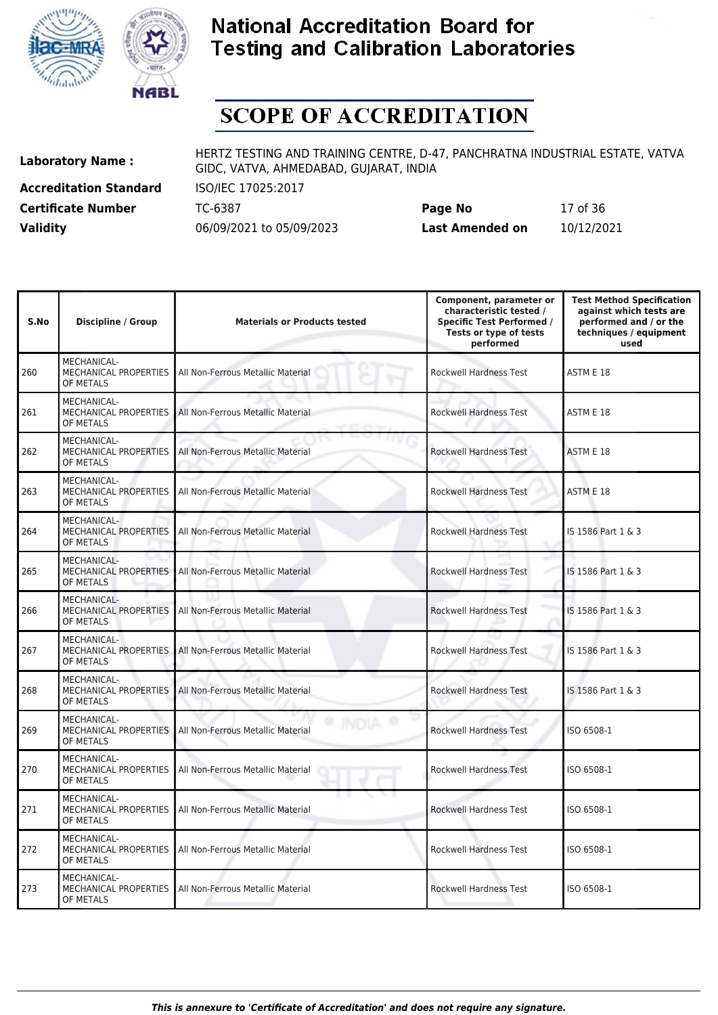



# **SCOPE OF ACCREDITATION**

**Accreditation Standard** ISO/IEC 17025:2017

**Laboratory Name :** HERTZ TESTING AND TRAINING CENTRE, D-47, PANCHRATNA INDUSTRIAL ESTATE, VATVA GIDC, VATVA, AHMEDABAD, GUJARAT, INDIA

**Certificate Number** TC-6387 **Page No** 17 of 36 **Validity** 06/09/2021 to 05/09/2023 **Last Amended on** 10/12/2021

| S.No | <b>Discipline / Group</b>                                | <b>Materials or Products tested</b> | Component, parameter or<br>characteristic tested /<br><b>Specific Test Performed /</b><br>Tests or type of tests<br>performed | <b>Test Method Specification</b><br>against which tests are<br>performed and / or the<br>techniques / equipment<br>used |
|------|----------------------------------------------------------|-------------------------------------|-------------------------------------------------------------------------------------------------------------------------------|-------------------------------------------------------------------------------------------------------------------------|
| 260  | MECHANICAL-<br>MECHANICAL PROPERTIES<br>OF METALS        | All Non-Ferrous Metallic Material   | <b>Rockwell Hardness Test</b>                                                                                                 | ASTM E 18                                                                                                               |
| 261  | MECHANICAL-<br>MECHANICAL PROPERTIES<br>OF METALS        | All Non-Ferrous Metallic Material   | <b>Rockwell Hardness Test</b>                                                                                                 | ASTM E 18                                                                                                               |
| 262  | MECHANICAL-<br>MECHANICAL PROPERTIES<br>OF METALS        | All Non-Ferrous Metallic Material   | <b>Rockwell Hardness Test</b>                                                                                                 | ASTM E 18                                                                                                               |
| 263  | MECHANICAL-<br>MECHANICAL PROPERTIES<br>OF METALS        | All Non-Ferrous Metallic Material   | <b>Rockwell Hardness Test</b>                                                                                                 | ASTM E 18                                                                                                               |
| 264  | MECHANICAL-<br><b>MECHANICAL PROPERTIES</b><br>OF METALS | All Non-Ferrous Metallic Material   | <b>Rockwell Hardness Test</b>                                                                                                 | IS 1586 Part 1 & 3                                                                                                      |
| 265  | MECHANICAL-<br>MECHANICAL PROPERTIES<br>OF METALS        | All Non-Ferrous Metallic Material   | <b>Rockwell Hardness Test</b>                                                                                                 | IS 1586 Part 1 & 3                                                                                                      |
| 266  | MECHANICAL-<br>MECHANICAL PROPERTIES<br>OF METALS        | All Non-Ferrous Metallic Material   | Rockwell Hardness Test                                                                                                        | IS 1586 Part 1 & 3                                                                                                      |
| 267  | MECHANICAL-<br>MECHANICAL PROPERTIES<br>OF METALS        | All Non-Ferrous Metallic Material   | <b>Rockwell Hardness Test</b>                                                                                                 | IS 1586 Part 1 & 3                                                                                                      |
| 268  | MECHANICAL-<br>MECHANICAL PROPERTIES<br>OF METALS        | All Non-Ferrous Metallic Material   | <b>Rockwell Hardness Test</b>                                                                                                 | IS 1586 Part 1 & 3                                                                                                      |
| 269  | <b>MECHANICAL-</b><br>MECHANICAL PROPERTIES<br>OF METALS | All Non-Ferrous Metallic Material   | <b>Rockwell Hardness Test</b>                                                                                                 | ISO 6508-1                                                                                                              |
| 270  | MECHANICAL-<br><b>MECHANICAL PROPERTIES</b><br>OF METALS | All Non-Ferrous Metallic Material   | <b>Rockwell Hardness Test</b>                                                                                                 | ISO 6508-1                                                                                                              |
| 271  | MECHANICAL-<br>MECHANICAL PROPERTIES<br>OF METALS        | All Non-Ferrous Metallic Material   | <b>Rockwell Hardness Test</b>                                                                                                 | ISO 6508-1                                                                                                              |
| 272  | MECHANICAL-<br>MECHANICAL PROPERTIES<br>OF METALS        | All Non-Ferrous Metallic Material   | Rockwell Hardness Test                                                                                                        | ISO 6508-1                                                                                                              |
| 273  | MECHANICAL-<br>MECHANICAL PROPERTIES<br>OF METALS        | All Non-Ferrous Metallic Material   | <b>Rockwell Hardness Test</b>                                                                                                 | ISO 6508-1                                                                                                              |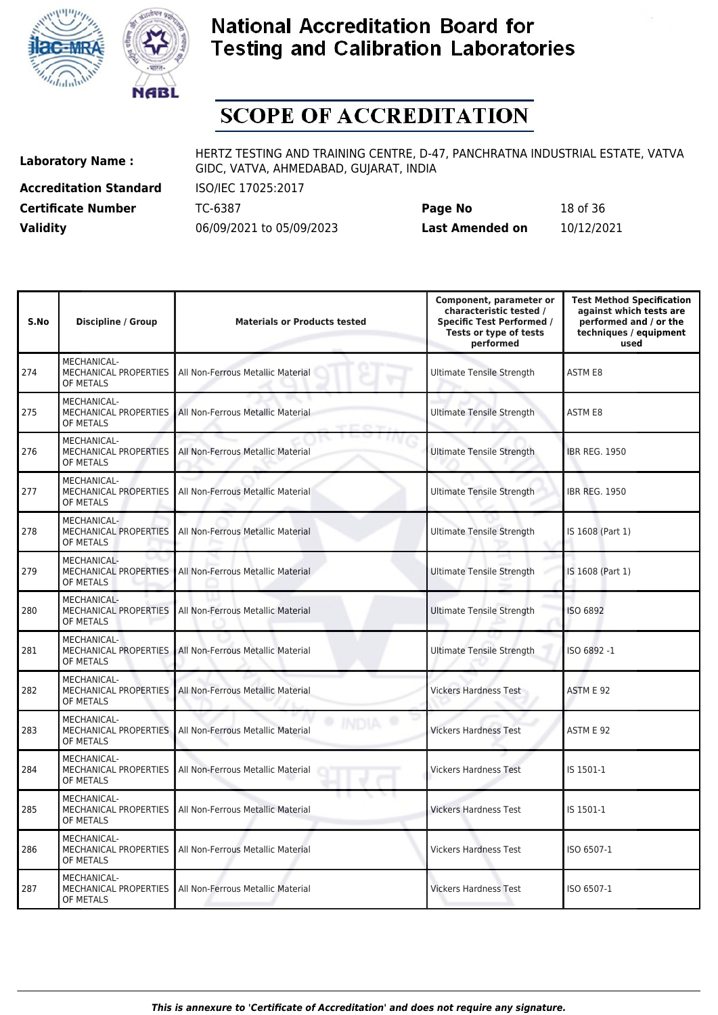



# **SCOPE OF ACCREDITATION**

**Accreditation Standard** ISO/IEC 17025:2017

**Laboratory Name :** HERTZ TESTING AND TRAINING CENTRE, D-47, PANCHRATNA INDUSTRIAL ESTATE, VATVA GIDC, VATVA, AHMEDABAD, GUJARAT, INDIA

**Certificate Number** TC-6387 **Page No** 18 of 36 **Validity** 06/09/2021 to 05/09/2023 **Last Amended on** 10/12/2021

| S.No | <b>Discipline / Group</b>                                       | <b>Materials or Products tested</b> | Component, parameter or<br>characteristic tested /<br><b>Specific Test Performed /</b><br>Tests or type of tests<br>performed | <b>Test Method Specification</b><br>against which tests are<br>performed and / or the<br>techniques / equipment<br>used |
|------|-----------------------------------------------------------------|-------------------------------------|-------------------------------------------------------------------------------------------------------------------------------|-------------------------------------------------------------------------------------------------------------------------|
| 274  | MECHANICAL-<br>MECHANICAL PROPERTIES<br>OF METALS               | All Non-Ferrous Metallic Material   | <b>Ultimate Tensile Strength</b>                                                                                              | <b>ASTM E8</b>                                                                                                          |
| 275  | <b>MECHANICAL-</b><br><b>MECHANICAL PROPERTIES</b><br>OF METALS | All Non-Ferrous Metallic Material   | <b>Ultimate Tensile Strength</b>                                                                                              | <b>ASTM E8</b>                                                                                                          |
| 276  | <b>MECHANICAL-</b><br>MECHANICAL PROPERTIES<br>OF METALS        | All Non-Ferrous Metallic Material   | <b>Ultimate Tensile Strength</b>                                                                                              | <b>IBR REG. 1950</b>                                                                                                    |
| 277  | <b>MECHANICAL-</b><br><b>MECHANICAL PROPERTIES</b><br>OF METALS | All Non-Ferrous Metallic Material   | <b>Ultimate Tensile Strength</b>                                                                                              | <b>IBR REG. 1950</b>                                                                                                    |
| 278  | MECHANICAL-<br><b>MECHANICAL PROPERTIES</b><br>OF METALS        | All Non-Ferrous Metallic Material   | <b>Ultimate Tensile Strength</b>                                                                                              | IS 1608 (Part 1)                                                                                                        |
| 279  | MECHANICAL-<br>MECHANICAL PROPERTIES<br>OF METALS               | All Non-Ferrous Metallic Material   | <b>Ultimate Tensile Strength</b>                                                                                              | IS 1608 (Part 1)                                                                                                        |
| 280  | MECHANICAL-<br><b>MECHANICAL PROPERTIES</b><br>OF METALS        | All Non-Ferrous Metallic Material   | <b>Ultimate Tensile Strength</b>                                                                                              | <b>ISO 6892</b>                                                                                                         |
| 281  | MECHANICAL-<br>MECHANICAL PROPERTIES<br>OF METALS               | All Non-Ferrous Metallic Material   | <b>Ultimate Tensile Strength</b>                                                                                              | ISO 6892-1                                                                                                              |
| 282  | MECHANICAL-<br>MECHANICAL PROPERTIES<br>OF METALS               | All Non-Ferrous Metallic Material   | <b>Vickers Hardness Test</b>                                                                                                  | ASTM E 92                                                                                                               |
| 283  | MECHANICAL-<br>MECHANICAL PROPERTIES<br>OF METALS               | All Non-Ferrous Metallic Material   | <b>Vickers Hardness Test</b>                                                                                                  | ASTM E 92                                                                                                               |
| 284  | <b>MECHANICAL-</b><br>MECHANICAL PROPERTIES<br>OF METALS        | All Non-Ferrous Metallic Material   | <b>Vickers Hardness Test</b>                                                                                                  | IS 1501-1                                                                                                               |
| 285  | <b>MECHANICAL-</b><br>MECHANICAL PROPERTIES<br>OF METALS        | All Non-Ferrous Metallic Material   | <b>Vickers Hardness Test</b>                                                                                                  | IS 1501-1                                                                                                               |
| 286  | MECHANICAL-<br>MECHANICAL PROPERTIES<br>OF METALS               | All Non-Ferrous Metallic Material   | <b>Vickers Hardness Test</b>                                                                                                  | ISO 6507-1                                                                                                              |
| 287  | <b>MECHANICAL-</b><br>MECHANICAL PROPERTIES<br>OF METALS        | All Non-Ferrous Metallic Material   | <b>Vickers Hardness Test</b>                                                                                                  | ISO 6507-1                                                                                                              |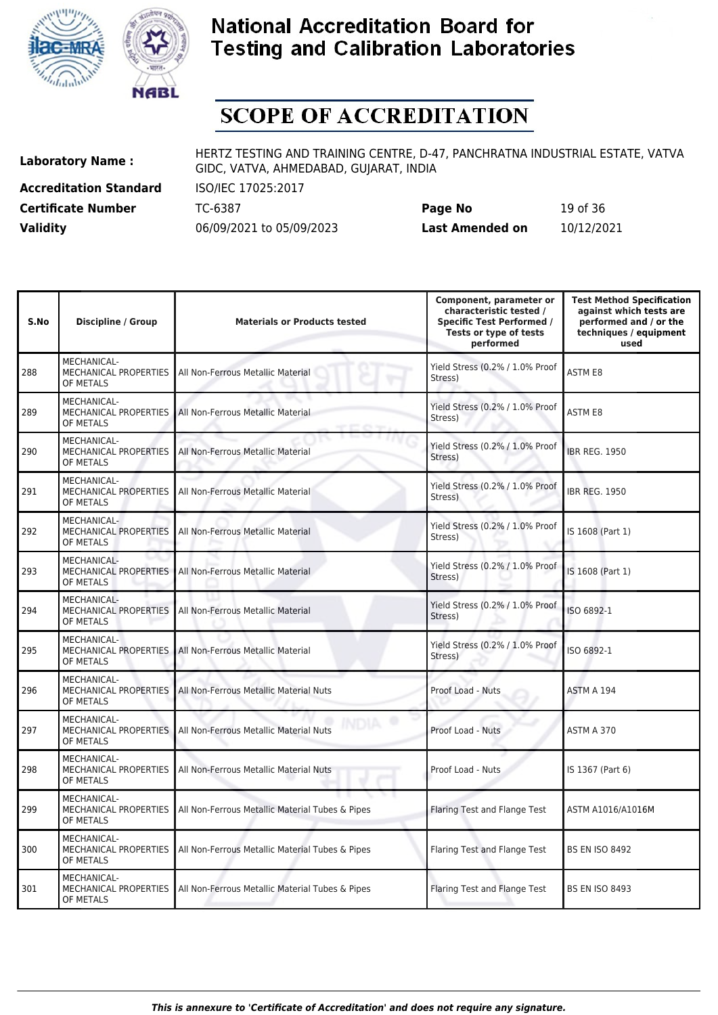



# **SCOPE OF ACCREDITATION**

**Accreditation Standard** ISO/IEC 17025:2017

**Laboratory Name :** HERTZ TESTING AND TRAINING CENTRE, D-47, PANCHRATNA INDUSTRIAL ESTATE, VATVA GIDC, VATVA, AHMEDABAD, GUJARAT, INDIA

**Certificate Number** TC-6387 **Page No** 19 of 36 **Validity** 06/09/2021 to 05/09/2023 **Last Amended on** 10/12/2021

| S.No | <b>Discipline / Group</b>                                | <b>Materials or Products tested</b>             | Component, parameter or<br>characteristic tested /<br><b>Specific Test Performed /</b><br>Tests or type of tests<br>performed | <b>Test Method Specification</b><br>against which tests are<br>performed and / or the<br>techniques / equipment<br>used |
|------|----------------------------------------------------------|-------------------------------------------------|-------------------------------------------------------------------------------------------------------------------------------|-------------------------------------------------------------------------------------------------------------------------|
| 288  | MECHANICAL-<br>MECHANICAL PROPERTIES<br>OF METALS        | All Non-Ferrous Metallic Material               | Yield Stress (0.2% / 1.0% Proof<br>Stress)                                                                                    | <b>ASTM E8</b>                                                                                                          |
| 289  | MECHANICAL-<br>MECHANICAL PROPERTIES<br>OF METALS        | All Non-Ferrous Metallic Material               | Yield Stress (0.2% / 1.0% Proof<br>Stress)                                                                                    | <b>ASTM E8</b>                                                                                                          |
| 290  | MECHANICAL-<br>MECHANICAL PROPERTIES<br>OF METALS        | All Non-Ferrous Metallic Material               | Yield Stress (0.2% / 1.0% Proof<br>Stress)                                                                                    | <b>IBR REG. 1950</b>                                                                                                    |
| 291  | MECHANICAL-<br>MECHANICAL PROPERTIES<br>OF METALS        | All Non-Ferrous Metallic Material               | Yield Stress (0.2% / 1.0% Proof<br>Stress)                                                                                    | <b>IBR REG. 1950</b>                                                                                                    |
| 292  | MECHANICAL-<br>MECHANICAL PROPERTIES<br>OF METALS        | All Non-Ferrous Metallic Material               | Yield Stress (0.2% / 1.0% Proof<br>Stress)                                                                                    | IS 1608 (Part 1)                                                                                                        |
| 293  | MECHANICAL-<br><b>MECHANICAL PROPERTIES</b><br>OF METALS | All Non-Ferrous Metallic Material               | Yield Stress (0.2% / 1.0% Proof<br>Stress)                                                                                    | IS 1608 (Part 1)                                                                                                        |
| 294  | <b>MECHANICAL-</b><br>MECHANICAL PROPERTIES<br>OF METALS | All Non-Ferrous Metallic Material               | Yield Stress (0.2% / 1.0% Proof<br>Stress)                                                                                    | ISO 6892-1                                                                                                              |
| 295  | MECHANICAL-<br><b>MECHANICAL PROPERTIES</b><br>OF METALS | All Non-Ferrous Metallic Material               | Yield Stress (0.2% / 1.0% Proof<br>Stress)                                                                                    | ISO 6892-1                                                                                                              |
| 296  | MECHANICAL-<br>MECHANICAL PROPERTIES<br>OF METALS        | All Non-Ferrous Metallic Material Nuts          | Proof Load - Nuts                                                                                                             | ASTM A 194                                                                                                              |
| 297  | MECHANICAL-<br>MECHANICAL PROPERTIES<br>OF METALS        | All Non-Ferrous Metallic Material Nuts          | Proof Load - Nuts                                                                                                             | ASTM A 370                                                                                                              |
| 298  | MECHANICAL-<br><b>MECHANICAL PROPERTIES</b><br>OF METALS | All Non-Ferrous Metallic Material Nuts          | Proof Load - Nuts                                                                                                             | IS 1367 (Part 6)                                                                                                        |
| 299  | <b>MECHANICAL-</b><br>MECHANICAL PROPERTIES<br>OF METALS | All Non-Ferrous Metallic Material Tubes & Pipes | Flaring Test and Flange Test                                                                                                  | ASTM A1016/A1016M                                                                                                       |
| 300  | <b>MECHANICAL-</b><br>MECHANICAL PROPERTIES<br>OF METALS | All Non-Ferrous Metallic Material Tubes & Pipes | Flaring Test and Flange Test                                                                                                  | <b>BS EN ISO 8492</b>                                                                                                   |
| 301  | MECHANICAL-<br>MECHANICAL PROPERTIES<br>OF METALS        | All Non-Ferrous Metallic Material Tubes & Pipes | Flaring Test and Flange Test                                                                                                  | <b>BS EN ISO 8493</b>                                                                                                   |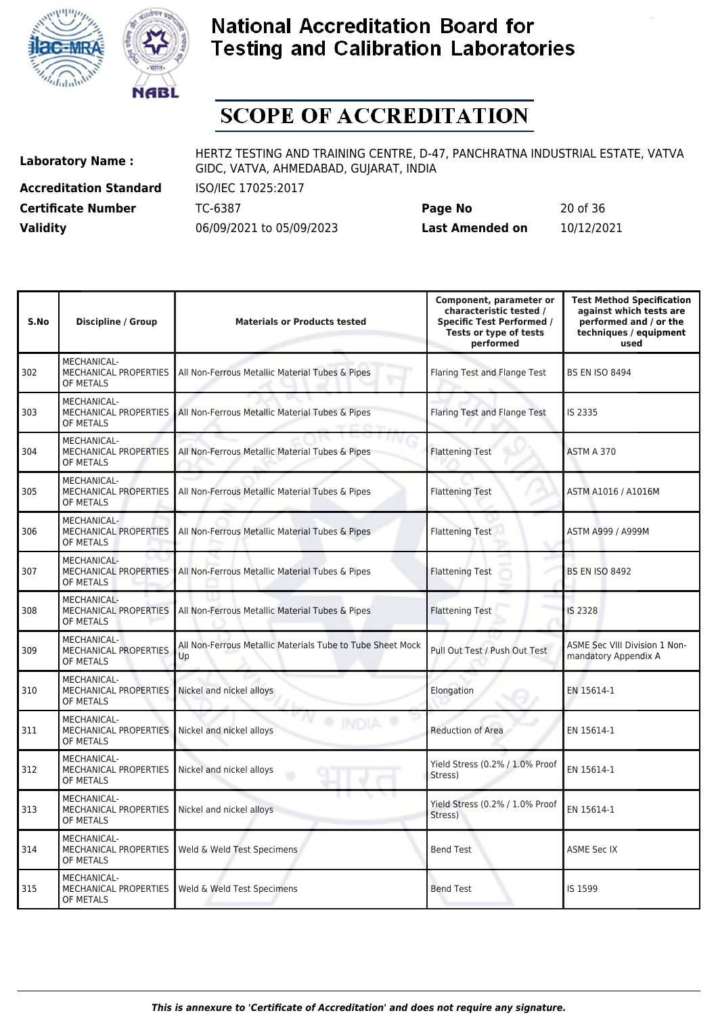



# **SCOPE OF ACCREDITATION**

**Accreditation Standard** ISO/IEC 17025:2017

**Laboratory Name :** HERTZ TESTING AND TRAINING CENTRE, D-47, PANCHRATNA INDUSTRIAL ESTATE, VATVA GIDC, VATVA, AHMEDABAD, GUJARAT, INDIA

**Certificate Number** TC-6387 **Page No** 20 of 36 **Validity** 06/09/2021 to 05/09/2023 **Last Amended on** 10/12/2021

| S.No | <b>Discipline / Group</b>                                       | <b>Materials or Products tested</b>                              | Component, parameter or<br>characteristic tested /<br><b>Specific Test Performed /</b><br>Tests or type of tests<br>performed | <b>Test Method Specification</b><br>against which tests are<br>performed and / or the<br>techniques / equipment<br>used |
|------|-----------------------------------------------------------------|------------------------------------------------------------------|-------------------------------------------------------------------------------------------------------------------------------|-------------------------------------------------------------------------------------------------------------------------|
| 302  | <b>MECHANICAL-</b><br>MECHANICAL PROPERTIES<br>OF METALS        | All Non-Ferrous Metallic Material Tubes & Pipes                  | Flaring Test and Flange Test                                                                                                  | <b>BS EN ISO 8494</b>                                                                                                   |
| 303  | MECHANICAL-<br>MECHANICAL PROPERTIES<br>OF METALS               | All Non-Ferrous Metallic Material Tubes & Pipes                  | Flaring Test and Flange Test                                                                                                  | IS 2335                                                                                                                 |
| 304  | MECHANICAL-<br><b>MECHANICAL PROPERTIES</b><br>OF METALS        | All Non-Ferrous Metallic Material Tubes & Pipes                  | <b>Flattening Test</b>                                                                                                        | ASTM A 370                                                                                                              |
| 305  | <b>MECHANICAL-</b><br><b>MECHANICAL PROPERTIES</b><br>OF METALS | All Non-Ferrous Metallic Material Tubes & Pipes                  | <b>Flattening Test</b>                                                                                                        | ASTM A1016 / A1016M                                                                                                     |
| 306  | MECHANICAL-<br><b>MECHANICAL PROPERTIES</b><br>OF METALS        | All Non-Ferrous Metallic Material Tubes & Pipes                  | <b>Flattening Test</b>                                                                                                        | ASTM A999 / A999M                                                                                                       |
| 307  | MECHANICAL-<br><b>MECHANICAL PROPERTIES</b><br>OF METALS        | All Non-Ferrous Metallic Material Tubes & Pipes                  | <b>Flattening Test</b>                                                                                                        | <b>BS EN ISO 8492</b>                                                                                                   |
| 308  | MECHANICAL-<br><b>MECHANICAL PROPERTIES</b><br>OF METALS        | All Non-Ferrous Metallic Material Tubes & Pipes                  | <b>Flattening Test</b>                                                                                                        | IS 2328                                                                                                                 |
| 309  | MECHANICAL-<br>MECHANICAL PROPERTIES<br>OF METALS               | All Non-Ferrous Metallic Materials Tube to Tube Sheet Mock<br>Up | Pull Out Test / Push Out Test                                                                                                 | ASME Sec VIII Division 1 Non-<br>mandatory Appendix A                                                                   |
| 310  | <b>MECHANICAL-</b><br>MECHANICAL PROPERTIES<br>OF METALS        | Nickel and nickel alloys                                         | Elongation                                                                                                                    | EN 15614-1                                                                                                              |
| 311  | <b>MECHANICAL-</b><br>MECHANICAL PROPERTIES<br>OF METALS        | Nickel and nickel alloys                                         | Reduction of Area                                                                                                             | EN 15614-1                                                                                                              |
| 312  | MECHANICAL-<br><b>MECHANICAL PROPERTIES</b><br>OF METALS        | Nickel and nickel alloys                                         | Yield Stress (0.2% / 1.0% Proof<br>Stress)                                                                                    | EN 15614-1                                                                                                              |
| 313  | <b>MECHANICAL-</b><br>MECHANICAL PROPERTIES<br>OF METALS        | Nickel and nickel alloys                                         | Yield Stress (0.2% / 1.0% Proof<br>Stress)                                                                                    | EN 15614-1                                                                                                              |
| 314  | MECHANICAL-<br>MECHANICAL PROPERTIES<br>OF METALS               | Weld & Weld Test Specimens                                       | <b>Bend Test</b>                                                                                                              | <b>ASME Sec IX</b>                                                                                                      |
| 315  | MECHANICAL-<br>MECHANICAL PROPERTIES<br>OF METALS               | Weld & Weld Test Specimens                                       | <b>Bend Test</b>                                                                                                              | IS 1599                                                                                                                 |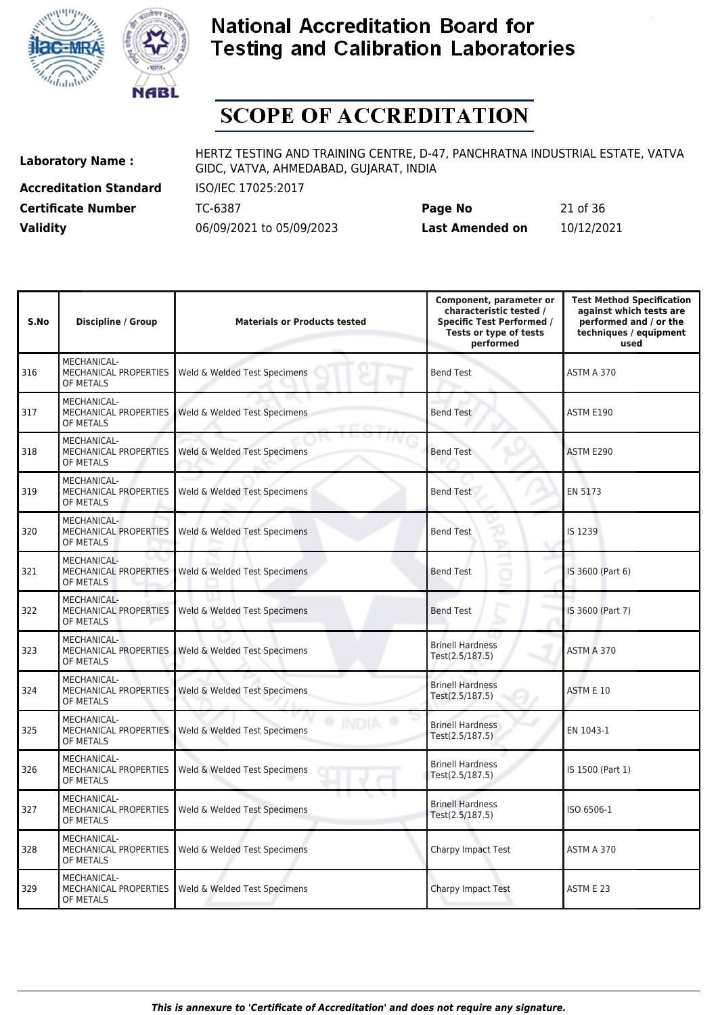



# **SCOPE OF ACCREDITATION**

**Accreditation Standard** ISO/IEC 17025:2017 **Certificate Number Page 10-12 TC-6387** 

**Laboratory Name :** HERTZ TESTING AND TRAINING CENTRE, D-47, PANCHRATNA INDUSTRIAL ESTATE, VATVA GIDC, VATVA, AHMEDABAD, GUJARAT, INDIA

| <b>Certificate Number</b> | TC-6387                  | Page No         | 21 of 36   |
|---------------------------|--------------------------|-----------------|------------|
| <b>Validity</b>           | 06/09/2021 to 05/09/2023 | Last Amended on | 10/12/2021 |

| S.No | <b>Discipline / Group</b>                                | <b>Materials or Products tested</b> | Component, parameter or<br>characteristic tested /<br><b>Specific Test Performed /</b><br>Tests or type of tests<br>performed | <b>Test Method Specification</b><br>against which tests are<br>performed and / or the<br>techniques / equipment<br>used |
|------|----------------------------------------------------------|-------------------------------------|-------------------------------------------------------------------------------------------------------------------------------|-------------------------------------------------------------------------------------------------------------------------|
| 316  | MECHANICAL-<br>MECHANICAL PROPERTIES<br>OF METALS        | Weld & Welded Test Specimens        | <b>Bend Test</b>                                                                                                              | ASTM A 370                                                                                                              |
| 317  | MECHANICAL-<br>MECHANICAL PROPERTIES<br>OF METALS        | Weld & Welded Test Specimens        | Bend Test                                                                                                                     | ASTM E190                                                                                                               |
| 318  | MECHANICAL-<br>MECHANICAL PROPERTIES<br>OF METALS        | Weld & Welded Test Specimens        | <b>Bend Test</b>                                                                                                              | ASTM E290                                                                                                               |
| 319  | MECHANICAL-<br>MECHANICAL PROPERTIES<br>OF METALS        | Weld & Welded Test Specimens        | <b>Bend Test</b>                                                                                                              | EN 5173                                                                                                                 |
| 320  | MECHANICAL-<br><b>MECHANICAL PROPERTIES</b><br>OF METALS | Weld & Welded Test Specimens        | <b>Bend Test</b><br>x                                                                                                         | IS 1239                                                                                                                 |
| 321  | MECHANICAL-<br><b>MECHANICAL PROPERTIES</b><br>OF METALS | Weld & Welded Test Specimens        | -<br><b>Bend Test</b>                                                                                                         | IS 3600 (Part 6)                                                                                                        |
| 322  | MECHANICAL-<br>MECHANICAL PROPERTIES<br>OF METALS        | Weld & Welded Test Specimens        | <b>Bend Test</b>                                                                                                              | IS 3600 (Part 7)                                                                                                        |
| 323  | MECHANICAL-<br>MECHANICAL PROPERTIES<br>OF METALS        | Weld & Welded Test Specimens        | <b>Brinell Hardness</b><br>Test(2.5/187.5)                                                                                    | ASTM A 370                                                                                                              |
| 324  | MECHANICAL-<br>MECHANICAL PROPERTIES<br>OF METALS        | Weld & Welded Test Specimens        | <b>Brinell Hardness</b><br>Test(2.5/187.5)                                                                                    | ASTM E 10                                                                                                               |
| 325  | MECHANICAL-<br>MECHANICAL PROPERTIES<br>OF METALS        | Weld & Welded Test Specimens        | <b>Brinell Hardness</b><br>Test(2.5/187.5)                                                                                    | EN 1043-1                                                                                                               |
| 326  | MECHANICAL-<br>MECHANICAL PROPERTIES<br>OF METALS        | Weld & Welded Test Specimens        | <b>Brinell Hardness</b><br>Test(2.5/187.5)                                                                                    | IS 1500 (Part 1)                                                                                                        |
| 327  | MECHANICAL-<br>MECHANICAL PROPERTIES<br>OF METALS        | Weld & Welded Test Specimens        | <b>Brinell Hardness</b><br>Test(2.5/187.5)                                                                                    | ISO 6506-1                                                                                                              |
| 328  | <b>MECHANICAL-</b><br>MECHANICAL PROPERTIES<br>OF METALS | Weld & Welded Test Specimens        | Charpy Impact Test                                                                                                            | ASTM A 370                                                                                                              |
| 329  | <b>MECHANICAL-</b><br>MECHANICAL PROPERTIES<br>OF METALS | Weld & Welded Test Specimens        | Charpy Impact Test                                                                                                            | ASTM E 23                                                                                                               |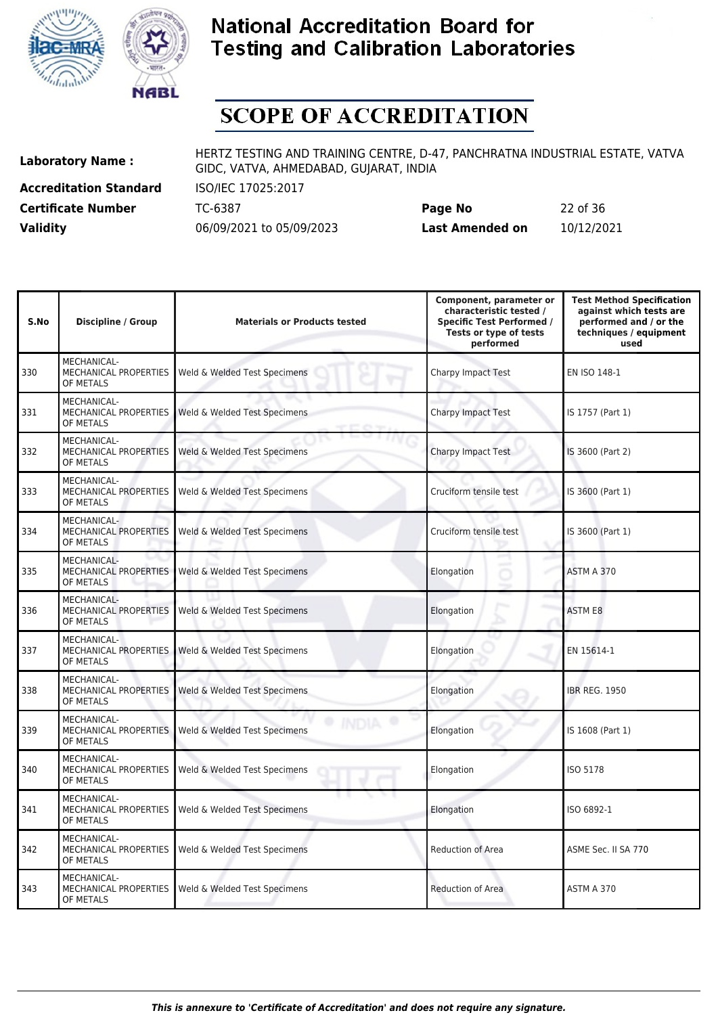



# **SCOPE OF ACCREDITATION**

**Accreditation Standard** ISO/IEC 17025:2017

**Laboratory Name :** HERTZ TESTING AND TRAINING CENTRE, D-47, PANCHRATNA INDUSTRIAL ESTATE, VATVA GIDC, VATVA, AHMEDABAD, GUJARAT, INDIA

**Certificate Number** TC-6387 **Page No** 22 of 36 **Validity** 06/09/2021 to 05/09/2023 **Last Amended on** 10/12/2021

| S.No | <b>Discipline / Group</b>                                       | <b>Materials or Products tested</b> | Component, parameter or<br>characteristic tested /<br><b>Specific Test Performed /</b><br>Tests or type of tests<br>performed | <b>Test Method Specification</b><br>against which tests are<br>performed and / or the<br>techniques / equipment<br>used |
|------|-----------------------------------------------------------------|-------------------------------------|-------------------------------------------------------------------------------------------------------------------------------|-------------------------------------------------------------------------------------------------------------------------|
| 330  | MECHANICAL-<br>MECHANICAL PROPERTIES<br>OF METALS               | Weld & Welded Test Specimens        | Charpy Impact Test                                                                                                            | EN ISO 148-1                                                                                                            |
| 331  | MECHANICAL-<br><b>MECHANICAL PROPERTIES</b><br>OF METALS        | Weld & Welded Test Specimens        | Charpy Impact Test                                                                                                            | IS 1757 (Part 1)                                                                                                        |
| 332  | <b>MECHANICAL-</b><br><b>MECHANICAL PROPERTIES</b><br>OF METALS | Weld & Welded Test Specimens        | Charpy Impact Test                                                                                                            | IS 3600 (Part 2)                                                                                                        |
| 333  | <b>MECHANICAL-</b><br><b>MECHANICAL PROPERTIES</b><br>OF METALS | Weld & Welded Test Specimens        | Cruciform tensile test                                                                                                        | IS 3600 (Part 1)                                                                                                        |
| 334  | MECHANICAL-<br><b>MECHANICAL PROPERTIES</b><br>OF METALS        | Weld & Welded Test Specimens        | Cruciform tensile test                                                                                                        | IS 3600 (Part 1)                                                                                                        |
| 335  | <b>MECHANICAL-</b><br><b>MECHANICAL PROPERTIES</b><br>OF METALS | Weld & Welded Test Specimens        | a,<br>Elongation                                                                                                              | ASTM A 370                                                                                                              |
| 336  | MECHANICAL-<br>MECHANICAL PROPERTIES<br>OF METALS               | Weld & Welded Test Specimens        | Elongation                                                                                                                    | <b>ASTM E8</b>                                                                                                          |
| 337  | MECHANICAL-<br>MECHANICAL PROPERTIES<br>OF METALS               | Weld & Welded Test Specimens        | Elongation                                                                                                                    | EN 15614-1                                                                                                              |
| 338  | MECHANICAL-<br>MECHANICAL PROPERTIES<br>OF METALS               | Weld & Welded Test Specimens        | Elongation                                                                                                                    | <b>IBR REG. 1950</b>                                                                                                    |
| 339  | <b>MECHANICAL-</b><br><b>MECHANICAL PROPERTIES</b><br>OF METALS | Weld & Welded Test Specimens        | Elongation                                                                                                                    | IS 1608 (Part 1)                                                                                                        |
| 340  | MECHANICAL-<br>MECHANICAL PROPERTIES<br>OF METALS               | Weld & Welded Test Specimens        | Elongation                                                                                                                    | ISO 5178                                                                                                                |
| 341  | MECHANICAL-<br>MECHANICAL PROPERTIES<br>OF METALS               | Weld & Welded Test Specimens        | Elongation                                                                                                                    | ISO 6892-1                                                                                                              |
| 342  | MECHANICAL-<br>MECHANICAL PROPERTIES<br>OF METALS               | Weld & Welded Test Specimens        | Reduction of Area                                                                                                             | ASME Sec. II SA 770                                                                                                     |
| 343  | MECHANICAL-<br>MECHANICAL PROPERTIES<br>OF METALS               | Weld & Welded Test Specimens        | Reduction of Area                                                                                                             | ASTM A 370                                                                                                              |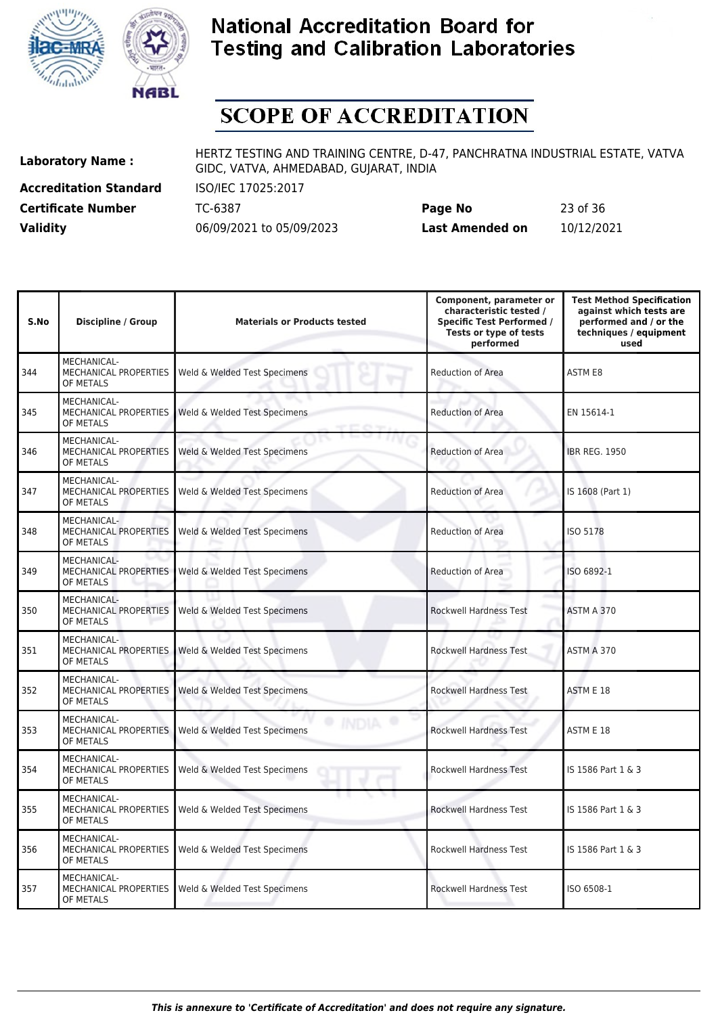



# **SCOPE OF ACCREDITATION**

**Accreditation Standard** ISO/IEC 17025:2017

**Laboratory Name :** HERTZ TESTING AND TRAINING CENTRE, D-47, PANCHRATNA INDUSTRIAL ESTATE, VATVA GIDC, VATVA, AHMEDABAD, GUJARAT, INDIA

**Certificate Number** TC-6387 **Page No** 23 of 36 **Validity** 06/09/2021 to 05/09/2023 **Last Amended on** 10/12/2021

| S.No | <b>Discipline / Group</b>                                | <b>Materials or Products tested</b> | Component, parameter or<br>characteristic tested /<br><b>Specific Test Performed /</b><br>Tests or type of tests<br>performed | <b>Test Method Specification</b><br>against which tests are<br>performed and / or the<br>techniques / equipment<br>used |
|------|----------------------------------------------------------|-------------------------------------|-------------------------------------------------------------------------------------------------------------------------------|-------------------------------------------------------------------------------------------------------------------------|
| 344  | MECHANICAL-<br>MECHANICAL PROPERTIES<br>OF METALS        | Weld & Welded Test Specimens        | <b>Reduction of Area</b>                                                                                                      | <b>ASTM E8</b>                                                                                                          |
| 345  | MECHANICAL-<br><b>MECHANICAL PROPERTIES</b><br>OF METALS | Weld & Welded Test Specimens        | <b>Reduction of Area</b>                                                                                                      | EN 15614-1                                                                                                              |
| 346  | MECHANICAL-<br><b>MECHANICAL PROPERTIES</b><br>OF METALS | Weld & Welded Test Specimens        | <b>Reduction of Area</b>                                                                                                      | <b>IBR REG. 1950</b>                                                                                                    |
| 347  | MECHANICAL-<br>MECHANICAL PROPERTIES<br>OF METALS        | Weld & Welded Test Specimens        | <b>Reduction of Area</b>                                                                                                      | IS 1608 (Part 1)                                                                                                        |
| 348  | MECHANICAL-<br><b>MECHANICAL PROPERTIES</b><br>OF METALS | Weld & Welded Test Specimens        | Reduction of Area<br>u                                                                                                        | ISO 5178                                                                                                                |
| 349  | <b>MECHANICAL-</b><br>MECHANICAL PROPERTIES<br>OF METALS | Weld & Welded Test Specimens        | -<br><b>Reduction of Area</b>                                                                                                 | ISO 6892-1                                                                                                              |
| 350  | MECHANICAL-<br>MECHANICAL PROPERTIES<br>OF METALS        | Weld & Welded Test Specimens        | <b>Rockwell Hardness Test</b>                                                                                                 | ASTM A 370                                                                                                              |
| 351  | MECHANICAL-<br>MECHANICAL PROPERTIES<br>OF METALS        | Weld & Welded Test Specimens        | <b>Rockwell Hardness Test</b>                                                                                                 | ASTM A 370                                                                                                              |
| 352  | MECHANICAL-<br><b>MECHANICAL PROPERTIES</b><br>OF METALS | Weld & Welded Test Specimens        | <b>Rockwell Hardness Test</b>                                                                                                 | ASTM E 18                                                                                                               |
| 353  | MECHANICAL-<br>MECHANICAL PROPERTIES<br>OF METALS        | Weld & Welded Test Specimens        | <b>Rockwell Hardness Test</b>                                                                                                 | ASTM E 18                                                                                                               |
| 354  | MECHANICAL-<br>MECHANICAL PROPERTIES<br>OF METALS        | Weld & Welded Test Specimens        | <b>Rockwell Hardness Test</b>                                                                                                 | IS 1586 Part 1 & 3                                                                                                      |
| 355  | <b>MECHANICAL-</b><br>MECHANICAL PROPERTIES<br>OF METALS | Weld & Welded Test Specimens        | <b>Rockwell Hardness Test</b>                                                                                                 | IS 1586 Part 1 & 3                                                                                                      |
| 356  | MECHANICAL-<br>MECHANICAL PROPERTIES<br>OF METALS        | Weld & Welded Test Specimens        | Rockwell Hardness Test                                                                                                        | IS 1586 Part 1 & 3                                                                                                      |
| 357  | MECHANICAL-<br><b>MECHANICAL PROPERTIES</b><br>OF METALS | Weld & Welded Test Specimens        | <b>Rockwell Hardness Test</b>                                                                                                 | ISO 6508-1                                                                                                              |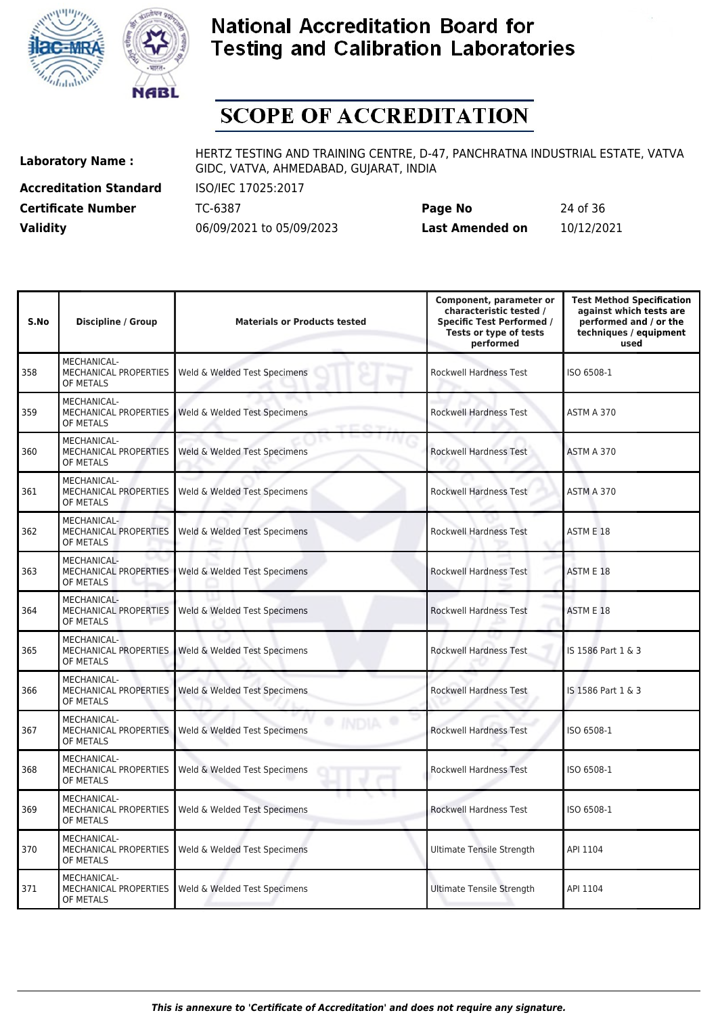



# **SCOPE OF ACCREDITATION**

**Accreditation Standard** ISO/IEC 17025:2017

**Laboratory Name :** HERTZ TESTING AND TRAINING CENTRE, D-47, PANCHRATNA INDUSTRIAL ESTATE, VATVA GIDC, VATVA, AHMEDABAD, GUJARAT, INDIA

**Certificate Number** TC-6387 **Page No** 24 of 36 **Validity** 06/09/2021 to 05/09/2023 **Last Amended on** 10/12/2021

| S.No | <b>Discipline / Group</b>                                       | <b>Materials or Products tested</b> | Component, parameter or<br>characteristic tested /<br><b>Specific Test Performed /</b><br>Tests or type of tests<br>performed | <b>Test Method Specification</b><br>against which tests are<br>performed and / or the<br>techniques / equipment<br>used |
|------|-----------------------------------------------------------------|-------------------------------------|-------------------------------------------------------------------------------------------------------------------------------|-------------------------------------------------------------------------------------------------------------------------|
| 358  | MECHANICAL-<br>MECHANICAL PROPERTIES<br>OF METALS               | Weld & Welded Test Specimens        | <b>Rockwell Hardness Test</b>                                                                                                 | ISO 6508-1                                                                                                              |
| 359  | <b>MECHANICAL-</b><br>MECHANICAL PROPERTIES<br>OF METALS        | Weld & Welded Test Specimens        | <b>Rockwell Hardness Test</b>                                                                                                 | ASTM A 370                                                                                                              |
| 360  | <b>MECHANICAL-</b><br>MECHANICAL PROPERTIES<br>OF METALS        | Weld & Welded Test Specimens        | <b>Rockwell Hardness Test</b>                                                                                                 | ASTM A 370                                                                                                              |
| 361  | <b>MECHANICAL-</b><br><b>MECHANICAL PROPERTIES</b><br>OF METALS | Weld & Welded Test Specimens        | <b>Rockwell Hardness Test</b>                                                                                                 | ASTM A 370                                                                                                              |
| 362  | MECHANICAL-<br>MECHANICAL PROPERTIES<br>OF METALS               | Weld & Welded Test Specimens        | Rockwell Hardness Test                                                                                                        | ASTM E 18                                                                                                               |
| 363  | MECHANICAL-<br>MECHANICAL PROPERTIES<br>OF METALS               | Weld & Welded Test Specimens        | <b>Rockwell Hardness Test</b>                                                                                                 | ASTM E 18                                                                                                               |
| 364  | MECHANICAL-<br>MECHANICAL PROPERTIES<br>OF METALS               | Weld & Welded Test Specimens        | <b>Rockwell Hardness Test</b>                                                                                                 | ASTM E 18                                                                                                               |
| 365  | MECHANICAL-<br>MECHANICAL PROPERTIES<br>OF METALS               | Weld & Welded Test Specimens        | <b>Rockwell Hardness Test</b>                                                                                                 | IS 1586 Part 1 & 3                                                                                                      |
| 366  | <b>MECHANICAL-</b><br>MECHANICAL PROPERTIES<br>OF METALS        | Weld & Welded Test Specimens        | <b>Rockwell Hardness Test</b>                                                                                                 | IS 1586 Part 1 & 3                                                                                                      |
| 367  | MECHANICAL-<br>MECHANICAL PROPERTIES<br>OF METALS               | Weld & Welded Test Specimens        | <b>Rockwell Hardness Test</b>                                                                                                 | ISO 6508-1                                                                                                              |
| 368  | <b>MECHANICAL-</b><br>MECHANICAL PROPERTIES<br>OF METALS        | Weld & Welded Test Specimens        | <b>Rockwell Hardness Test</b>                                                                                                 | ISO 6508-1                                                                                                              |
| 369  | <b>MECHANICAL-</b><br>MECHANICAL PROPERTIES<br>OF METALS        | Weld & Welded Test Specimens        | <b>Rockwell Hardness Test</b>                                                                                                 | ISO 6508-1                                                                                                              |
| 370  | MECHANICAL-<br>MECHANICAL PROPERTIES<br>OF METALS               | Weld & Welded Test Specimens        | <b>Ultimate Tensile Strength</b>                                                                                              | API 1104                                                                                                                |
| 371  | <b>MECHANICAL-</b><br>MECHANICAL PROPERTIES<br>OF METALS        | Weld & Welded Test Specimens        | Ultimate Tensile Strength                                                                                                     | API 1104                                                                                                                |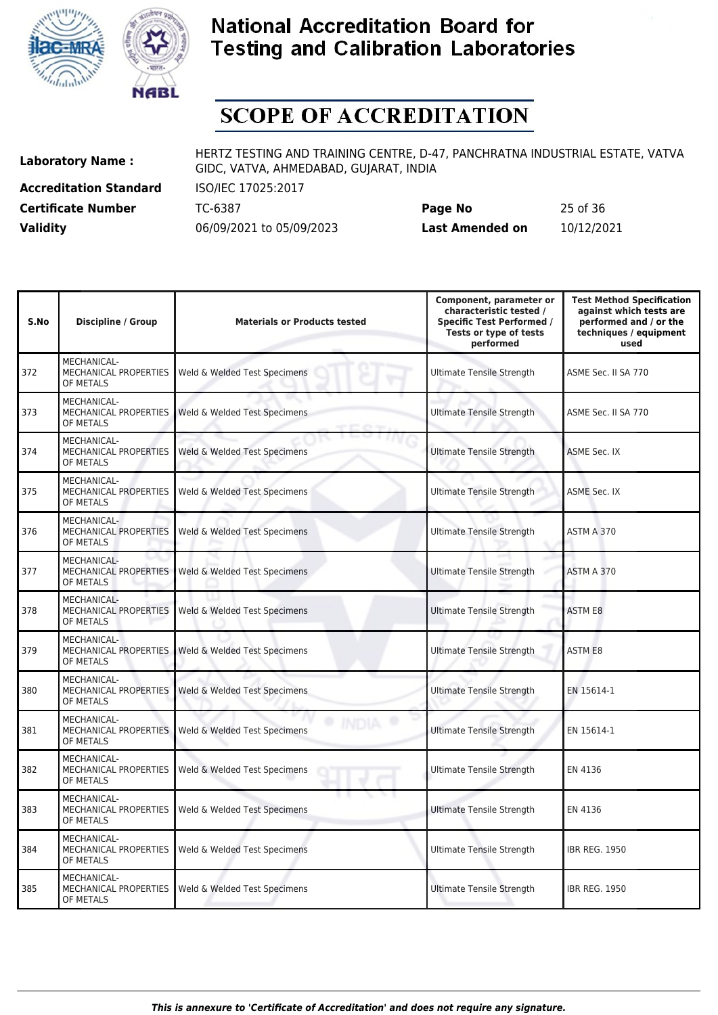



# **SCOPE OF ACCREDITATION**

**Accreditation Standard** ISO/IEC 17025:2017

**Laboratory Name :** HERTZ TESTING AND TRAINING CENTRE, D-47, PANCHRATNA INDUSTRIAL ESTATE, VATVA GIDC, VATVA, AHMEDABAD, GUJARAT, INDIA

**Certificate Number** TC-6387 **Page No** 25 of 36 **Validity** 06/09/2021 to 05/09/2023 **Last Amended on** 10/12/2021

| S.No | <b>Discipline / Group</b>                                | <b>Materials or Products tested</b> | Component, parameter or<br>characteristic tested /<br><b>Specific Test Performed /</b><br>Tests or type of tests<br>performed | <b>Test Method Specification</b><br>against which tests are<br>performed and / or the<br>techniques / equipment<br>used |
|------|----------------------------------------------------------|-------------------------------------|-------------------------------------------------------------------------------------------------------------------------------|-------------------------------------------------------------------------------------------------------------------------|
| 372  | <b>MECHANICAL-</b><br>MECHANICAL PROPERTIES<br>OF METALS | Weld & Welded Test Specimens        | Ultimate Tensile Strength                                                                                                     | ASME Sec. II SA 770                                                                                                     |
| 373  | <b>MECHANICAL-</b><br>MECHANICAL PROPERTIES<br>OF METALS | Weld & Welded Test Specimens        | <b>Ultimate Tensile Strength</b>                                                                                              | ASME Sec. II SA 770                                                                                                     |
| 374  | MECHANICAL-<br>MECHANICAL PROPERTIES<br>OF METALS        | Weld & Welded Test Specimens        | <b>Ultimate Tensile Strength</b>                                                                                              | <b>ASME Sec. IX</b>                                                                                                     |
| 375  | MECHANICAL-<br>MECHANICAL PROPERTIES<br>OF METALS        | Weld & Welded Test Specimens        | <b>Ultimate Tensile Strength</b>                                                                                              | <b>ASME Sec. IX</b>                                                                                                     |
| 376  | MECHANICAL-<br><b>MECHANICAL PROPERTIES</b><br>OF METALS | Weld & Welded Test Specimens        | <b>Ultimate Tensile Strength</b>                                                                                              | ASTM A 370                                                                                                              |
| 377  | MECHANICAL-<br><b>MECHANICAL PROPERTIES</b><br>OF METALS | Weld & Welded Test Specimens        | <b>Ultimate Tensile Strength</b>                                                                                              | ASTM A 370                                                                                                              |
| 378  | MECHANICAL-<br>MECHANICAL PROPERTIES<br>OF METALS        | Weld & Welded Test Specimens        | <b>Ultimate Tensile Strength</b>                                                                                              | <b>ASTM E8</b>                                                                                                          |
| 379  | MECHANICAL-<br>MECHANICAL PROPERTIES<br>OF METALS        | Weld & Welded Test Specimens        | <b>Ultimate Tensile Strength</b>                                                                                              | <b>ASTM E8</b>                                                                                                          |
| 380  | MECHANICAL-<br><b>MECHANICAL PROPERTIES</b><br>OF METALS | Weld & Welded Test Specimens        | <b>Ultimate Tensile Strength</b>                                                                                              | EN 15614-1                                                                                                              |
| 381  | MECHANICAL-<br>MECHANICAL PROPERTIES<br>OF METALS        | Weld & Welded Test Specimens        | <b>Ultimate Tensile Strength</b>                                                                                              | EN 15614-1                                                                                                              |
| 382  | MECHANICAL-<br><b>MECHANICAL PROPERTIES</b><br>OF METALS | Weld & Welded Test Specimens        | <b>Ultimate Tensile Strength</b>                                                                                              | EN 4136                                                                                                                 |
| 383  | <b>MECHANICAL-</b><br>MECHANICAL PROPERTIES<br>OF METALS | Weld & Welded Test Specimens        | <b>Ultimate Tensile Strength</b>                                                                                              | EN 4136                                                                                                                 |
| 384  | MECHANICAL-<br>MECHANICAL PROPERTIES<br>OF METALS        | Weld & Welded Test Specimens        | <b>Ultimate Tensile Strength</b>                                                                                              | <b>IBR REG. 1950</b>                                                                                                    |
| 385  | MECHANICAL-<br>MECHANICAL PROPERTIES<br>OF METALS        | Weld & Welded Test Specimens        | <b>Ultimate Tensile Strength</b>                                                                                              | <b>IBR REG. 1950</b>                                                                                                    |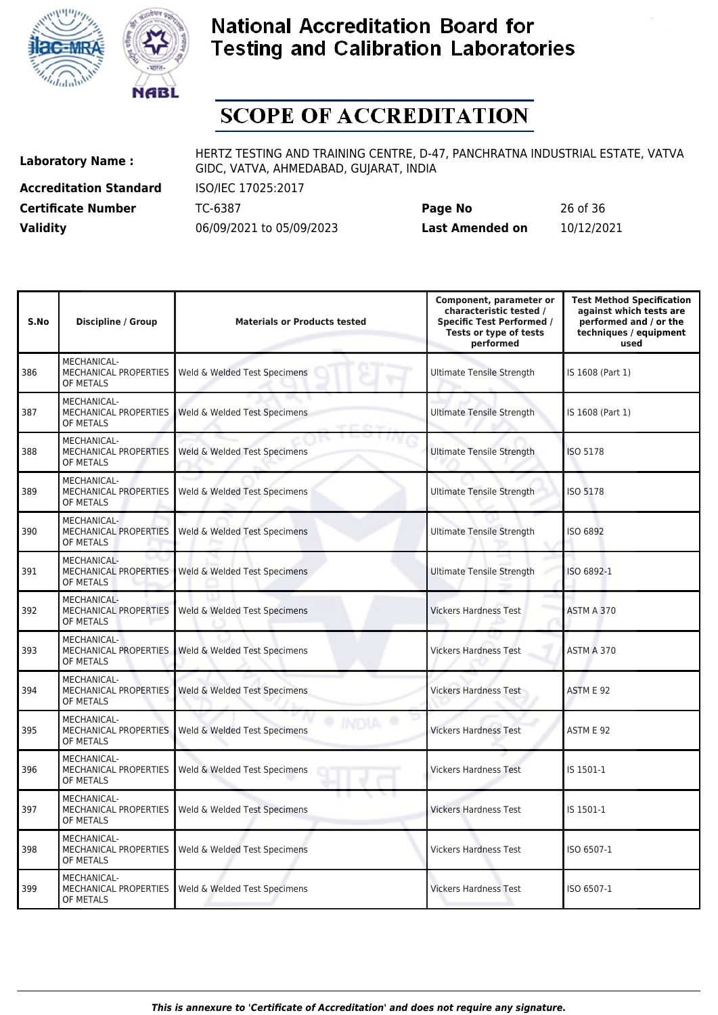



# **SCOPE OF ACCREDITATION**

**Accreditation Standard** ISO/IEC 17025:2017

**Laboratory Name :** HERTZ TESTING AND TRAINING CENTRE, D-47, PANCHRATNA INDUSTRIAL ESTATE, VATVA GIDC, VATVA, AHMEDABAD, GUJARAT, INDIA

**Certificate Number** TC-6387 **Page No** 26 of 36 **Validity** 06/09/2021 to 05/09/2023 **Last Amended on** 10/12/2021

| S.No | <b>Discipline / Group</b>                                | <b>Materials or Products tested</b> | Component, parameter or<br>characteristic tested /<br><b>Specific Test Performed /</b><br>Tests or type of tests<br>performed | <b>Test Method Specification</b><br>against which tests are<br>performed and / or the<br>techniques / equipment<br>used |
|------|----------------------------------------------------------|-------------------------------------|-------------------------------------------------------------------------------------------------------------------------------|-------------------------------------------------------------------------------------------------------------------------|
| 386  | MECHANICAL-<br>MECHANICAL PROPERTIES<br>OF METALS        | Weld & Welded Test Specimens        | <b>Ultimate Tensile Strength</b>                                                                                              | IS 1608 (Part 1)                                                                                                        |
| 387  | MECHANICAL-<br>MECHANICAL PROPERTIES<br>OF METALS        | Weld & Welded Test Specimens        | <b>Ultimate Tensile Strength</b>                                                                                              | IS 1608 (Part 1)                                                                                                        |
| 388  | MECHANICAL-<br>MECHANICAL PROPERTIES<br>OF METALS        | Weld & Welded Test Specimens        | Ultimate Tensile Strength                                                                                                     | <b>ISO 5178</b>                                                                                                         |
| 389  | MECHANICAL-<br><b>MECHANICAL PROPERTIES</b><br>OF METALS | Weld & Welded Test Specimens        | Ultimate Tensile Strength                                                                                                     | <b>ISO 5178</b>                                                                                                         |
| 390  | MECHANICAL-<br>MECHANICAL PROPERTIES<br>OF METALS        | Weld & Welded Test Specimens        | <b>Ultimate Tensile Strength</b>                                                                                              | ISO 6892                                                                                                                |
| 391  | MECHANICAL-<br>MECHANICAL PROPERTIES<br>OF METALS        | Weld & Welded Test Specimens        | <b>Ultimate Tensile Strength</b>                                                                                              | ISO 6892-1                                                                                                              |
| 392  | MECHANICAL-<br>MECHANICAL PROPERTIES<br>OF METALS        | Weld & Welded Test Specimens        | <b>Vickers Hardness Test</b>                                                                                                  | ASTM A 370                                                                                                              |
| 393  | MECHANICAL-<br>MECHANICAL PROPERTIES<br>OF METALS        | Weld & Welded Test Specimens        | <b>Vickers Hardness Test</b>                                                                                                  | ASTM A 370                                                                                                              |
| 394  | MECHANICAL-<br>MECHANICAL PROPERTIES<br>OF METALS        | Weld & Welded Test Specimens        | <b>Vickers Hardness Test</b>                                                                                                  | ASTM E 92                                                                                                               |
| 395  | MECHANICAL-<br>MECHANICAL PROPERTIES<br>OF METALS        | Weld & Welded Test Specimens        | <b>Vickers Hardness Test</b>                                                                                                  | ASTM E 92                                                                                                               |
| 396  | MECHANICAL-<br>MECHANICAL PROPERTIES<br>OF METALS        | Weld & Welded Test Specimens        | <b>Vickers Hardness Test</b>                                                                                                  | IS 1501-1                                                                                                               |
| 397  | <b>MECHANICAL-</b><br>MECHANICAL PROPERTIES<br>OF METALS | Weld & Welded Test Specimens        | <b>Vickers Hardness Test</b>                                                                                                  | IS 1501-1                                                                                                               |
| 398  | MECHANICAL-<br>MECHANICAL PROPERTIES<br>OF METALS        | Weld & Welded Test Specimens        | <b>Vickers Hardness Test</b>                                                                                                  | ISO 6507-1                                                                                                              |
| 399  | MECHANICAL-<br>MECHANICAL PROPERTIES<br>OF METALS        | Weld & Welded Test Specimens        | <b>Vickers Hardness Test</b>                                                                                                  | ISO 6507-1                                                                                                              |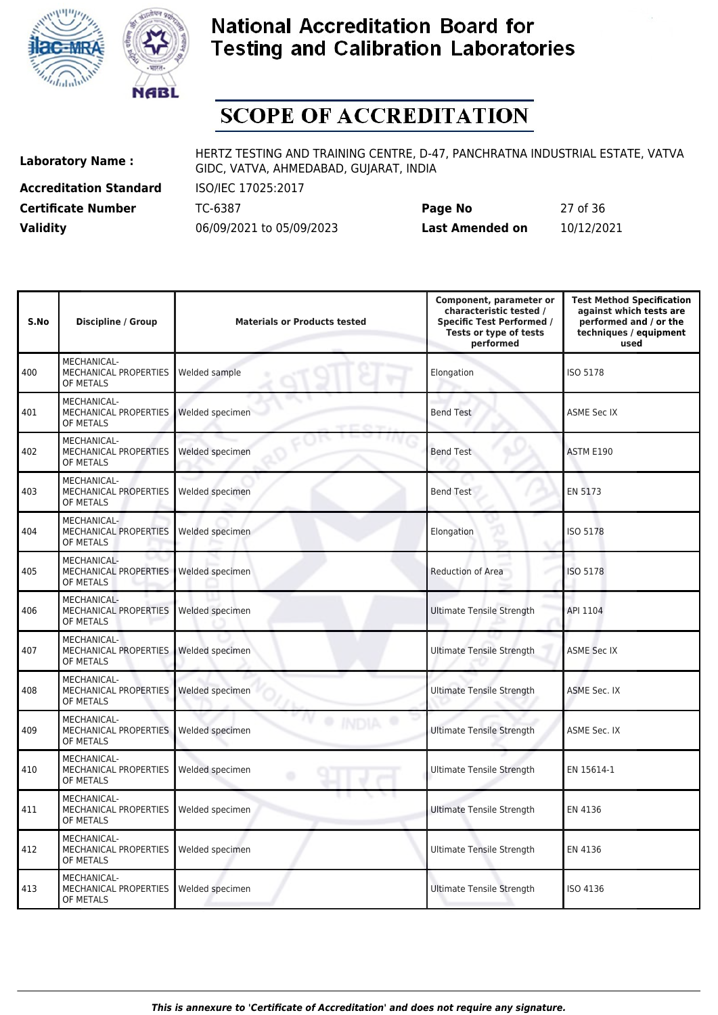



# **SCOPE OF ACCREDITATION**

**Accreditation Standard** ISO/IEC 17025:2017 **Certificate Number Page 10-1300** 

**Laboratory Name :** HERTZ TESTING AND TRAINING CENTRE, D-47, PANCHRATNA INDUSTRIAL ESTATE, VATVA GIDC, VATVA, AHMEDABAD, GUJARAT, INDIA

| <b>Certificate Number</b> | TC-6387                  | Page No         | 27 of 36   |
|---------------------------|--------------------------|-----------------|------------|
| <b>Validity</b>           | 06/09/2021 to 05/09/2023 | Last Amended on | 10/12/2021 |

| S.No | <b>Discipline / Group</b>                                | <b>Materials or Products tested</b> | Component, parameter or<br>characteristic tested /<br><b>Specific Test Performed /</b><br>Tests or type of tests<br>performed | <b>Test Method Specification</b><br>against which tests are<br>performed and / or the<br>techniques / equipment<br>used |
|------|----------------------------------------------------------|-------------------------------------|-------------------------------------------------------------------------------------------------------------------------------|-------------------------------------------------------------------------------------------------------------------------|
| 400  | MECHANICAL-<br>MECHANICAL PROPERTIES<br>OF METALS        | Welded sample                       | Elongation                                                                                                                    | <b>ISO 5178</b>                                                                                                         |
| 401  | MECHANICAL-<br>MECHANICAL PROPERTIES<br>OF METALS        | Welded specimen                     | <b>Bend Test</b>                                                                                                              | <b>ASME Sec IX</b>                                                                                                      |
| 402  | MECHANICAL-<br>MECHANICAL PROPERTIES<br>OF METALS        | Welded specimen                     | <b>Bend Test</b>                                                                                                              | ASTM E190                                                                                                               |
| 403  | MECHANICAL-<br>MECHANICAL PROPERTIES<br>OF METALS        | Welded specimen                     | <b>Bend Test</b>                                                                                                              | EN 5173                                                                                                                 |
| 404  | MECHANICAL-<br>MECHANICAL PROPERTIES<br>OF METALS        | Welded specimen                     | Elongation                                                                                                                    | ISO 5178                                                                                                                |
| 405  | MECHANICAL-<br>MECHANICAL PROPERTIES<br>OF METALS        | Welded specimen                     | Reduction of Area                                                                                                             | ISO 5178                                                                                                                |
| 406  | MECHANICAL-<br><b>MECHANICAL PROPERTIES</b><br>OF METALS | Welded specimen                     | <b>Ultimate Tensile Strength</b>                                                                                              | API 1104                                                                                                                |
| 407  | MECHANICAL-<br>MECHANICAL PROPERTIES<br>OF METALS        | Welded specimen                     | <b>Ultimate Tensile Strength</b>                                                                                              | <b>ASME Sec IX</b>                                                                                                      |
| 408  | MECHANICAL-<br>MECHANICAL PROPERTIES<br>OF METALS        | Welded specimen                     | <b>Ultimate Tensile Strength</b>                                                                                              | ASME Sec. IX                                                                                                            |
| 409  | MECHANICAL-<br>MECHANICAL PROPERTIES<br>OF METALS        | Welded specimen                     | <b>Ultimate Tensile Strength</b>                                                                                              | <b>ASME Sec. IX</b>                                                                                                     |
| 410  | MECHANICAL-<br><b>MECHANICAL PROPERTIES</b><br>OF METALS | Welded specimen                     | <b>Ultimate Tensile Strength</b>                                                                                              | EN 15614-1                                                                                                              |
| 411  | MECHANICAL-<br>MECHANICAL PROPERTIES<br>OF METALS        | Welded specimen                     | <b>Ultimate Tensile Strength</b>                                                                                              | EN 4136                                                                                                                 |
| 412  | MECHANICAL-<br>MECHANICAL PROPERTIES<br>OF METALS        | Welded specimen                     | Ultimate Tensile Strength                                                                                                     | EN 4136                                                                                                                 |
| 413  | MECHANICAL-<br>MECHANICAL PROPERTIES<br>OF METALS        | Welded specimen                     | Ultimate Tensile Strength                                                                                                     | ISO 4136                                                                                                                |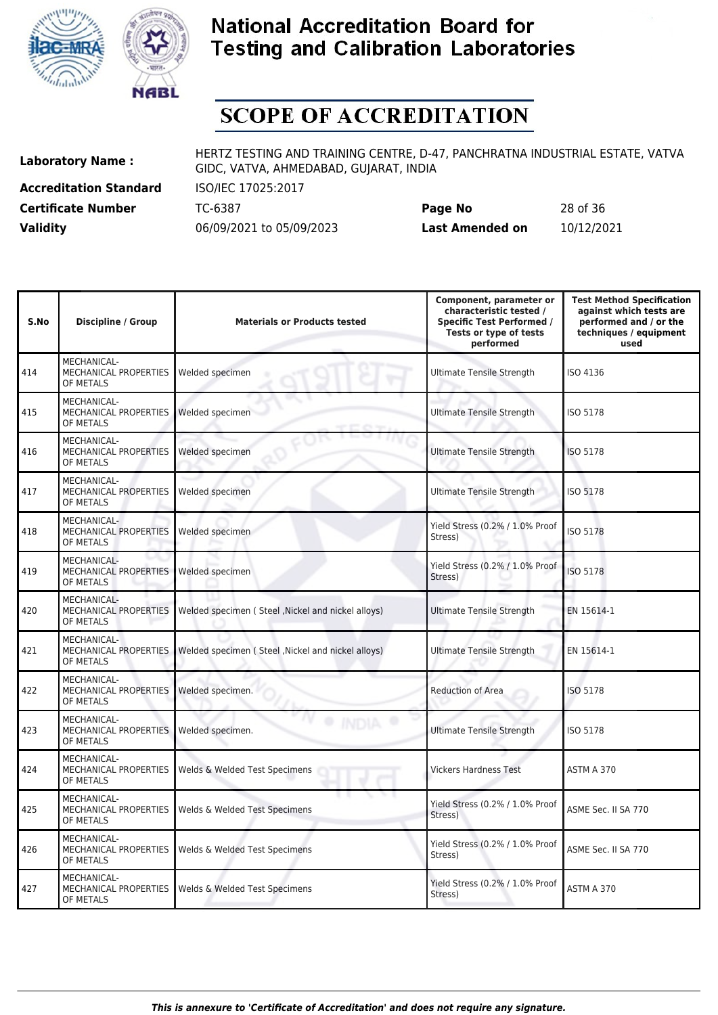



# **SCOPE OF ACCREDITATION**

**Accreditation Standard** ISO/IEC 17025:2017

**Laboratory Name :** HERTZ TESTING AND TRAINING CENTRE, D-47, PANCHRATNA INDUSTRIAL ESTATE, VATVA GIDC, VATVA, AHMEDABAD, GUJARAT, INDIA

**Certificate Number** TC-6387 **Page No** 28 of 36 **Validity** 06/09/2021 to 05/09/2023 **Last Amended on** 10/12/2021

| S.No | <b>Discipline / Group</b>                                | <b>Materials or Products tested</b>               | Component, parameter or<br>characteristic tested /<br><b>Specific Test Performed /</b><br>Tests or type of tests<br>performed | <b>Test Method Specification</b><br>against which tests are<br>performed and / or the<br>techniques / equipment<br>used |
|------|----------------------------------------------------------|---------------------------------------------------|-------------------------------------------------------------------------------------------------------------------------------|-------------------------------------------------------------------------------------------------------------------------|
| 414  | MECHANICAL-<br>MECHANICAL PROPERTIES<br>OF METALS        | Welded specimen                                   | <b>Ultimate Tensile Strength</b>                                                                                              | ISO 4136                                                                                                                |
| 415  | MECHANICAL-<br><b>MECHANICAL PROPERTIES</b><br>OF METALS | Welded specimen                                   | <b>Ultimate Tensile Strength</b>                                                                                              | <b>ISO 5178</b>                                                                                                         |
| 416  | MECHANICAL-<br>MECHANICAL PROPERTIES<br>OF METALS        | Welded specimen                                   | <b>Ultimate Tensile Strength</b>                                                                                              | <b>ISO 5178</b>                                                                                                         |
| 417  | MECHANICAL-<br><b>MECHANICAL PROPERTIES</b><br>OF METALS | Welded specimen                                   | <b>Ultimate Tensile Strength</b>                                                                                              | <b>ISO 5178</b>                                                                                                         |
| 418  | MECHANICAL-<br><b>MECHANICAL PROPERTIES</b><br>OF METALS | Welded specimen                                   | Yield Stress (0.2% / 1.0% Proof<br>Stress)                                                                                    | ISO 5178                                                                                                                |
| 419  | MECHANICAL-<br><b>MECHANICAL PROPERTIES</b><br>OF METALS | Welded specimen                                   | Yield Stress (0.2% / 1.0% Proof<br>Stress)                                                                                    | ISO 5178                                                                                                                |
| 420  | <b>MECHANICAL-</b><br>MECHANICAL PROPERTIES<br>OF METALS | Welded specimen (Steel, Nickel and nickel alloys) | <b>Ultimate Tensile Strength</b>                                                                                              | EN 15614-1                                                                                                              |
| 421  | MECHANICAL-<br><b>MECHANICAL PROPERTIES</b><br>OF METALS | Welded specimen (Steel, Nickel and nickel alloys) | <b>Ultimate Tensile Strength</b>                                                                                              | EN 15614-1                                                                                                              |
| 422  | MECHANICAL-<br><b>MECHANICAL PROPERTIES</b><br>OF METALS | Welded specimen.                                  | <b>Reduction of Area</b>                                                                                                      | <b>ISO 5178</b>                                                                                                         |
| 423  | MECHANICAL-<br><b>MECHANICAL PROPERTIES</b><br>OF METALS | Welded specimen.                                  | <b>Ultimate Tensile Strength</b>                                                                                              | <b>ISO 5178</b>                                                                                                         |
| 424  | MECHANICAL-<br><b>MECHANICAL PROPERTIES</b><br>OF METALS | Welds & Welded Test Specimens                     | <b>Vickers Hardness Test</b>                                                                                                  | ASTM A 370                                                                                                              |
| 425  | MECHANICAL-<br>MECHANICAL PROPERTIES<br>OF METALS        | Welds & Welded Test Specimens                     | Yield Stress (0.2% / 1.0% Proof<br>Stress)                                                                                    | ASME Sec. II SA 770                                                                                                     |
| 426  | MECHANICAL-<br>MECHANICAL PROPERTIES<br>OF METALS        | Welds & Welded Test Specimens                     | Yield Stress (0.2% / 1.0% Proof<br>Stress)                                                                                    | ASME Sec. II SA 770                                                                                                     |
| 427  | MECHANICAL-<br><b>MECHANICAL PROPERTIES</b><br>OF METALS | Welds & Welded Test Specimens                     | Yield Stress (0.2% / 1.0% Proof<br>Stress)                                                                                    | ASTM A 370                                                                                                              |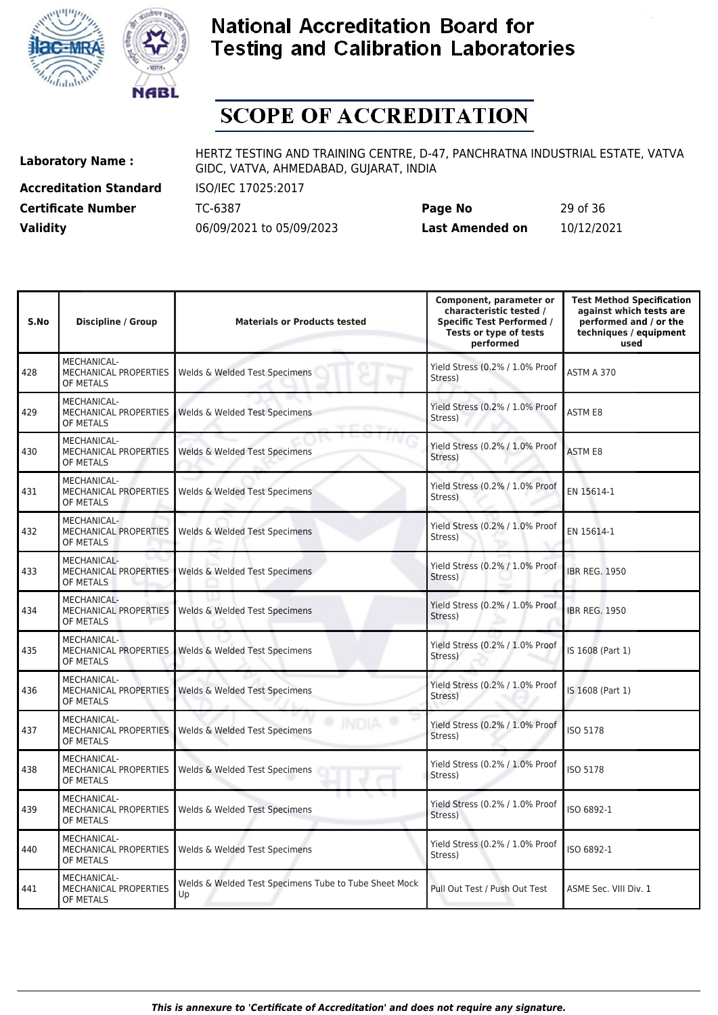



# **SCOPE OF ACCREDITATION**

**Accreditation Standard** ISO/IEC 17025:2017

**Laboratory Name :** HERTZ TESTING AND TRAINING CENTRE, D-47, PANCHRATNA INDUSTRIAL ESTATE, VATVA GIDC, VATVA, AHMEDABAD, GUJARAT, INDIA

**Certificate Number** TC-6387 **Page No** 29 of 36 **Validity** 06/09/2021 to 05/09/2023 **Last Amended on** 10/12/2021

| S.No | <b>Discipline / Group</b>                                | <b>Materials or Products tested</b>                         | Component, parameter or<br>characteristic tested /<br><b>Specific Test Performed /</b><br>Tests or type of tests<br>performed | <b>Test Method Specification</b><br>against which tests are<br>performed and / or the<br>techniques / equipment<br>used |
|------|----------------------------------------------------------|-------------------------------------------------------------|-------------------------------------------------------------------------------------------------------------------------------|-------------------------------------------------------------------------------------------------------------------------|
| 428  | <b>MECHANICAL-</b><br>MECHANICAL PROPERTIES<br>OF METALS | Welds & Welded Test Specimens                               | Yield Stress (0.2% / 1.0% Proof<br>Stress)                                                                                    | ASTM A 370                                                                                                              |
| 429  | MECHANICAL-<br>MECHANICAL PROPERTIES<br>OF METALS        | Welds & Welded Test Specimens                               | Yield Stress (0.2% / 1.0% Proof<br>Stress)                                                                                    | <b>ASTM E8</b>                                                                                                          |
| 430  | MECHANICAL-<br>MECHANICAL PROPERTIES<br>OF METALS        | Welds & Welded Test Specimens                               | Yield Stress (0.2% / 1.0% Proof<br>Stress)                                                                                    | <b>ASTM E8</b>                                                                                                          |
| 431  | MECHANICAL-<br>MECHANICAL PROPERTIES<br>OF METALS        | Welds & Welded Test Specimens                               | Yield Stress (0.2% / 1.0% Proof<br>Stress)                                                                                    | EN 15614-1                                                                                                              |
| 432  | MECHANICAL-<br>MECHANICAL PROPERTIES<br>OF METALS        | Welds & Welded Test Specimens                               | Yield Stress (0.2% / 1.0% Proof<br>Stress)                                                                                    | EN 15614-1                                                                                                              |
| 433  | MECHANICAL-<br>MECHANICAL PROPERTIES<br>OF METALS        | Welds & Welded Test Specimens                               | Yield Stress (0.2% / 1.0% Proof<br>Stress)                                                                                    | <b>IBR REG. 1950</b>                                                                                                    |
| 434  | MECHANICAL-<br>MECHANICAL PROPERTIES<br>OF METALS        | Welds & Welded Test Specimens                               | Yield Stress (0.2% / 1.0% Proof<br>Stress)                                                                                    | <b>IBR REG. 1950</b>                                                                                                    |
| 435  | MECHANICAL-<br>MECHANICAL PROPERTIES<br>OF METALS        | Welds & Welded Test Specimens                               | Yield Stress (0.2% / 1.0% Proof<br>Stress)                                                                                    | IS 1608 (Part 1)                                                                                                        |
| 436  | MECHANICAL-<br>MECHANICAL PROPERTIES<br>OF METALS        | Welds & Welded Test Specimens                               | Yield Stress (0.2% / 1.0% Proof<br>Stress)                                                                                    | IS 1608 (Part 1)                                                                                                        |
| 437  | MECHANICAL-<br>MECHANICAL PROPERTIES<br>OF METALS        | Welds & Welded Test Specimens                               | Yield Stress (0.2% / 1.0% Proof<br>Stress)                                                                                    | <b>ISO 5178</b>                                                                                                         |
| 438  | MECHANICAL-<br>MECHANICAL PROPERTIES<br>OF METALS        | Welds & Welded Test Specimens                               | Yield Stress (0.2% / 1.0% Proof<br>Stress)                                                                                    | ISO 5178                                                                                                                |
| 439  | MECHANICAL-<br>MECHANICAL PROPERTIES<br>OF METALS        | Welds & Welded Test Specimens                               | Yield Stress (0.2% / 1.0% Proof<br>Stress)                                                                                    | ISO 6892-1                                                                                                              |
| 440  | MECHANICAL-<br>MECHANICAL PROPERTIES<br>OF METALS        | Welds & Welded Test Specimens                               | Yield Stress (0.2% / 1.0% Proof<br>Stress)                                                                                    | ISO 6892-1                                                                                                              |
| 441  | MECHANICAL-<br>MECHANICAL PROPERTIES<br>OF METALS        | Welds & Welded Test Specimens Tube to Tube Sheet Mock<br>Up | Pull Out Test / Push Out Test                                                                                                 | ASME Sec. VIII Div. 1                                                                                                   |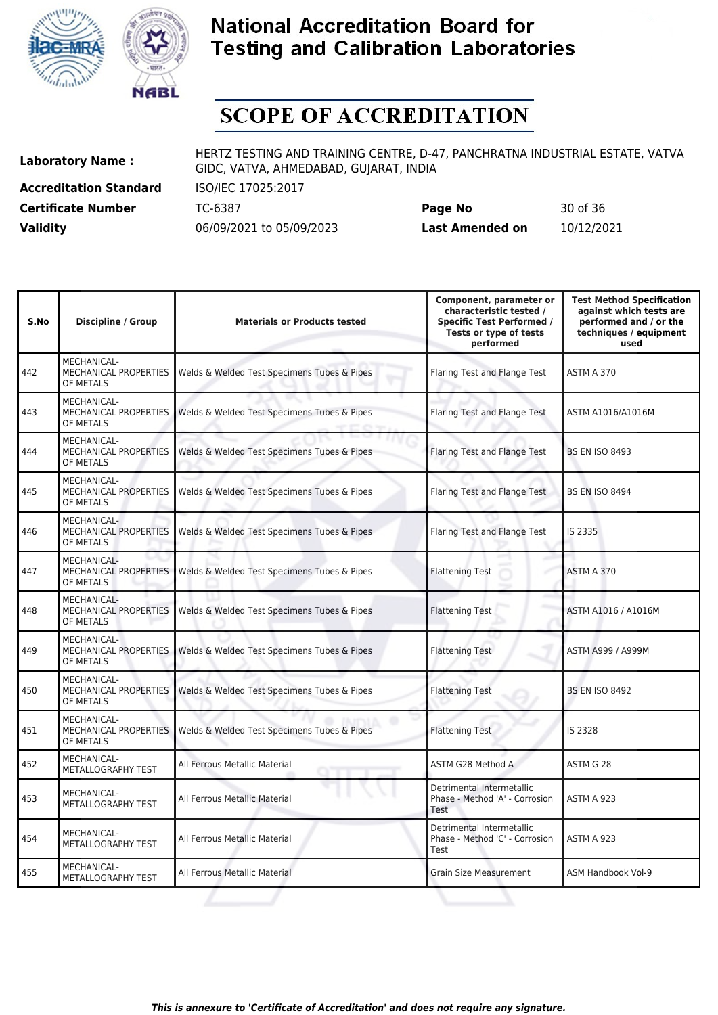



# **SCOPE OF ACCREDITATION**

**Accreditation Standard** ISO/IEC 17025:2017

**Laboratory Name :** HERTZ TESTING AND TRAINING CENTRE, D-47, PANCHRATNA INDUSTRIAL ESTATE, VATVA GIDC, VATVA, AHMEDABAD, GUJARAT, INDIA

**Certificate Number** TC-6387 **Page No** 30 of 36 **Validity** 06/09/2021 to 05/09/2023 **Last Amended on** 10/12/2021

| S.No | Discipline / Group                                       | <b>Materials or Products tested</b>         | Component, parameter or<br>characteristic tested /<br><b>Specific Test Performed /</b><br>Tests or type of tests<br>performed | <b>Test Method Specification</b><br>against which tests are<br>performed and / or the<br>techniques / equipment<br>used |
|------|----------------------------------------------------------|---------------------------------------------|-------------------------------------------------------------------------------------------------------------------------------|-------------------------------------------------------------------------------------------------------------------------|
| 442  | MECHANICAL-<br>MECHANICAL PROPERTIES<br>OF METALS        | Welds & Welded Test Specimens Tubes & Pipes | Flaring Test and Flange Test                                                                                                  | ASTM A 370                                                                                                              |
| 443  | MECHANICAL-<br><b>MECHANICAL PROPERTIES</b><br>OF METALS | Welds & Welded Test Specimens Tubes & Pipes | Flaring Test and Flange Test                                                                                                  | ASTM A1016/A1016M                                                                                                       |
| 444  | <b>MECHANICAL-</b><br>MECHANICAL PROPERTIES<br>OF METALS | Welds & Welded Test Specimens Tubes & Pipes | Flaring Test and Flange Test                                                                                                  | <b>BS EN ISO 8493</b>                                                                                                   |
| 445  | MECHANICAL-<br><b>MECHANICAL PROPERTIES</b><br>OF METALS | Welds & Welded Test Specimens Tubes & Pipes | Flaring Test and Flange Test                                                                                                  | <b>BS EN ISO 8494</b>                                                                                                   |
| 446  | MECHANICAL-<br><b>MECHANICAL PROPERTIES</b><br>OF METALS | Welds & Welded Test Specimens Tubes & Pipes | Flaring Test and Flange Test                                                                                                  | IS 2335                                                                                                                 |
| 447  | MECHANICAL-<br>MECHANICAL PROPERTIES<br>OF METALS        | Welds & Welded Test Specimens Tubes & Pipes | <b>Flattening Test</b>                                                                                                        | ASTM A 370                                                                                                              |
| 448  | MECHANICAL-<br><b>MECHANICAL PROPERTIES</b><br>OF METALS | Welds & Welded Test Specimens Tubes & Pipes | <b>Flattening Test</b>                                                                                                        | ASTM A1016 / A1016M                                                                                                     |
| 449  | MECHANICAL-<br><b>MECHANICAL PROPERTIES</b><br>OF METALS | Welds & Welded Test Specimens Tubes & Pipes | <b>Flattening Test</b>                                                                                                        | ASTM A999 / A999M                                                                                                       |
| 450  | MECHANICAL-<br><b>MECHANICAL PROPERTIES</b><br>OF METALS | Welds & Welded Test Specimens Tubes & Pipes | <b>Flattening Test</b>                                                                                                        | <b>BS EN ISO 8492</b>                                                                                                   |
| 451  | MECHANICAL-<br><b>MECHANICAL PROPERTIES</b><br>OF METALS | Welds & Welded Test Specimens Tubes & Pipes | <b>Flattening Test</b>                                                                                                        | IS 2328                                                                                                                 |
| 452  | <b>MECHANICAL-</b><br>METALLOGRAPHY TEST                 | All Ferrous Metallic Material               | ASTM G28 Method A                                                                                                             | ASTM G 28                                                                                                               |
| 453  | MECHANICAL-<br>METALLOGRAPHY TEST                        | All Ferrous Metallic Material               | Detrimental Intermetallic<br>Phase - Method 'A' - Corrosion<br>Test                                                           | ASTM A 923                                                                                                              |
| 454  | MECHANICAL-<br>METALLOGRAPHY TEST                        | All Ferrous Metallic Material               | Detrimental Intermetallic<br>Phase - Method 'C' - Corrosion<br>Test                                                           | ASTM A 923                                                                                                              |
| 455  | <b>MECHANICAL-</b><br>METALLOGRAPHY TEST                 | All Ferrous Metallic Material               | <b>Grain Size Measurement</b>                                                                                                 | ASM Handbook Vol-9                                                                                                      |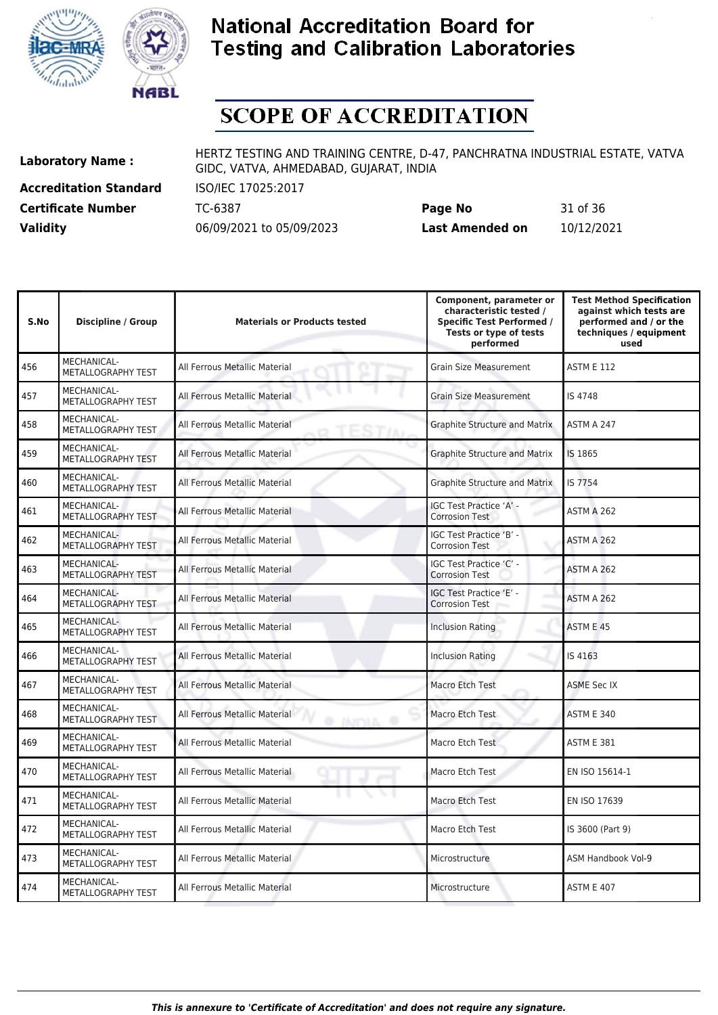



# **SCOPE OF ACCREDITATION**

**Accreditation Standard** ISO/IEC 17025:2017

**Laboratory Name :** HERTZ TESTING AND TRAINING CENTRE, D-47, PANCHRATNA INDUSTRIAL ESTATE, VATVA GIDC, VATVA, AHMEDABAD, GUJARAT, INDIA

**Certificate Number** TC-6387 **Page No** 31 of 36 **Validity** 06/09/2021 to 05/09/2023 **Last Amended on** 10/12/2021

| S.No | <b>Discipline / Group</b>                | <b>Materials or Products tested</b>               | Component, parameter or<br>characteristic tested /<br><b>Specific Test Performed /</b><br>Tests or type of tests<br>performed | <b>Test Method Specification</b><br>against which tests are<br>performed and / or the<br>techniques / equipment<br>used |
|------|------------------------------------------|---------------------------------------------------|-------------------------------------------------------------------------------------------------------------------------------|-------------------------------------------------------------------------------------------------------------------------|
| 456  | <b>MECHANICAL-</b><br>METALLOGRAPHY TEST | All Ferrous Metallic Material                     | <b>Grain Size Measurement</b>                                                                                                 | <b>ASTM E 112</b>                                                                                                       |
| 457  | MECHANICAL-<br>METALLOGRAPHY TEST        | All Ferrous Metallic Material                     | <b>Grain Size Measurement</b>                                                                                                 | IS 4748                                                                                                                 |
| 458  | MECHANICAL-<br>METALLOGRAPHY TEST        | All Ferrous Metallic Material                     | <b>Graphite Structure and Matrix</b>                                                                                          | ASTM A 247                                                                                                              |
| 459  | MECHANICAL-<br>METALLOGRAPHY TEST        | All Ferrous Metallic Material                     | <b>Graphite Structure and Matrix</b>                                                                                          | IS 1865                                                                                                                 |
| 460  | MECHANICAL-<br><b>METALLOGRAPHY TEST</b> | All Ferrous Metallic Material                     | <b>Graphite Structure and Matrix</b>                                                                                          | IS 7754                                                                                                                 |
| 461  | MECHANICAL-<br>METALLOGRAPHY TEST        | All Ferrous Metallic Material                     | IGC Test Practice 'A' -<br><b>Corrosion Test</b>                                                                              | ASTM A 262                                                                                                              |
| 462  | MECHANICAL-<br>METALLOGRAPHY TEST        | All Ferrous Metallic Material                     | IGC Test Practice 'B' -<br><b>Corrosion Test</b>                                                                              | ASTM A 262                                                                                                              |
| 463  | MECHANICAL-<br>METALLOGRAPHY TEST        | All Ferrous Metallic Material                     | IGC Test Practice 'C' -<br><b>Corrosion Test</b>                                                                              | ASTM A 262                                                                                                              |
| 464  | MECHANICAL-<br>METALLOGRAPHY TEST        | All Ferrous Metallic Material                     | IGC Test Practice 'E' -<br><b>Corrosion Test</b>                                                                              | ASTM A 262                                                                                                              |
| 465  | MECHANICAL-<br>METALLOGRAPHY TEST        | All Ferrous Metallic Material                     | <b>Inclusion Rating</b>                                                                                                       | ASTM E 45                                                                                                               |
| 466  | MECHANICAL-<br>METALLOGRAPHY TEST        | All Ferrous Metallic Material                     | <b>Inclusion Rating</b>                                                                                                       | IS 4163                                                                                                                 |
| 467  | <b>MECHANICAL-</b><br>METALLOGRAPHY TEST | All Ferrous Metallic Material                     | Macro Etch Test                                                                                                               | <b>ASME Sec IX</b>                                                                                                      |
| 468  | MECHANICAL-<br>METALLOGRAPHY TEST        | All Ferrous Metallic Material<br><b>O INITYIA</b> | Macro Etch Test                                                                                                               | <b>ASTM E 340</b>                                                                                                       |
| 469  | MECHANICAL-<br>METALLOGRAPHY TEST        | All Ferrous Metallic Material                     | Macro Etch Test                                                                                                               | ASTM E 381                                                                                                              |
| 470  | <b>MECHANICAL-</b><br>METALLOGRAPHY TEST | All Ferrous Metallic Material                     | Macro Etch Test                                                                                                               | EN ISO 15614-1                                                                                                          |
| 471  | MECHANICAL-<br>METALLOGRAPHY TEST        | All Ferrous Metallic Material                     | Macro Etch Test                                                                                                               | EN ISO 17639                                                                                                            |
| 472  | <b>MECHANICAL-</b><br>METALLOGRAPHY TEST | All Ferrous Metallic Material                     | Macro Etch Test                                                                                                               | IS 3600 (Part 9)                                                                                                        |
| 473  | MECHANICAL-<br>METALLOGRAPHY TEST        | All Ferrous Metallic Material                     | Microstructure                                                                                                                | <b>ASM Handbook Vol-9</b>                                                                                               |
| 474  | MECHANICAL-<br>METALLOGRAPHY TEST        | All Ferrous Metallic Material                     | Microstructure                                                                                                                | <b>ASTM E 407</b>                                                                                                       |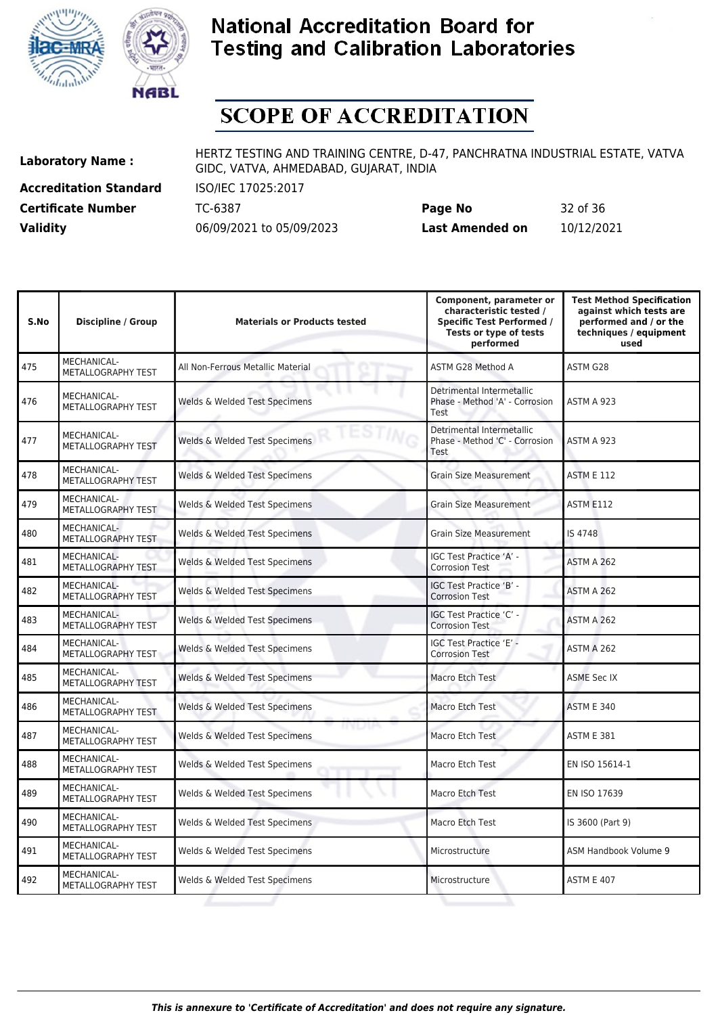



# **SCOPE OF ACCREDITATION**

**Accreditation Standard** ISO/IEC 17025:2017

**Laboratory Name :** HERTZ TESTING AND TRAINING CENTRE, D-47, PANCHRATNA INDUSTRIAL ESTATE, VATVA GIDC, VATVA, AHMEDABAD, GUJARAT, INDIA

**Certificate Number** TC-6387 **Page No** 32 of 36 **Validity** 06/09/2021 to 05/09/2023 **Last Amended on** 10/12/2021

| S.No | <b>Discipline / Group</b>                | <b>Materials or Products tested</b>  | Component, parameter or<br>characteristic tested /<br><b>Specific Test Performed /</b><br>Tests or type of tests<br>performed | <b>Test Method Specification</b><br>against which tests are<br>performed and / or the<br>techniques / equipment<br>used |
|------|------------------------------------------|--------------------------------------|-------------------------------------------------------------------------------------------------------------------------------|-------------------------------------------------------------------------------------------------------------------------|
| 475  | MECHANICAL-<br>METALLOGRAPHY TEST        | All Non-Ferrous Metallic Material    | ASTM G28 Method A                                                                                                             | ASTM G28                                                                                                                |
| 476  | MECHANICAL-<br>METALLOGRAPHY TEST        | Welds & Welded Test Specimens        | Detrimental Intermetallic<br>Phase - Method 'A' - Corrosion<br>Test                                                           | ASTM A 923                                                                                                              |
| 477  | MECHANICAL-<br>METALLOGRAPHY TEST        | Welds & Welded Test Specimens        | Detrimental Intermetallic<br>Phase - Method 'C' - Corrosion<br>Test                                                           | ASTM A 923                                                                                                              |
| 478  | MECHANICAL-<br>METALLOGRAPHY TEST        | Welds & Welded Test Specimens        | <b>Grain Size Measurement</b>                                                                                                 | <b>ASTM E 112</b>                                                                                                       |
| 479  | MECHANICAL-<br>METALLOGRAPHY TEST        | Welds & Welded Test Specimens        | <b>Grain Size Measurement</b>                                                                                                 | ASTM E112                                                                                                               |
| 480  | MECHANICAL-<br>METALLOGRAPHY TEST        | Welds & Welded Test Specimens        | <b>Grain Size Measurement</b>                                                                                                 | IS 4748                                                                                                                 |
| 481  | MECHANICAL-<br>METALLOGRAPHY TEST        | Welds & Welded Test Specimens        | IGC Test Practice 'A' -<br><b>Corrosion Test</b>                                                                              | ASTM A 262                                                                                                              |
| 482  | MECHANICAL-<br>METALLOGRAPHY TEST        | Welds & Welded Test Specimens        | IGC Test Practice 'B' -<br><b>Corrosion Test</b>                                                                              | ASTM A 262                                                                                                              |
| 483  | MECHANICAL-<br>METALLOGRAPHY TEST        | Welds & Welded Test Specimens        | IGC Test Practice 'C' -<br><b>Corrosion Test</b>                                                                              | ASTM A 262                                                                                                              |
| 484  | MECHANICAL-<br>METALLOGRAPHY TEST        | Welds & Welded Test Specimens        | IGC Test Practice 'E' -<br><b>Corrosion Test</b>                                                                              | ASTM A 262                                                                                                              |
| 485  | <b>MECHANICAL-</b><br>METALLOGRAPHY TEST | Welds & Welded Test Specimens        | Macro Etch Test                                                                                                               | <b>ASME Sec IX</b>                                                                                                      |
| 486  | MECHANICAL-<br>METALLOGRAPHY TEST        | Welds & Welded Test Specimens        | Macro Etch Test                                                                                                               | <b>ASTM E 340</b>                                                                                                       |
| 487  | MECHANICAL-<br>METALLOGRAPHY TEST        | mum<br>Welds & Welded Test Specimens | Macro Etch Test                                                                                                               | <b>ASTM E 381</b>                                                                                                       |
| 488  | MECHANICAL-<br>METALLOGRAPHY TEST        | Welds & Welded Test Specimens        | Macro Etch Test                                                                                                               | EN ISO 15614-1                                                                                                          |
| 489  | MECHANICAL-<br>METALLOGRAPHY TEST        | Welds & Welded Test Specimens        | Macro Etch Test                                                                                                               | EN ISO 17639                                                                                                            |
| 490  | MECHANICAL-<br>METALLOGRAPHY TEST        | Welds & Welded Test Specimens        | Macro Etch Test                                                                                                               | IS 3600 (Part 9)                                                                                                        |
| 491  | MECHANICAL-<br>METALLOGRAPHY TEST        | Welds & Welded Test Specimens        | Microstructure                                                                                                                | ASM Handbook Volume 9                                                                                                   |
| 492  | MECHANICAL-<br>METALLOGRAPHY TEST        | Welds & Welded Test Specimens        | Microstructure                                                                                                                | <b>ASTM E 407</b>                                                                                                       |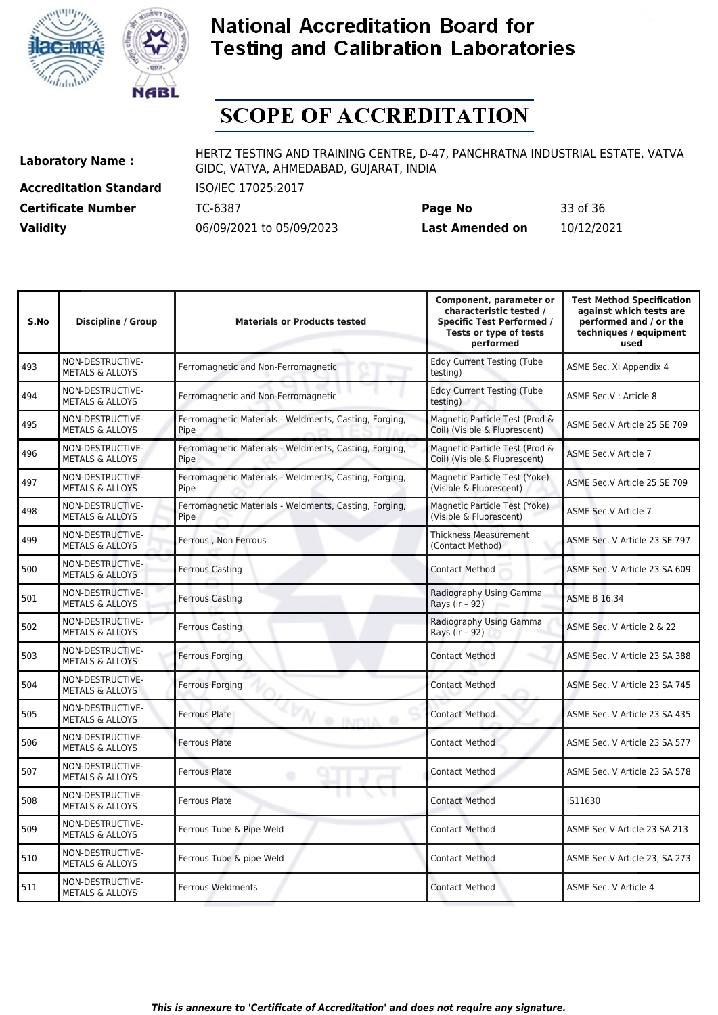



# **SCOPE OF ACCREDITATION**

**Accreditation Standard** ISO/IEC 17025:2017

**Laboratory Name :** HERTZ TESTING AND TRAINING CENTRE, D-47, PANCHRATNA INDUSTRIAL ESTATE, VATVA GIDC, VATVA, AHMEDABAD, GUJARAT, INDIA

**Certificate Number** TC-6387 **Page No** 33 of 36 **Validity** 06/09/2021 to 05/09/2023 **Last Amended on** 10/12/2021

| S.No | Discipline / Group                             | <b>Materials or Products tested</b>                            | Component, parameter or<br>characteristic tested /<br><b>Specific Test Performed /</b><br>Tests or type of tests<br>performed | <b>Test Method Specification</b><br>against which tests are<br>performed and / or the<br>techniques / equipment<br>used |
|------|------------------------------------------------|----------------------------------------------------------------|-------------------------------------------------------------------------------------------------------------------------------|-------------------------------------------------------------------------------------------------------------------------|
| 493  | NON-DESTRUCTIVE-<br><b>METALS &amp; ALLOYS</b> | Ferromagnetic and Non-Ferromagnetic                            | <b>Eddy Current Testing (Tube</b><br>testing)                                                                                 | ASME Sec. XI Appendix 4                                                                                                 |
| 494  | NON-DESTRUCTIVE-<br><b>METALS &amp; ALLOYS</b> | Ferromagnetic and Non-Ferromagnetic                            | <b>Eddy Current Testing (Tube</b><br>testing)                                                                                 | ASME Sec.V : Article 8                                                                                                  |
| 495  | NON-DESTRUCTIVE-<br><b>METALS &amp; ALLOYS</b> | Ferromagnetic Materials - Weldments, Casting, Forging,<br>Pipe | Magnetic Particle Test (Prod &<br>Coil) (Visible & Fluorescent)                                                               | ASME Sec.V Article 25 SE 709                                                                                            |
| 496  | NON-DESTRUCTIVE-<br><b>METALS &amp; ALLOYS</b> | Ferromagnetic Materials - Weldments, Casting, Forging,<br>Pipe | Magnetic Particle Test (Prod &<br>Coil) (Visible & Fluorescent)                                                               | <b>ASME Sec.V Article 7</b>                                                                                             |
| 497  | NON-DESTRUCTIVE-<br><b>METALS &amp; ALLOYS</b> | Ferromagnetic Materials - Weldments, Casting, Forging,<br>Pipe | Magnetic Particle Test (Yoke)<br>(Visible & Fluorescent)                                                                      | ASME Sec.V Article 25 SE 709                                                                                            |
| 498  | NON-DESTRUCTIVE-<br><b>METALS &amp; ALLOYS</b> | Ferromagnetic Materials - Weldments, Casting, Forging,<br>Pipe | Magnetic Particle Test (Yoke)<br>(Visible & Fluorescent)                                                                      | ASME Sec.V Article 7                                                                                                    |
| 499  | NON-DESTRUCTIVE-<br><b>METALS &amp; ALLOYS</b> | Ferrous, Non Ferrous                                           | <b>Thickness Measurement</b><br>(Contact Method)                                                                              | ASME Sec. V Article 23 SE 797                                                                                           |
| 500  | NON-DESTRUCTIVE-<br><b>METALS &amp; ALLOYS</b> | <b>Ferrous Casting</b>                                         | <b>Contact Method</b>                                                                                                         | ASME Sec. V Article 23 SA 609                                                                                           |
| 501  | NON-DESTRUCTIVE-<br><b>METALS &amp; ALLOYS</b> | <b>Ferrous Casting</b>                                         | Radiography Using Gamma<br>Rays (ir - 92)                                                                                     | <b>ASME B 16.34</b>                                                                                                     |
| 502  | NON-DESTRUCTIVE-<br><b>METALS &amp; ALLOYS</b> | <b>Ferrous Casting</b>                                         | Radiography Using Gamma<br>Rays (ir - 92)                                                                                     | ASME Sec. V Article 2 & 22                                                                                              |
| 503  | NON-DESTRUCTIVE-<br><b>METALS &amp; ALLOYS</b> | <b>Ferrous Forging</b>                                         | <b>Contact Method</b>                                                                                                         | ASME Sec. V Article 23 SA 388                                                                                           |
| 504  | NON-DESTRUCTIVE-<br><b>METALS &amp; ALLOYS</b> | Ferrous Forging                                                | <b>Contact Method</b>                                                                                                         | ASME Sec. V Article 23 SA 745                                                                                           |
| 505  | NON-DESTRUCTIVE-<br><b>METALS &amp; ALLOYS</b> | <b>Ferrous Plate</b><br>@ INITYIA @                            | <b>Contact Method</b>                                                                                                         | ASME Sec. V Article 23 SA 435                                                                                           |
| 506  | NON-DESTRUCTIVE-<br><b>METALS &amp; ALLOYS</b> | <b>Ferrous Plate</b>                                           | <b>Contact Method</b>                                                                                                         | ASME Sec. V Article 23 SA 577                                                                                           |
| 507  | NON-DESTRUCTIVE-<br><b>METALS &amp; ALLOYS</b> | <b>Ferrous Plate</b><br>۰                                      | <b>Contact Method</b>                                                                                                         | ASME Sec. V Article 23 SA 578                                                                                           |
| 508  | NON-DESTRUCTIVE-<br><b>METALS &amp; ALLOYS</b> | $\blacksquare$<br><b>Ferrous Plate</b>                         | <b>Contact Method</b>                                                                                                         | IS11630                                                                                                                 |
| 509  | NON-DESTRUCTIVE-<br><b>METALS &amp; ALLOYS</b> | Ferrous Tube & Pipe Weld                                       | Contact Method                                                                                                                | ASME Sec V Article 23 SA 213                                                                                            |
| 510  | NON-DESTRUCTIVE-<br><b>METALS &amp; ALLOYS</b> | Ferrous Tube & pipe Weld                                       | <b>Contact Method</b>                                                                                                         | ASME Sec.V Article 23, SA 273                                                                                           |
| 511  | NON-DESTRUCTIVE-<br><b>METALS &amp; ALLOYS</b> | Ferrous Weldments                                              | <b>Contact Method</b>                                                                                                         | ASME Sec. V Article 4                                                                                                   |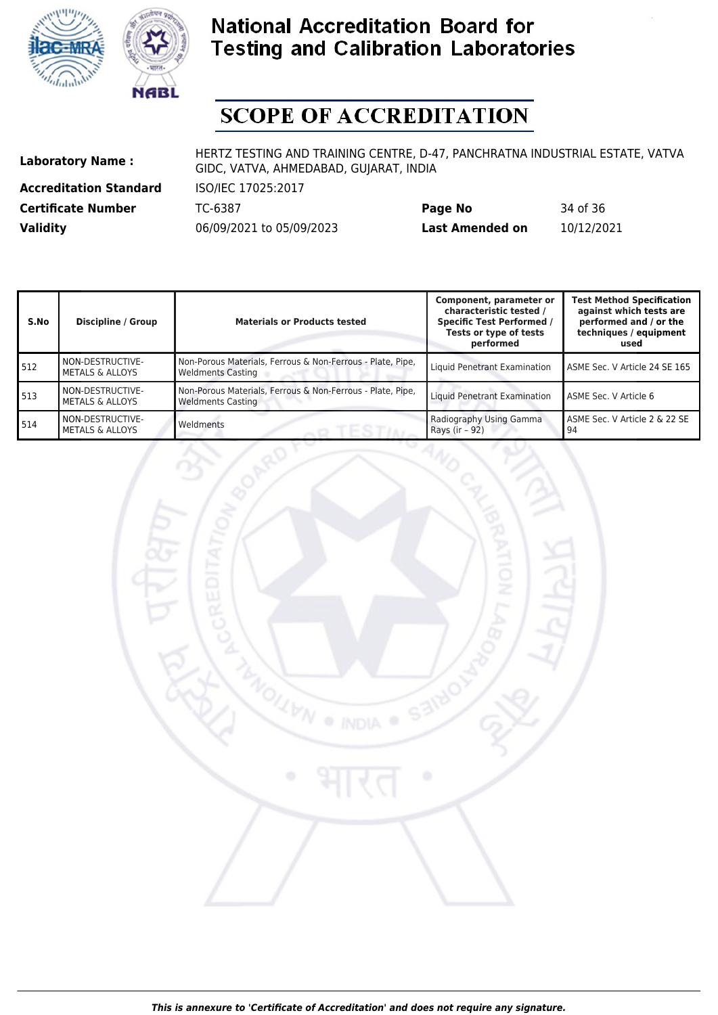



# **SCOPE OF ACCREDITATION**

**Accreditation Standard** ISO/IEC 17025:2017

**Laboratory Name :** HERTZ TESTING AND TRAINING CENTRE, D-47, PANCHRATNA INDUSTRIAL ESTATE, VATVA GIDC, VATVA, AHMEDABAD, GUJARAT, INDIA

**Certificate Number** TC-6387 **Page No** 34 of 36 **Validity** 06/09/2021 to 05/09/2023 **Last Amended on** 10/12/2021

| S.No | Discipline / Group                             | <b>Materials or Products tested</b>                                                    | Component, parameter or<br>characteristic tested /<br><b>Specific Test Performed /</b><br>Tests or type of tests<br>performed | <b>Test Method Specification</b><br>against which tests are<br>performed and / or the<br>techniques / equipment<br>used |
|------|------------------------------------------------|----------------------------------------------------------------------------------------|-------------------------------------------------------------------------------------------------------------------------------|-------------------------------------------------------------------------------------------------------------------------|
| 512  | NON-DESTRUCTIVE-<br><b>METALS &amp; ALLOYS</b> | Non-Porous Materials, Ferrous & Non-Ferrous - Plate, Pipe,<br><b>Weldments Casting</b> | Liquid Penetrant Examination                                                                                                  | ASME Sec. V Article 24 SE 165                                                                                           |
| 513  | NON-DESTRUCTIVE-<br><b>METALS &amp; ALLOYS</b> | Non-Porous Materials, Ferrous & Non-Ferrous - Plate, Pipe,<br><b>Weldments Casting</b> | Liquid Penetrant Examination                                                                                                  | ASME Sec. V Article 6                                                                                                   |
| 514  | NON-DESTRUCTIVE-<br><b>METALS &amp; ALLOYS</b> | Weldments                                                                              | Radiography Using Gamma<br>Rays (ir - 92)                                                                                     | l ASME Sec. V Article 2 & 22 SE<br>l 94                                                                                 |

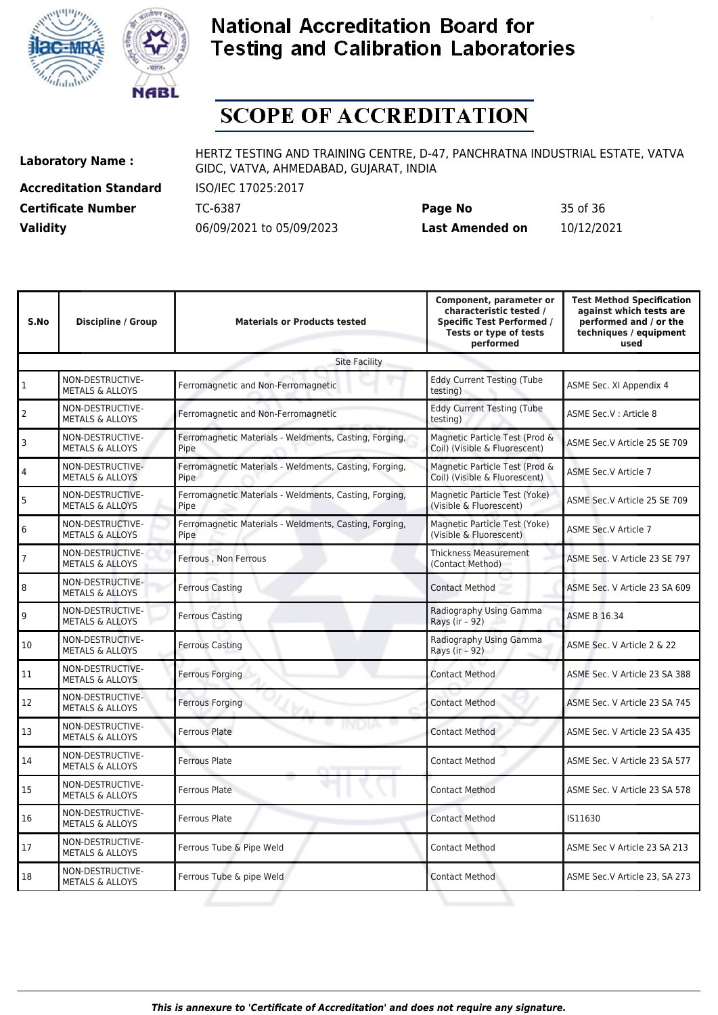



# **SCOPE OF ACCREDITATION**

**Accreditation Standard** ISO/IEC 17025:2017

**Laboratory Name :** HERTZ TESTING AND TRAINING CENTRE, D-47, PANCHRATNA INDUSTRIAL ESTATE, VATVA GIDC, VATVA, AHMEDABAD, GUJARAT, INDIA

**Certificate Number** TC-6387 **Page No** 35 of 36 **Validity** 06/09/2021 to 05/09/2023 **Last Amended on** 10/12/2021

| S.No                 | Discipline / Group                             | <b>Materials or Products tested</b>                            | Component, parameter or<br>characteristic tested /<br><b>Specific Test Performed /</b><br>Tests or type of tests<br>performed | <b>Test Method Specification</b><br>against which tests are<br>performed and / or the<br>techniques / equipment<br>used |  |  |  |  |
|----------------------|------------------------------------------------|----------------------------------------------------------------|-------------------------------------------------------------------------------------------------------------------------------|-------------------------------------------------------------------------------------------------------------------------|--|--|--|--|
| <b>Site Facility</b> |                                                |                                                                |                                                                                                                               |                                                                                                                         |  |  |  |  |
| $\mathbf{1}$         | NON-DESTRUCTIVE-<br><b>METALS &amp; ALLOYS</b> | Ferromagnetic and Non-Ferromagnetic                            | <b>Eddy Current Testing (Tube</b><br>testing)                                                                                 | ASME Sec. XI Appendix 4                                                                                                 |  |  |  |  |
| $\overline{2}$       | NON-DESTRUCTIVE-<br><b>METALS &amp; ALLOYS</b> | Ferromagnetic and Non-Ferromagnetic                            | <b>Eddy Current Testing (Tube</b><br>testing)                                                                                 | ASME Sec.V : Article 8                                                                                                  |  |  |  |  |
| 3                    | NON-DESTRUCTIVE-<br><b>METALS &amp; ALLOYS</b> | Ferromagnetic Materials - Weldments, Casting, Forging,<br>Pipe | Magnetic Particle Test (Prod &<br>Coil) (Visible & Fluorescent)                                                               | ASME Sec.V Article 25 SE 709                                                                                            |  |  |  |  |
| 4                    | NON-DESTRUCTIVE-<br><b>METALS &amp; ALLOYS</b> | Ferromagnetic Materials - Weldments, Casting, Forging,<br>Pipe | Magnetic Particle Test (Prod &<br>Coil) (Visible & Fluorescent)                                                               | ASME Sec.V Article 7                                                                                                    |  |  |  |  |
| 5                    | NON-DESTRUCTIVE-<br><b>METALS &amp; ALLOYS</b> | Ferromagnetic Materials - Weldments, Casting, Forging,<br>Pipe | Magnetic Particle Test (Yoke)<br>(Visible & Fluorescent)                                                                      | ASME Sec.V Article 25 SE 709                                                                                            |  |  |  |  |
| 6                    | NON-DESTRUCTIVE-<br><b>METALS &amp; ALLOYS</b> | Ferromagnetic Materials - Weldments, Casting, Forging,<br>Pipe | Magnetic Particle Test (Yoke)<br>(Visible & Fluorescent)                                                                      | ASME Sec.V Article 7                                                                                                    |  |  |  |  |
| 7                    | NON-DESTRUCTIVE-<br><b>METALS &amp; ALLOYS</b> | Ferrous, Non Ferrous                                           | <b>Thickness Measurement</b><br>(Contact Method)                                                                              | ASME Sec. V Article 23 SE 797                                                                                           |  |  |  |  |
| 8                    | NON-DESTRUCTIVE-<br><b>METALS &amp; ALLOYS</b> | <b>Ferrous Casting</b>                                         | <b>Contact Method</b>                                                                                                         | ASME Sec. V Article 23 SA 609                                                                                           |  |  |  |  |
| 9                    | NON-DESTRUCTIVE-<br><b>METALS &amp; ALLOYS</b> | <b>Ferrous Casting</b>                                         | Radiography Using Gamma<br>Rays (ir - 92)                                                                                     | <b>ASME B 16.34</b>                                                                                                     |  |  |  |  |
| 10                   | NON-DESTRUCTIVE-<br><b>METALS &amp; ALLOYS</b> | Ferrous Casting                                                | Radiography Using Gamma<br>Rays (ir - 92)                                                                                     | ASME Sec. V Article 2 & 22                                                                                              |  |  |  |  |
| 11                   | NON-DESTRUCTIVE-<br><b>METALS &amp; ALLOYS</b> | Ferrous Forging                                                | <b>Contact Method</b>                                                                                                         | ASME Sec. V Article 23 SA 388                                                                                           |  |  |  |  |
| 12                   | NON-DESTRUCTIVE-<br><b>METALS &amp; ALLOYS</b> | Ferrous Forging                                                | <b>Contact Method</b>                                                                                                         | ASME Sec. V Article 23 SA 745                                                                                           |  |  |  |  |
| 13                   | NON-DESTRUCTIVE-<br><b>METALS &amp; ALLOYS</b> | Ferrous Plate                                                  | <b>Contact Method</b>                                                                                                         | ASME Sec. V Article 23 SA 435                                                                                           |  |  |  |  |
| 14                   | NON-DESTRUCTIVE-<br><b>METALS &amp; ALLOYS</b> | <b>Ferrous Plate</b>                                           | <b>Contact Method</b>                                                                                                         | ASME Sec. V Article 23 SA 577                                                                                           |  |  |  |  |
| 15                   | NON-DESTRUCTIVE-<br><b>METALS &amp; ALLOYS</b> | <b>Ferrous Plate</b>                                           | <b>Contact Method</b>                                                                                                         | ASME Sec. V Article 23 SA 578                                                                                           |  |  |  |  |
| 16                   | NON-DESTRUCTIVE-<br><b>METALS &amp; ALLOYS</b> | Ferrous Plate                                                  | <b>Contact Method</b>                                                                                                         | IS11630                                                                                                                 |  |  |  |  |
| 17                   | NON-DESTRUCTIVE-<br><b>METALS &amp; ALLOYS</b> | Ferrous Tube & Pipe Weld                                       | <b>Contact Method</b>                                                                                                         | ASME Sec V Article 23 SA 213                                                                                            |  |  |  |  |
| 18                   | NON-DESTRUCTIVE-<br><b>METALS &amp; ALLOYS</b> | Ferrous Tube & pipe Weld                                       | <b>Contact Method</b>                                                                                                         | ASME Sec.V Article 23, SA 273                                                                                           |  |  |  |  |